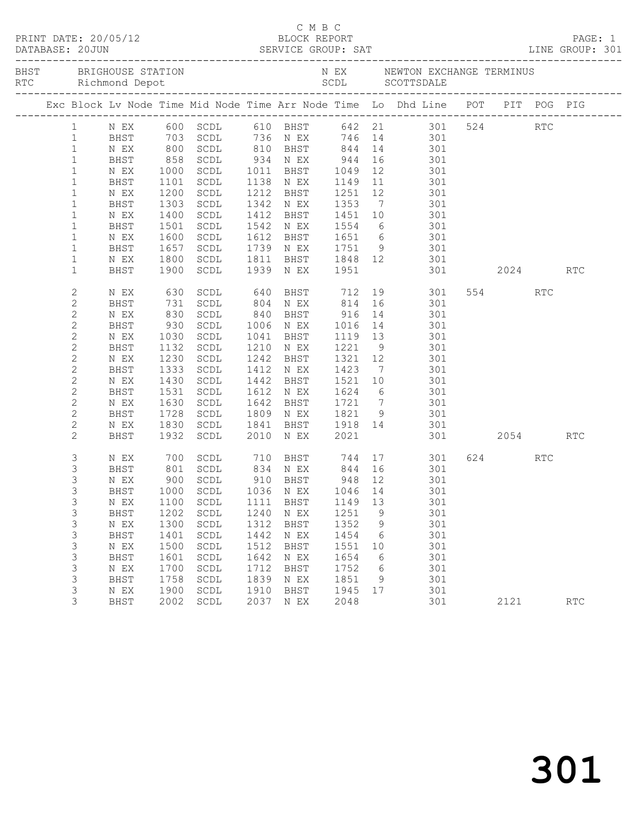|                |              |              |                                  |              |                                    |                      |                 | BHST BRIGHOUSE STATION NEX NEWTON EXCHANGE TERMINUS RTC Richmond Depot SCDL SCDL SCOTTSDALE  |              |     |                      |
|----------------|--------------|--------------|----------------------------------|--------------|------------------------------------|----------------------|-----------------|----------------------------------------------------------------------------------------------|--------------|-----|----------------------|
|                |              |              |                                  |              |                                    |                      |                 | Exc Block Lv Node Time Mid Node Time Arr Node Time Lo Dhd Line POT PIT POG PIG               |              |     |                      |
|                |              |              |                                  |              |                                    |                      |                 | 1 NEX 600 SCDL 610 BHST 642 21 301 524                                                       |              | RTC |                      |
| 1              | BHST         |              |                                  |              |                                    |                      |                 | 703 SCDL 736 N EX 746 14 301<br>800 SCDL 810 BHST 844 14 301<br>858 SCDL 934 N EX 944 16 301 |              |     |                      |
| $\mathbf{1}$   | N EX         |              |                                  |              |                                    |                      |                 |                                                                                              |              |     |                      |
| $\mathbf{1}$   | BHST         |              |                                  |              |                                    |                      |                 |                                                                                              |              |     |                      |
| $\mathbf{1}$   | N EX         | 1000         | SCDL                             |              |                                    |                      |                 | 1011 BHST 1049 12 301                                                                        |              |     |                      |
| $\mathbf{1}$   | BHST         | 1101         | SCDL                             |              | 1138 N EX                          | 1149                 |                 | 11 301                                                                                       |              |     |                      |
| $\mathbf{1}$   | N EX         | 1200         | SCDL                             |              | 1212 BHST                          |                      |                 | 1251 12 301<br>1353 7 301                                                                    |              |     |                      |
| $\mathbf{1}$   | BHST         | 1303         | SCDL                             |              | 1342 N EX                          |                      |                 |                                                                                              |              |     |                      |
| $\mathbf{1}$   | N EX         | 1400         | SCDL                             |              | 1412 BHST                          | 1451 10              |                 | 301                                                                                          |              |     |                      |
| $\mathbf{1}$   | BHST         | 1501         | SCDL                             |              | 1542 N EX                          |                      |                 | 1554 6 301                                                                                   |              |     |                      |
| $\mathbf{1}$   | N EX         | 1600         | SCDL                             |              |                                    |                      |                 | 1612 BHST 1651 6 301<br>1739 N EX 1751 9 301                                                 |              |     |                      |
| $\mathbf{1}$   | BHST         | 1657         | SCDL                             |              |                                    |                      |                 |                                                                                              |              |     |                      |
| $\mathbf{1}$   | N EX         | 1800         | SCDL                             |              |                                    |                      |                 | 1811 BHST 1848 12 301                                                                        |              |     |                      |
| $\mathbf{1}$   | BHST         | 1900         | SCDL                             |              | 1939 N EX 1951                     |                      |                 | 301 2024 RTC                                                                                 |              |     |                      |
| $\overline{c}$ | N EX         | 630          | SCDL                             |              |                                    |                      |                 | 640 BHST 712 19 301                                                                          | 554          | RTC |                      |
| 2              | BHST         | 731          | SCDL                             |              | 804 N EX                           |                      |                 | 814 16 301                                                                                   |              |     |                      |
| $\overline{c}$ | N EX         | 830          | SCDL                             |              | 840 BHST                           | 916                  |                 | 14 301                                                                                       |              |     |                      |
| $\mathbf{2}$   | BHST         | 930          | SCDL                             |              | 1006 N EX                          |                      |                 | 301                                                                                          |              |     |                      |
| $\mathbf{2}$   | N EX         | 1030         | SCDL                             |              | 1041 BHST                          | 1016  14<br>1119  13 |                 | 301                                                                                          |              |     |                      |
| 2              | BHST         | 1132         | SCDL                             |              | 1210 N EX                          | 1221                 |                 | 9 301                                                                                        |              |     |                      |
| $\overline{c}$ | N EX         | 1230         | SCDL                             |              | 1242 BHST                          | 1321 12              |                 | 301                                                                                          |              |     |                      |
| 2              | BHST         | 1333         | SCDL                             |              | 1412 N EX                          | 1423                 | $7\overline{ }$ | 301                                                                                          |              |     |                      |
| $\sqrt{2}$     | N EX         | 1430         | SCDL                             |              | 1442 BHST                          |                      |                 | 1521 10 301<br>1624 6 301                                                                    |              |     |                      |
| 2              | BHST         | 1531         | SCDL                             |              | 1612 N EX                          | 1624                 |                 |                                                                                              |              |     |                      |
| $\mathbf{2}$   | N EX         | 1630         | SCDL                             |              | 1642 BHST                          |                      |                 | 1721 7 301                                                                                   |              |     |                      |
| 2              | BHST         | 1728         | SCDL                             |              | 1809 N EX                          |                      |                 | 1821 9 301                                                                                   |              |     |                      |
| $\mathbf{2}$   | N EX         | 1830         | SCDL                             |              | 1841 BHST 1918 14<br>2010 NEX 2021 |                      |                 | $\frac{301}{20}$                                                                             | 301 2054 RTC |     |                      |
| $\mathbf{2}$   | BHST         |              | 1932 SCDL                        |              | 2010 N EX                          |                      |                 |                                                                                              |              |     |                      |
| 3              | N EX         | 700          |                                  |              |                                    |                      |                 | SCDL 710 BHST 744 17 301                                                                     | 624 RTC      |     |                      |
| 3              | BHST         | 801<br>900   |                                  |              |                                    |                      |                 | SCDL 834 NEX 844 16 301<br>SCDL 910 BHST 948 12 301                                          |              |     |                      |
| 3              | N EX         |              | SCDL                             |              |                                    |                      |                 |                                                                                              |              |     |                      |
| 3              |              |              | BHST 1000 SCDL 1036 N EX 1046 14 |              |                                    |                      |                 | 301                                                                                          |              |     |                      |
| 3              | N EX         | 1100         | SCDL                             |              | 1111 BHST                          | 1149 13              |                 | 301                                                                                          |              |     |                      |
| 3              | BHST         | 1202<br>1300 | SCDL                             | 1240<br>1312 | N EX                               | 1251<br>1352         | 9               | 301<br>301                                                                                   |              |     |                      |
| 3<br>3         | N EX<br>BHST | 1401         | SCDL<br>SCDL                     | 1442         | BHST<br>N EX                       | 1454                 | 9<br>6          | 301                                                                                          |              |     |                      |
| 3              | N EX         | 1500         | SCDL                             | 1512         | BHST                               | 1551                 | 10              | 301                                                                                          |              |     |                      |
| $\mathfrak{Z}$ | BHST         | 1601         | SCDL                             | 1642         | N EX                               | 1654                 | $6\overline{6}$ | 301                                                                                          |              |     |                      |
| 3              | N EX         | 1700         | SCDL                             | 1712         | BHST                               | 1752                 | 6               | 301                                                                                          |              |     |                      |
| 3              | BHST         | 1758         | SCDL                             | 1839         | N EX                               | 1851                 | 9               | 301                                                                                          |              |     |                      |
| 3              | N EX         | 1900         | SCDL                             | 1910         | BHST                               | 1945 17              |                 | 301                                                                                          |              |     |                      |
| 3              | BHST         | 2002         | SCDL                             | 2037         | N EX                               | 2048                 |                 | 301                                                                                          | 2121         |     | $\operatorname{RTC}$ |
|                |              |              |                                  |              |                                    |                      |                 |                                                                                              |              |     |                      |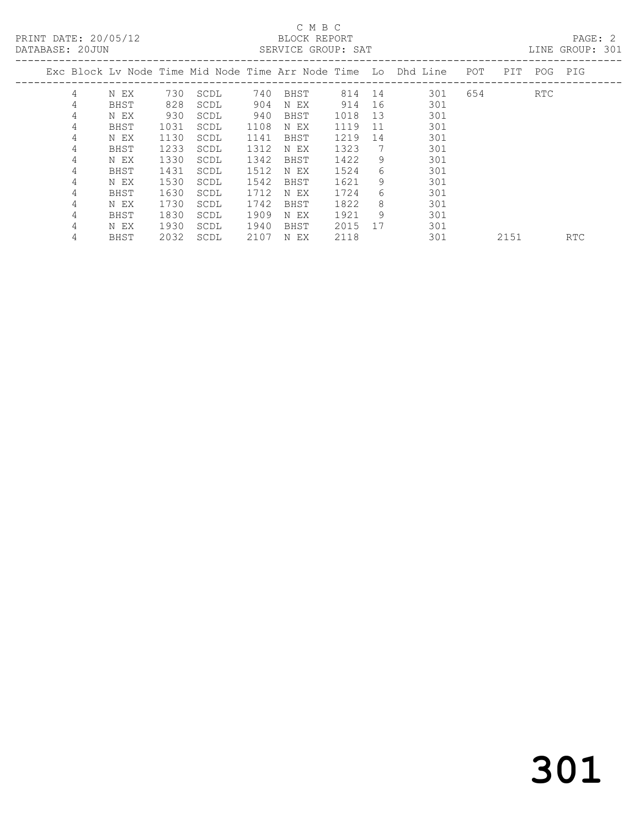## C M B C<br>BLOCK REPORT

PAGE: 2<br>LINE GROUP: 301

| DRIADAUE. ZUUUN |   |      |      |      |      | ABIVATOR GIVOOL. AAI |        |    |                                                                    |     |      |         | TIME GIVOL .<br>◡◡∸ |
|-----------------|---|------|------|------|------|----------------------|--------|----|--------------------------------------------------------------------|-----|------|---------|---------------------|
|                 |   |      |      |      |      |                      |        |    | Exc Block Lv Node Time Mid Node Time Arr Node Time Lo Dhd Line POT |     | PIT  | POG PIG |                     |
|                 | 4 | N EX | 730  | SCDL | 740  | BHST                 | 814 14 |    | 301                                                                | 654 |      | RTC     |                     |
|                 | 4 | BHST | 828  | SCDL | 904  | N EX                 | 914    | 16 | 301                                                                |     |      |         |                     |
|                 | 4 | N EX | 930  | SCDL | 940  | BHST                 | 1018   | 13 | 301                                                                |     |      |         |                     |
|                 | 4 | BHST | 1031 | SCDL | 1108 | N EX                 | 1119   | 11 | 301                                                                |     |      |         |                     |
|                 | 4 | N EX | 1130 | SCDL | 1141 | BHST                 | 1219   | 14 | 301                                                                |     |      |         |                     |
|                 | 4 | BHST | 1233 | SCDL | 1312 | N EX                 | 1323   | 7  | 301                                                                |     |      |         |                     |
|                 | 4 | N EX | 1330 | SCDL | 1342 | BHST                 | 1422   | 9  | 301                                                                |     |      |         |                     |
|                 | 4 | BHST | 1431 | SCDL | 1512 | N EX                 | 1524   | 6  | 301                                                                |     |      |         |                     |
|                 | 4 | N EX | 1530 | SCDL | 1542 | BHST                 | 1621   | 9  | 301                                                                |     |      |         |                     |
|                 | 4 | BHST | 1630 | SCDL | 1712 | N EX                 | 1724   | 6  | 301                                                                |     |      |         |                     |
|                 | 4 | N EX | 1730 | SCDL | 1742 | BHST                 | 1822   | 8  | 301                                                                |     |      |         |                     |
|                 | 4 | BHST | 1830 | SCDL | 1909 | N EX                 | 1921   | 9  | 301                                                                |     |      |         |                     |
|                 | 4 | N EX | 1930 | SCDL | 1940 | BHST                 | 2015   | 17 | 301                                                                |     |      |         |                     |
|                 | 4 | BHST | 2032 | SCDL | 2107 | N EX                 | 2118   |    | 301                                                                |     | 2151 |         | RTC                 |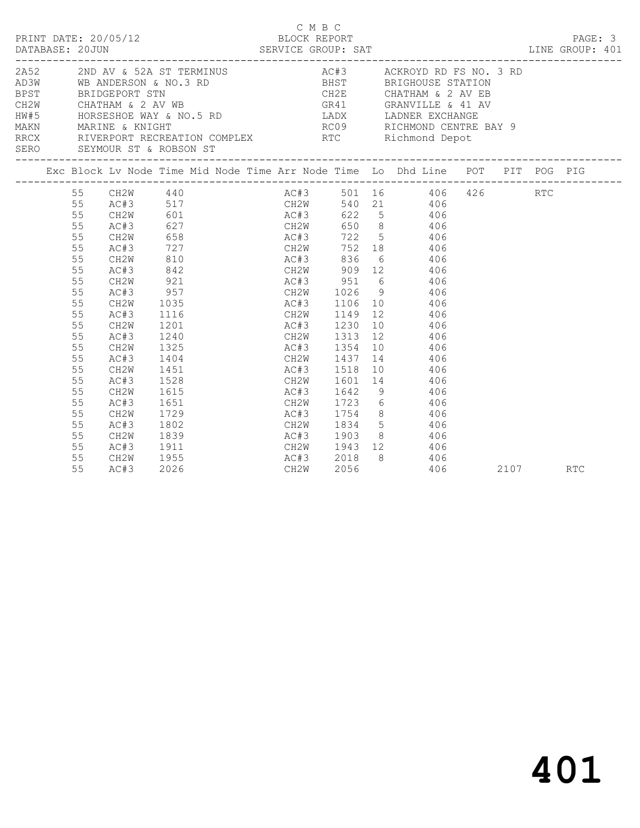| PRINT DATE: 20/05/12<br>15/12 BLOCK REPORT<br>SERVICE GROUP: SAT<br>DATABASE: 20JUN<br>2A52 2ND AV & 52A ST TERMINUS AC#3 ACKROYD RD FS NO. 3 RD |                                                                                                    |                                                                                                                              |                                                                                          |                        | C M B C           |      | LINE GROUP: 401                                                                                                                                                                                                                                                                                                             |  |          | PAGE: 3 |  |
|--------------------------------------------------------------------------------------------------------------------------------------------------|----------------------------------------------------------------------------------------------------|------------------------------------------------------------------------------------------------------------------------------|------------------------------------------------------------------------------------------|------------------------|-------------------|------|-----------------------------------------------------------------------------------------------------------------------------------------------------------------------------------------------------------------------------------------------------------------------------------------------------------------------------|--|----------|---------|--|
|                                                                                                                                                  |                                                                                                    | SERO SEYMOUR ST & ROBSON ST                                                                                                  |                                                                                          |                        |                   |      | AD3W WB ANDERSON & NO.3 RD BHST BRIGHOUSE STATION<br>BPST BRIDGEPORT STN CH2E CHATHAM & 2 AV EB<br>CH2W CHATHAM & 2 AV WB<br>HW#5 HORSESHOE WAY & NO.5 RD LADX LADNER EXCHANGE<br>MAKN MARINE & KNIGHT RCC RICHMOND CENTRE BA<br>RRCX RICERPORT RECREATION COMPLEX RTC RICHMOND CENTRE BA<br><br>RC09 RICHMOND CENTRE BAY 9 |  |          |         |  |
|                                                                                                                                                  |                                                                                                    |                                                                                                                              |                                                                                          |                        |                   |      | Exc Block Lv Node Time Mid Node Time Arr Node Time Lo Dhd Line POT PIT POG PIG                                                                                                                                                                                                                                              |  |          |         |  |
|                                                                                                                                                  | 55<br>55<br>55<br>55<br>55<br>55<br>55<br>55<br>55<br>55<br>55<br>55<br>55<br>55<br>55<br>55<br>55 | CH2W<br>AC#3<br>CH2W<br>AC#3<br>CH2W<br>AC#3<br>CH2W<br>AC#3<br>CH2W<br>AC#3<br>CH2W<br>AC#3<br>CH2W<br>AC#3<br>CH2W<br>AC#3 | 810<br>842<br>921<br>957<br>1035<br>1116<br>1201<br>1240<br>1325<br>1404<br>1451<br>1528 | AC#3 1230<br>AC#3 1518 |                   |      | 55 CH2W 440 AC#3 501 16 406 426<br>AC#3 517 CH2W 540 21 406<br>727 CH2W 752 18 406<br>AC#3 836 6 406<br>CH2W 909 12 406<br>AC#3 951 6 406<br>CH2W 1026 9 406<br>AC#3 1106 10 406<br>CH2W 1149 12 406<br>10 406<br>CH2W 1313 12 406<br>AC#3 1354 10 406<br>CH2W 1437 14 406<br>10 406<br>CH2W 1601 14 406                    |  | RTC      |         |  |
|                                                                                                                                                  | 55<br>55<br>55<br>55<br>55<br>55<br>55<br>55                                                       | CH2W<br>AC#3<br>CH2W<br>AC#3<br>CH2W<br>AC#3<br>CH2W<br>AC#3                                                                 | 1615<br>1651<br>1729<br>1802<br>1839<br>1911<br>1955<br>2026                             |                        | AC#3 1642<br>CH2W | 2056 | 9 406<br>CH2W 1723 6 406<br>AC#3 1754 8 406<br>CH2W 1834 5 406<br>AC#3 1903 8 406<br>CH2W 1943 12 406<br>AC#3 2018 8 406<br>CH2W 2056 406<br>406                                                                                                                                                                            |  | 2107 RTC |         |  |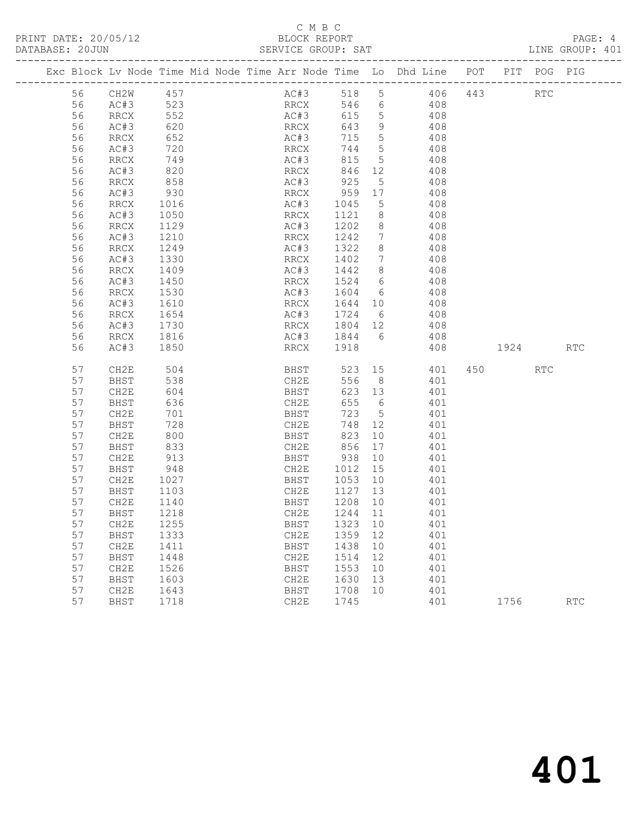PRINT DATE: 20/05/12 BLOCK REPORT PAGE: 4 DATABASE: 20JUN

### C M B C<br>BLOCK REPORT

| DATABASE: ZUJUN |    |                                                                |     |  |      | SERVICE GROUP: SAT |     |     |     |     |     | TINE GROUR: 40I |  |
|-----------------|----|----------------------------------------------------------------|-----|--|------|--------------------|-----|-----|-----|-----|-----|-----------------|--|
|                 |    | Exc Block Ly Node Time Mid Node Time Arr Node Time Lo Dhd Line |     |  |      |                    |     |     | POT | PIT | POG | PIG             |  |
|                 | 56 | CH2W                                                           | 457 |  | AC#3 | 518                | - 5 | 406 | 443 |     | RTC |                 |  |
|                 | 56 | AC#3                                                           | 523 |  | RRCX | 546                | - 6 | 408 |     |     |     |                 |  |
|                 | 56 | RRCX                                                           | 552 |  | AC#3 | 615                | - 5 | 408 |     |     |     |                 |  |
|                 | 56 | AC#3                                                           | 620 |  | RRCX | 643                | -9  | 408 |     |     |     |                 |  |
|                 | 56 | RRCX                                                           | 652 |  | AC#3 | 715                | - 5 | 408 |     |     |     |                 |  |
|                 | 56 | AC#3                                                           | 720 |  | RRCX | 744                | .5  | 408 |     |     |     |                 |  |
|                 | 56 | RRCX                                                           | 749 |  | AC#3 | 815                | - 5 | 408 |     |     |     |                 |  |
|                 | 56 | AC#3                                                           | 820 |  | RRCX | 846                | 12  | 408 |     |     |     |                 |  |

| 56 | AC#3                         | 620  | $\mathop{\rm RRCX}\nolimits$ | 643  | $\mathsf 9$      | 408 |     |      |                             |                             |
|----|------------------------------|------|------------------------------|------|------------------|-----|-----|------|-----------------------------|-----------------------------|
| 56 | $\mathop{\rm RRCX}\nolimits$ | 652  | AC#3                         | 715  | 5                | 408 |     |      |                             |                             |
| 56 | AC#3                         | 720  | <b>RRCX</b>                  | 744  | $\mathsf S$      | 408 |     |      |                             |                             |
| 56 | <b>RRCX</b>                  | 749  | AC#3                         | 815  | 5                | 408 |     |      |                             |                             |
| 56 | AC#3                         | 820  | $\mathop{\mathrm{RRCX}}$     | 846  | 12               | 408 |     |      |                             |                             |
| 56 | <b>RRCX</b>                  | 858  | AC#3                         | 925  | $\mathsf S$      | 408 |     |      |                             |                             |
| 56 | AC#3                         | 930  | RRCX                         | 959  | 17               | 408 |     |      |                             |                             |
| 56 | $\mathop{\rm RRCX}\nolimits$ | 1016 | AC#3                         | 1045 | $\mathsf S$      | 408 |     |      |                             |                             |
| 56 | AC#3                         | 1050 | <b>RRCX</b>                  | 1121 | $\,8\,$          | 408 |     |      |                             |                             |
| 56 | <b>RRCX</b>                  | 1129 | AC#3                         | 1202 | $\,8\,$          | 408 |     |      |                             |                             |
| 56 | AC#3                         | 1210 | $\mathop{\rm RRCX}\nolimits$ | 1242 | $\boldsymbol{7}$ | 408 |     |      |                             |                             |
| 56 | <b>RRCX</b>                  | 1249 | AC#3                         | 1322 | $\,8\,$          | 408 |     |      |                             |                             |
| 56 | AC#3                         | 1330 | $\mathop{\mathrm{RRCX}}$     | 1402 | $\boldsymbol{7}$ | 408 |     |      |                             |                             |
| 56 | $\mathop{\rm RRCX}\nolimits$ | 1409 | AC#3                         | 1442 | $\,8\,$          | 408 |     |      |                             |                             |
| 56 | AC#3                         | 1450 | $\mathop{\rm RRCX}\nolimits$ | 1524 | $\sqrt{6}$       | 408 |     |      |                             |                             |
| 56 | $\mathop{\rm RRCX}\nolimits$ | 1530 | AC#3                         | 1604 | $\epsilon$       | 408 |     |      |                             |                             |
| 56 | AC#3                         | 1610 | $\mathop{\rm RRCX}\nolimits$ | 1644 | 10               | 408 |     |      |                             |                             |
| 56 | $\mathop{\rm RRCX}\nolimits$ | 1654 | AC#3                         | 1724 | $\epsilon$       | 408 |     |      |                             |                             |
| 56 | AC#3                         | 1730 | $\mathop{\mathrm{RRCX}}$     | 1804 | $12$             | 408 |     |      |                             |                             |
| 56 | <b>RRCX</b>                  | 1816 | AC#3                         | 1844 | $\epsilon$       | 408 |     |      |                             |                             |
| 56 | AC#3                         | 1850 | $\mathop{\rm RRCX}\nolimits$ | 1918 |                  | 408 |     | 1924 |                             | RTC                         |
|    |                              |      |                              |      |                  |     |     |      |                             |                             |
| 57 | CH2E                         | 504  | BHST                         | 523  | 15               | 401 | 450 |      | $\mathop{\rm RTC}\nolimits$ |                             |
| 57 | BHST                         | 538  | CH2E                         | 556  | $8\,$            | 401 |     |      |                             |                             |
| 57 | CH2E                         | 604  | BHST                         | 623  | 13               | 401 |     |      |                             |                             |
| 57 | <b>BHST</b>                  | 636  | CH2E                         | 655  | $\epsilon$       | 401 |     |      |                             |                             |
| 57 | CH2E                         | 701  | <b>BHST</b>                  | 723  | 5                | 401 |     |      |                             |                             |
| 57 | BHST                         | 728  | CH2E                         | 748  | 12               | 401 |     |      |                             |                             |
| 57 | CH <sub>2E</sub>             | 800  | <b>BHST</b>                  | 823  | 10               | 401 |     |      |                             |                             |
| 57 | BHST                         | 833  | CH2E                         | 856  | 17               | 401 |     |      |                             |                             |
| 57 | CH2E                         | 913  | BHST                         | 938  | 10               | 401 |     |      |                             |                             |
| 57 | <b>BHST</b>                  | 948  | CH2E                         | 1012 | 15               | 401 |     |      |                             |                             |
| 57 | CH2E                         | 1027 | <b>BHST</b>                  | 1053 | 10               | 401 |     |      |                             |                             |
| 57 | BHST                         | 1103 | CH2E                         | 1127 | 13               | 401 |     |      |                             |                             |
| 57 | CH2E                         | 1140 | <b>BHST</b>                  | 1208 | 10               | 401 |     |      |                             |                             |
| 57 | <b>BHST</b>                  | 1218 | CH2E                         | 1244 | 11               | 401 |     |      |                             |                             |
| 57 | CH2E                         | 1255 | BHST                         | 1323 | 10               | 401 |     |      |                             |                             |
| 57 | BHST                         | 1333 | CH2E                         | 1359 | 12               | 401 |     |      |                             |                             |
| 57 | CH2E                         | 1411 | BHST                         | 1438 | 10               | 401 |     |      |                             |                             |
| 57 | BHST                         | 1448 | CH2E                         | 1514 | 12               | 401 |     |      |                             |                             |
| 57 | CH2E                         | 1526 | BHST                         | 1553 | 10               | 401 |     |      |                             |                             |
| 57 | BHST                         | 1603 | CH2E                         | 1630 | 13               | 401 |     |      |                             |                             |
| 57 | CH2E                         | 1643 | BHST                         | 1708 | 10               | 401 |     |      |                             |                             |
| 57 | <b>BHST</b>                  | 1718 | CH2E                         | 1745 |                  | 401 |     | 1756 |                             | $\mathop{\rm RTC}\nolimits$ |
|    |                              |      |                              |      |                  |     |     |      |                             |                             |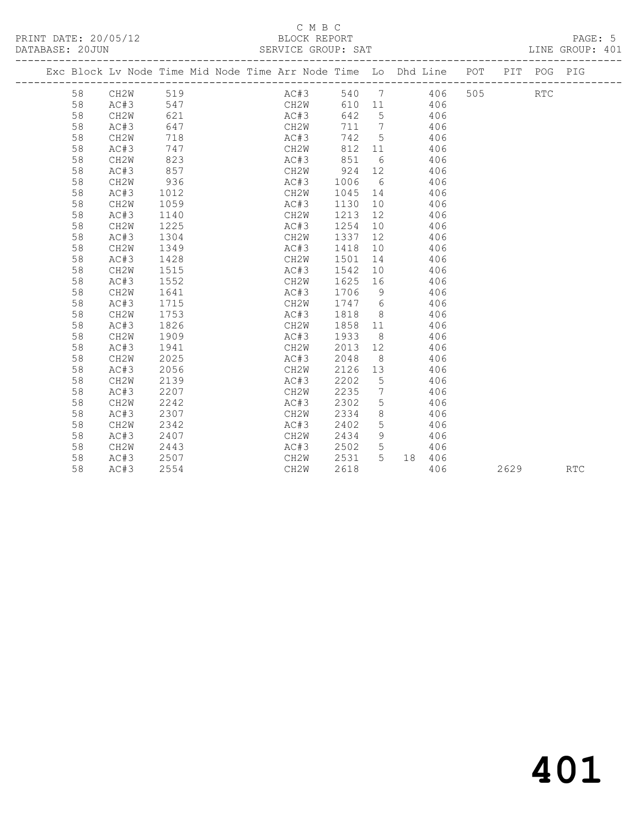#### C M B C<br>BLOCK REPORT SERVICE GROUP: SAT

|  |    |                   |      | Exc Block Lv Node Time Mid Node Time Arr Node Time Lo Dhd Line POT |                   |      |                              | ------------------------- |     |      | PIT POG PIG |            |
|--|----|-------------------|------|--------------------------------------------------------------------|-------------------|------|------------------------------|---------------------------|-----|------|-------------|------------|
|  | 58 | CH2W              | 519  |                                                                    | AC#3              | 540  | $7\phantom{0}$               | 406                       | 505 |      | <b>RTC</b>  |            |
|  | 58 | AC#3              | 547  |                                                                    | CH2W              | 610  | 11                           | 406                       |     |      |             |            |
|  | 58 | CH2W              | 621  |                                                                    | AC#3              | 642  | $5^{\circ}$                  | 406                       |     |      |             |            |
|  | 58 | AC#3              | 647  |                                                                    | CH2W              | 711  | $7\phantom{.0}\phantom{.0}7$ | 406                       |     |      |             |            |
|  | 58 | CH2W              | 718  |                                                                    | AC#3              | 742  | 5                            | 406                       |     |      |             |            |
|  | 58 | AC#3              | 747  |                                                                    | CH2W              | 812  | 11                           | 406                       |     |      |             |            |
|  | 58 | CH2W              | 823  |                                                                    | AC#3              | 851  | 6                            | 406                       |     |      |             |            |
|  | 58 | AC#3              | 857  |                                                                    | CH2W              | 924  | 12                           | 406                       |     |      |             |            |
|  | 58 | CH2W              | 936  |                                                                    | AC#3              | 1006 | 6                            | 406                       |     |      |             |            |
|  | 58 | AC#3              | 1012 |                                                                    | CH2W              | 1045 | 14                           | 406                       |     |      |             |            |
|  | 58 | CH2W              | 1059 |                                                                    | AC#3              | 1130 | 10                           | 406                       |     |      |             |            |
|  | 58 | AC#3              | 1140 |                                                                    | CH2W              | 1213 | 12                           | 406                       |     |      |             |            |
|  | 58 | CH2W              | 1225 |                                                                    | AC#3              | 1254 | 10                           | 406                       |     |      |             |            |
|  | 58 | AC#3              | 1304 |                                                                    | CH2W              | 1337 | 12                           | 406                       |     |      |             |            |
|  | 58 | CH <sub>2</sub> W | 1349 |                                                                    | AC#3              | 1418 | 10                           | 406                       |     |      |             |            |
|  | 58 | AC#3              | 1428 |                                                                    | CH2W              | 1501 | 14                           | 406                       |     |      |             |            |
|  | 58 | CH <sub>2</sub> W | 1515 |                                                                    | AC#3              | 1542 | 10 <sup>°</sup>              | 406                       |     |      |             |            |
|  | 58 | AC#3              | 1552 |                                                                    | CH2W              | 1625 | 16                           | 406                       |     |      |             |            |
|  | 58 | CH <sub>2</sub> W | 1641 |                                                                    | AC#3              | 1706 | 9                            | 406                       |     |      |             |            |
|  | 58 | AC#3              | 1715 |                                                                    | CH2W              | 1747 | 6                            | 406                       |     |      |             |            |
|  | 58 | CH <sub>2</sub> W | 1753 |                                                                    | AC#3              | 1818 | 8                            | 406                       |     |      |             |            |
|  | 58 | AC#3              | 1826 |                                                                    | CH2W              | 1858 | 11                           | 406                       |     |      |             |            |
|  | 58 | CH <sub>2</sub> W | 1909 |                                                                    | AC#3              | 1933 | 8                            | 406                       |     |      |             |            |
|  | 58 | AC#3              | 1941 |                                                                    | CH2W              | 2013 | 12                           | 406                       |     |      |             |            |
|  | 58 | CH2W              | 2025 |                                                                    | AC#3              | 2048 | - 8                          | 406                       |     |      |             |            |
|  | 58 | AC#3              | 2056 |                                                                    | CH2W              | 2126 | 13                           | 406                       |     |      |             |            |
|  | 58 | CH2W              | 2139 |                                                                    | AC#3              | 2202 | 5                            | 406                       |     |      |             |            |
|  | 58 | AC#3              | 2207 |                                                                    | CH2W              | 2235 | 7                            | 406                       |     |      |             |            |
|  | 58 | CH2W              | 2242 |                                                                    | AC#3              | 2302 | 5                            | 406                       |     |      |             |            |
|  | 58 | AC#3              | 2307 |                                                                    | CH2W              | 2334 | $8\,$                        | 406                       |     |      |             |            |
|  | 58 | CH <sub>2</sub> W | 2342 |                                                                    | AC#3              | 2402 | 5                            | 406                       |     |      |             |            |
|  | 58 | AC#3              | 2407 |                                                                    | CH2W              | 2434 | 9                            | 406                       |     |      |             |            |
|  | 58 | CH <sub>2</sub> W | 2443 |                                                                    | AC#3              | 2502 | 5                            | 406                       |     |      |             |            |
|  | 58 | AC#3              | 2507 |                                                                    | CH2W              | 2531 | $5^{\circ}$                  | 18 406                    |     |      |             |            |
|  | 58 | AC#3              | 2554 |                                                                    | CH <sub>2</sub> W | 2618 |                              | 406                       |     | 2629 |             | <b>RTC</b> |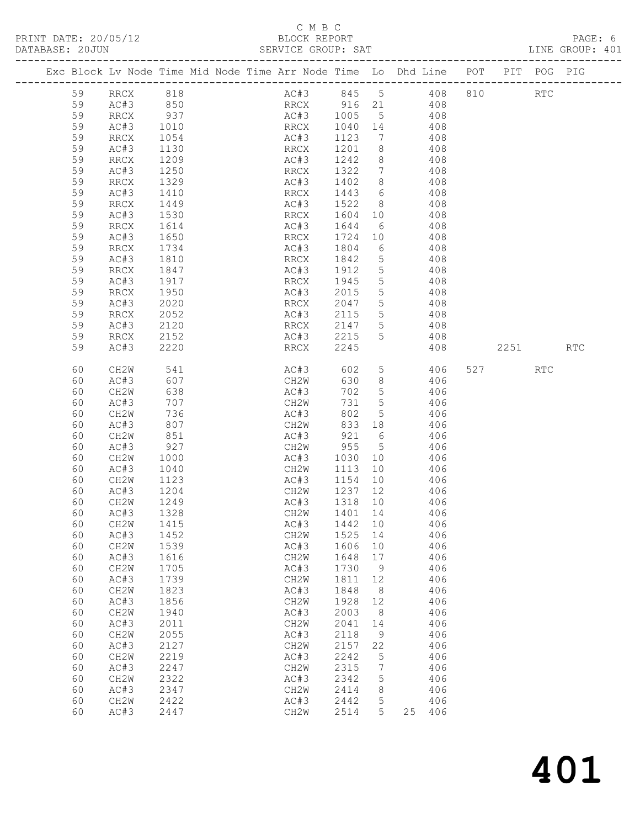PRINT DATE: 20/05/12<br>DATABASE: 20JUN

|    |                   |                                                                                |                                      |         |             |                                                                                             |          |         | PAGE: 6<br>LINE GROUP: 401 |
|----|-------------------|--------------------------------------------------------------------------------|--------------------------------------|---------|-------------|---------------------------------------------------------------------------------------------|----------|---------|----------------------------|
|    |                   | Exc Block Lv Node Time Mid Node Time Arr Node Time Lo Dhd Line POT PIT POG PIG |                                      |         |             |                                                                                             |          |         |                            |
|    |                   | 59 RRCX 818                                                                    | AC#3 845 5 408 810 RTC               |         |             |                                                                                             |          |         |                            |
| 59 | AC#3 850          |                                                                                | RRCX 916 21 408                      |         |             |                                                                                             |          |         |                            |
| 59 | RRCX              | 937                                                                            | AC#3 1005 5 408                      |         |             |                                                                                             |          |         |                            |
| 59 | AC#3              |                                                                                | RRCX                                 |         |             |                                                                                             |          |         |                            |
| 59 | RRCX              | 1010<br>1054                                                                   | AC#3                                 |         |             |                                                                                             |          |         |                            |
| 59 | AC#3              | 1130                                                                           | RRCX                                 |         |             | $\begin{array}{cccc} 1040 & 14 & & 408 \\ 1123 & 7 & & 408 \\ 1201 & 8 & & 408 \end{array}$ |          |         |                            |
| 59 | RRCX              | 1209                                                                           | AC#3                                 |         |             | 1242 8 408                                                                                  |          |         |                            |
| 59 | AC#3              | 1250                                                                           | RRCX                                 |         |             |                                                                                             |          |         |                            |
| 59 | RRCX              | 1329                                                                           | AC#3                                 |         |             |                                                                                             |          |         |                            |
| 59 | AC#3              | 1410                                                                           | RRCX                                 |         |             | $\begin{array}{cccc} 1322 & 7 & & 408 \\ 1402 & 8 & & 408 \\ 1443 & 6 & & 408 \end{array}$  |          |         |                            |
| 59 | RRCX              | 1449                                                                           | AC#3                                 |         |             | 1522 8 408                                                                                  |          |         |                            |
| 59 | AC#3              | 1530                                                                           | RRCX                                 |         |             | 1604 10 408                                                                                 |          |         |                            |
| 59 | RRCX              | 1614                                                                           | AC#3                                 | 1644 6  |             | 408                                                                                         |          |         |                            |
| 59 | AC#3              | 1650                                                                           | RRCX                                 |         |             | $1724$ 10 $408$                                                                             |          |         |                            |
| 59 | RRCX              | 1734                                                                           | AC#3                                 |         |             | 1804 6 408                                                                                  |          |         |                            |
| 59 | AC#3              | 1810                                                                           | RRCX                                 |         |             | 1842 5 408                                                                                  |          |         |                            |
| 59 | RRCX              |                                                                                | AC#3                                 |         |             |                                                                                             |          |         |                            |
| 59 | AC#3              | 1847<br>1917                                                                   | RRCX                                 |         |             | $1912$ 5 408<br>$1945$ 5 408                                                                |          |         |                            |
| 59 | RRCX              | 1950                                                                           | AC#3                                 |         |             | 2015 5 408                                                                                  |          |         |                            |
| 59 | AC#3              | 2020                                                                           | RRCX                                 |         |             | 2047 5 408                                                                                  |          |         |                            |
| 59 | RRCX              |                                                                                |                                      |         |             |                                                                                             |          |         |                            |
| 59 | AC#3              | 2052<br>2120                                                                   | AC#3 2115 5 408<br>RRCX 2147 5 408   |         |             |                                                                                             |          |         |                            |
| 59 | RRCX              | 2152                                                                           | AC#3 2215 5 408                      |         |             |                                                                                             |          |         |                            |
| 59 | AC#3              | 2220                                                                           | RRCX                                 | 2245    |             |                                                                                             | 408 2251 |         | <b>RTC</b>                 |
|    |                   | 541                                                                            |                                      |         |             | 602 5 406                                                                                   |          |         |                            |
| 60 | CH2W              | 607                                                                            | AC#3                                 |         |             | 630 8 406                                                                                   |          | 527 RTC |                            |
| 60 | AC#3              |                                                                                | CH2W                                 |         |             |                                                                                             |          |         |                            |
| 60 | CH2W              | 638                                                                            | AC#3                                 | 702     |             | 5 406                                                                                       |          |         |                            |
| 60 | AC#3              | 707                                                                            | CH2W                                 | 731     |             | 5 406<br>5 406                                                                              |          |         |                            |
| 60 | CH2W              | 736<br>807                                                                     | AC#3                                 | 802     |             | $833$ 18 $406$                                                                              |          |         |                            |
| 60 | AC#3              |                                                                                | CH2W                                 |         |             |                                                                                             |          |         |                            |
| 60 | CH2W              | 851                                                                            | AC#3 921 6 406                       |         |             |                                                                                             |          |         |                            |
| 60 | AC#3              | 927                                                                            | CH2W                                 |         |             | 955 5 406                                                                                   |          |         |                            |
| 60 | CH2W              |                                                                                | AC#3 1030 10 406<br>CH2W 1113 10 406 |         |             |                                                                                             |          |         |                            |
| 60 | AC#3              | 1040                                                                           |                                      |         |             |                                                                                             |          |         |                            |
| 60 | CH2W              | 1123                                                                           | AC#3 1154 10 406                     |         |             |                                                                                             |          |         |                            |
| 60 | AC#3              | 1204                                                                           | CH2W                                 | 1237 12 |             | 406                                                                                         |          |         |                            |
|    | 60 CH2W 1249      |                                                                                | AC#3 1318 10                         |         |             | 406                                                                                         |          |         |                            |
| 60 | AC#3              | 1328                                                                           | CH2W                                 | 1401    | 14          | 406                                                                                         |          |         |                            |
| 60 | CH2W              | 1415                                                                           | AC#3                                 | 1442    | 10          | 406                                                                                         |          |         |                            |
| 60 | AC#3              | 1452                                                                           | CH <sub>2</sub> W                    | 1525    | 14          | 406                                                                                         |          |         |                            |
| 60 | CH2W              | 1539                                                                           | AC#3                                 | 1606    | 10          | 406                                                                                         |          |         |                            |
| 60 | AC#3              | 1616                                                                           | CH2W                                 | 1648    | $17$        | 406                                                                                         |          |         |                            |
| 60 | CH <sub>2</sub> W | 1705                                                                           | AC#3                                 | 1730    | 9           | 406                                                                                         |          |         |                            |
| 60 | AC#3              | 1739                                                                           | CH2W                                 | 1811    | 12          | 406                                                                                         |          |         |                            |
| 60 | CH2W              | 1823                                                                           | AC#3                                 | 1848    | 8           | 406                                                                                         |          |         |                            |
| 60 | AC#3              | 1856                                                                           | CH2W                                 | 1928    | 12          | 406                                                                                         |          |         |                            |
| 60 | CH2W              | 1940                                                                           | AC#3                                 | 2003    | 8           | 406                                                                                         |          |         |                            |
| 60 | AC#3              | 2011                                                                           | CH2W                                 | 2041    | 14          | 406                                                                                         |          |         |                            |
| 60 | CH2W              | 2055                                                                           | AC#3                                 | 2118    | $\mathsf 9$ | 406                                                                                         |          |         |                            |
| 60 | AC#3              | 2127                                                                           | CH2W                                 | 2157    | 22          | 406                                                                                         |          |         |                            |
| 60 | CH2W              | 2219                                                                           | AC#3                                 | 2242    | 5           | 406                                                                                         |          |         |                            |
| 60 | AC#3              | 2247                                                                           | CH2W                                 | 2315    | 7           | 406                                                                                         |          |         |                            |
| 60 | CH2W              | 2322                                                                           | AC#3                                 | 2342    | 5           | 406                                                                                         |          |         |                            |
| 60 | AC#3              | 2347                                                                           | CH2W                                 | 2414    | 8           | 406                                                                                         |          |         |                            |
| 60 | CH2W              | 2422                                                                           | AC#3                                 | 2442    | 5           | 406                                                                                         |          |         |                            |
| 60 | AC#3              | 2447                                                                           | CH2W                                 | 2514    | 5           | 25<br>406                                                                                   |          |         |                            |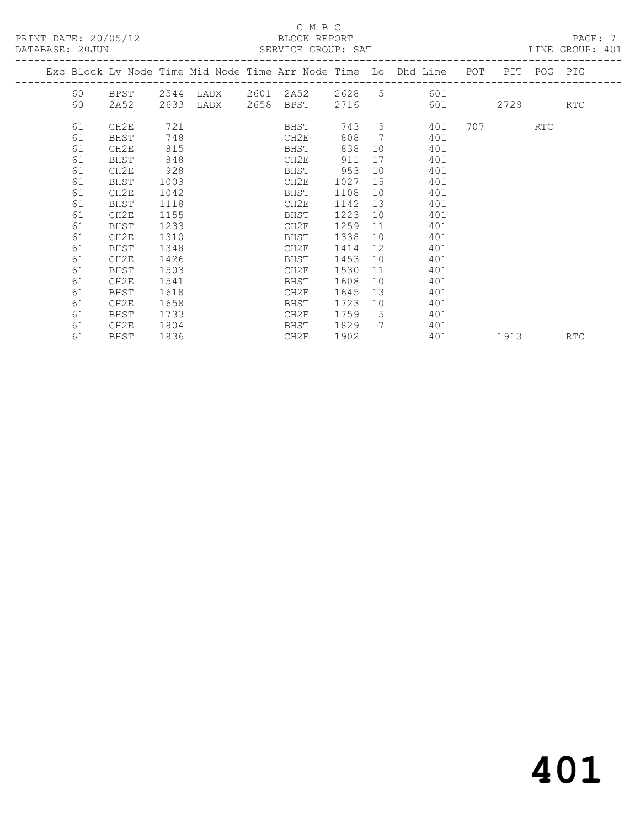#### C M B C DATA:<br>BATASE: 2000 SERVICE GROUP: 581

| DATABASE: ZUJUN |    |      |      |      | SERVICE GROUP: SAT         |      |                 |                                                                    |      |             | TIME GROOF: 40T |
|-----------------|----|------|------|------|----------------------------|------|-----------------|--------------------------------------------------------------------|------|-------------|-----------------|
|                 |    |      |      |      |                            |      |                 | Exc Block Lv Node Time Mid Node Time Arr Node Time Lo Dhd Line POT |      | PIT POG PIG |                 |
|                 | 60 | BPST |      |      | 2544 LADX 2601 2A52 2628 5 |      |                 | 601                                                                |      |             |                 |
|                 | 60 | 2A52 | 2633 | LADX | 2658 BPST                  | 2716 |                 | 601                                                                | 2729 |             | RTC             |
|                 | 61 | CH2E | 721  |      | BHST                       | 743  | 5               | 401                                                                | 707  | RTC         |                 |
|                 | 61 | BHST | 748  |      | CH2E                       | 808  | 7               | 401                                                                |      |             |                 |
|                 | 61 | CH2E | 815  |      | BHST                       | 838  | 10              | 401                                                                |      |             |                 |
|                 | 61 | BHST | 848  |      | CH2E                       | 911  | 17              | 401                                                                |      |             |                 |
|                 | 61 | CH2E | 928  |      | BHST                       | 953  | 10 <sup>°</sup> | 401                                                                |      |             |                 |
|                 | 61 | BHST | 1003 |      | CH2E                       | 1027 | 15              | 401                                                                |      |             |                 |
|                 | 61 | CH2E | 1042 |      | BHST                       | 1108 | 10              | 401                                                                |      |             |                 |
|                 | 61 | BHST | 1118 |      | CH2E                       | 1142 | 13              | 401                                                                |      |             |                 |
|                 | 61 | CH2E | 1155 |      | BHST                       | 1223 | 10              | 401                                                                |      |             |                 |
|                 | 61 | BHST | 1233 |      | CH2E                       | 1259 | 11              | 401                                                                |      |             |                 |
|                 | 61 | CH2E | 1310 |      | BHST                       | 1338 | 10              | 401                                                                |      |             |                 |
|                 | 61 | BHST | 1348 |      | CH2E                       | 1414 | 12              | 401                                                                |      |             |                 |
|                 | 61 | CH2E | 1426 |      | BHST                       | 1453 | 10              | 401                                                                |      |             |                 |
|                 | 61 | BHST | 1503 |      | CH2E                       | 1530 | 11              | 401                                                                |      |             |                 |
|                 | 61 | CH2E | 1541 |      | BHST                       | 1608 | 10              | 401                                                                |      |             |                 |
|                 | 61 | BHST | 1618 |      | CH2E                       | 1645 | 13              | 401                                                                |      |             |                 |
|                 | 61 | CH2E | 1658 |      | BHST                       | 1723 | 10              | 401                                                                |      |             |                 |
|                 | 61 | BHST | 1733 |      | CH2E                       | 1759 | $5^{\circ}$     | 401                                                                |      |             |                 |
|                 | 61 | CH2E | 1804 |      | BHST                       | 1829 | $7\phantom{.0}$ | 401                                                                |      |             |                 |
|                 | 61 | BHST | 1836 |      | CH2E                       | 1902 |                 | 401                                                                | 1913 |             | RTC             |
|                 |    |      |      |      |                            |      |                 |                                                                    |      |             |                 |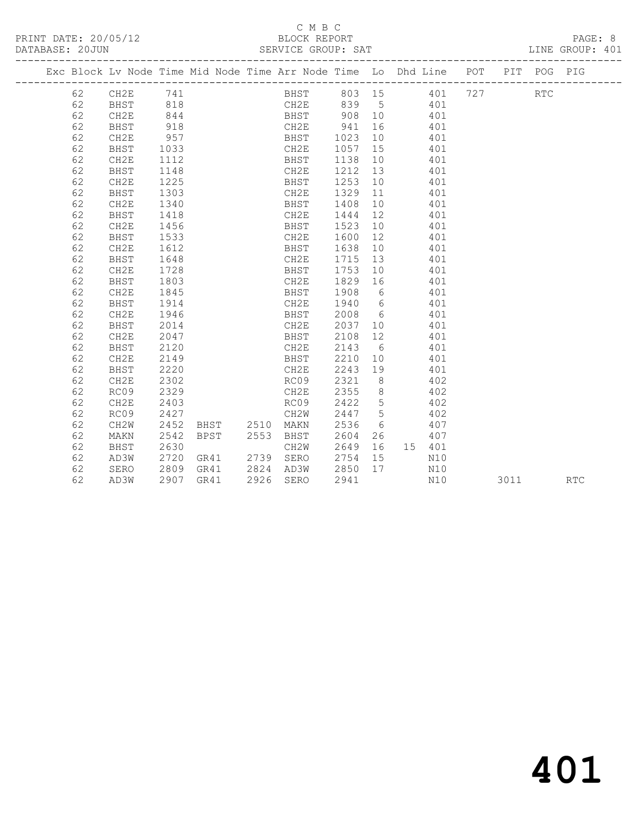|  |    |                   |      | Exc Block Lv Node Time Mid Node Time Arr Node Time Lo Dhd Line POT |      |                     |             |             |     |      | PIT POG PIG |            |
|--|----|-------------------|------|--------------------------------------------------------------------|------|---------------------|-------------|-------------|-----|------|-------------|------------|
|  | 62 | CH2E 741          |      |                                                                    |      | BHST 803 15 401 727 |             |             |     |      | <b>RTC</b>  |            |
|  | 62 | BHST              | 818  |                                                                    |      | CH2E 839 5 401      |             |             |     |      |             |            |
|  | 62 | CH2E              | 844  |                                                                    |      | BHST 908 10 401     |             |             |     |      |             |            |
|  | 62 | BHST              | 918  |                                                                    |      | CH2E 941            |             | 16 401      |     |      |             |            |
|  | 62 | CH2E              | 957  |                                                                    |      | BHST 1023           |             | 10 401      |     |      |             |            |
|  | 62 | BHST              | 1033 |                                                                    |      | CH2E                | 1057 15     |             | 401 |      |             |            |
|  | 62 | CH2E              | 1112 |                                                                    |      | BHST                | 1138 10     |             | 401 |      |             |            |
|  | 62 | BHST              | 1148 |                                                                    |      | CH2E                | 1212 13     |             | 401 |      |             |            |
|  | 62 | CH2E              | 1225 |                                                                    |      | BHST                | 1253 10     |             | 401 |      |             |            |
|  | 62 | BHST              | 1303 |                                                                    |      | CH2E                | 1329 11     |             | 401 |      |             |            |
|  | 62 | CH2E              | 1340 |                                                                    |      | BHST                | 1408 10     | 401         |     |      |             |            |
|  | 62 | BHST              | 1418 |                                                                    |      | CH2E                | 1444 12     | 401         |     |      |             |            |
|  | 62 | CH2E              | 1456 |                                                                    |      | BHST                | 1523 10     | 401         |     |      |             |            |
|  | 62 | BHST              | 1533 |                                                                    |      | CH2E                | 1600 12     |             | 401 |      |             |            |
|  | 62 | CH2E              | 1612 |                                                                    |      | BHST                | 1638 10     |             | 401 |      |             |            |
|  | 62 | BHST              | 1648 |                                                                    |      | CH2E                | 1715 13 401 |             |     |      |             |            |
|  | 62 | CH2E              | 1728 |                                                                    |      | BHST                | 1753 10     | 401         |     |      |             |            |
|  | 62 | <b>BHST</b>       | 1803 |                                                                    |      | CH2E                | 1829 16     | 401         |     |      |             |            |
|  | 62 | CH2E              | 1845 |                                                                    |      | BHST                | 1908 6      |             | 401 |      |             |            |
|  | 62 | BHST              | 1914 |                                                                    |      | CH2E                | 1940 6      |             | 401 |      |             |            |
|  | 62 | CH2E              | 1946 |                                                                    |      | BHST                | 2008 6      |             | 401 |      |             |            |
|  | 62 | BHST              | 2014 |                                                                    |      | CH2E                | 2037 10     |             | 401 |      |             |            |
|  | 62 | CH2E              | 2047 |                                                                    |      | BHST                | 2108 12     |             | 401 |      |             |            |
|  | 62 | BHST              | 2120 |                                                                    |      | CH2E                | 2143 6      |             | 401 |      |             |            |
|  | 62 | CH2E              | 2149 |                                                                    |      | BHST                | 2210 10 401 |             |     |      |             |            |
|  | 62 | BHST              | 2220 |                                                                    |      | CH2E                | 2243 19     | 401         |     |      |             |            |
|  | 62 | CH2E              | 2302 |                                                                    |      | RC09                | 2321 8      | 402         |     |      |             |            |
|  | 62 | RC09              | 2329 |                                                                    |      | CH2E                | 2355 8      | 402         |     |      |             |            |
|  | 62 | CH2E              | 2403 |                                                                    |      | RC09                | 2422 5      | 402         |     |      |             |            |
|  | 62 | RC09              | 2427 |                                                                    |      | CH2W                | 2447 5      | 402         |     |      |             |            |
|  | 62 | CH <sub>2</sub> W | 2452 | BHST 2510 MAKN                                                     |      |                     | 2536 6      | 407         |     |      |             |            |
|  | 62 | MAKN              | 2542 | <b>BPST</b>                                                        | 2553 | BHST                | 2604        | 26          | 407 |      |             |            |
|  | 62 | BHST              | 2630 |                                                                    |      | CH2W                | 2649        | 16  15  401 |     |      |             |            |
|  | 62 | AD3W              | 2720 | GR41                                                               |      | 2739 SERO           | 2754 15     |             | N10 |      |             |            |
|  | 62 | SERO              | 2809 | GR41 2824 AD3W                                                     |      |                     | 2850 17     |             | N10 |      |             |            |
|  | 62 | AD3W              |      | 2907 GR41                                                          |      | 2926 SERO           | 2941        |             | N10 | 3011 |             | <b>RTC</b> |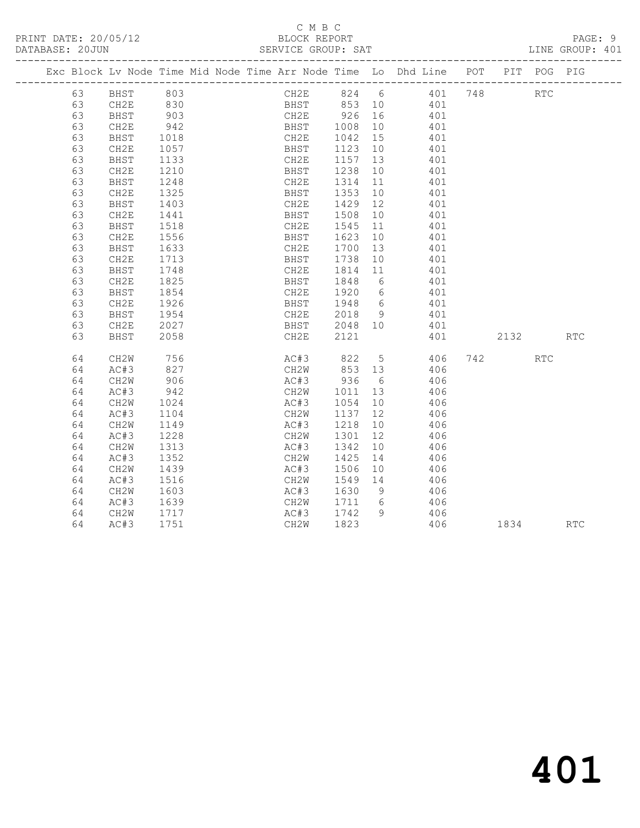|    |             |                  |  |                                      |                  |    | Exc Block Lv Node Time Mid Node Time Arr Node Time Lo Dhd Line POT |      | PIT POG PIG |                             |
|----|-------------|------------------|--|--------------------------------------|------------------|----|--------------------------------------------------------------------|------|-------------|-----------------------------|
| 63 | <b>BHST</b> | 803              |  |                                      |                  |    | CH2E 824 6 401 748                                                 |      | <b>RTC</b>  |                             |
| 63 | CH2E        | 830<br>903       |  |                                      |                  |    | BHST 853 10 401<br>CH2E 926 16 401<br>401                          |      |             |                             |
| 63 | BHST        |                  |  |                                      |                  |    |                                                                    |      |             |                             |
| 63 | CH2E        | 942              |  | BHST 1008                            |                  |    | 10 401                                                             |      |             |                             |
| 63 | BHST        | 1018<br>1057     |  | CH2E                                 | 1042 15          |    | 401                                                                |      |             |                             |
| 63 | CH2E        |                  |  | BHST                                 | 1123 10          |    | 401                                                                |      |             |                             |
| 63 | BHST        | 1133             |  | CH2E                                 | 1157 13          |    | 401                                                                |      |             |                             |
| 63 | CH2E        | 1210             |  | BHST                                 | 1238             | 10 | 401                                                                |      |             |                             |
| 63 | BHST        | 1248<br>1325     |  | CH2E<br>CH2E 1314 11<br>BHST 1353 10 | 1314 11          |    | 401                                                                |      |             |                             |
| 63 | CH2E        |                  |  |                                      |                  |    | 401                                                                |      |             |                             |
| 63 | BHST        | 1403             |  | CH2E                                 | 1429 12          |    | 401                                                                |      |             |                             |
| 63 | CH2E        | 1441             |  | BHST                                 | 1508             | 10 | 401                                                                |      |             |                             |
| 63 | BHST        | 1518             |  | CH2E                                 | 1545             | 11 | 401                                                                |      |             |                             |
| 63 | CH2E        | 1556             |  | BHST                                 | 1623 10          |    | 401                                                                |      |             |                             |
| 63 | BHST        | 1633             |  | CH2E                                 | 1700             | 13 | 401                                                                |      |             |                             |
| 63 | CH2E        | 1713             |  | BHST                                 | 1738             | 10 | 401                                                                |      |             |                             |
| 63 | BHST        | 1748             |  | CH2E                                 | 1814 11          |    | 401                                                                |      |             |                             |
| 63 | CH2E        | $\frac{1}{1825}$ |  | BHST 1848 6                          |                  |    | 401                                                                |      |             |                             |
| 63 | BHST        | 1854             |  | CH2E                                 |                  |    | 1920 6 401                                                         |      |             |                             |
| 63 | CH2E        | 1926             |  | BHST                                 | 1948 6<br>2018 9 |    | 401                                                                |      |             |                             |
| 63 | BHST        | 1954             |  | CH2E                                 |                  |    | 401                                                                |      |             |                             |
| 63 | CH2E        | 2027             |  | BHST 2048 10                         |                  |    | 401                                                                |      |             |                             |
| 63 | BHST        | 2058             |  | CH2E                                 | 2121             |    | 401                                                                | 2132 |             | $\mathop{\rm RTC}\nolimits$ |
| 64 | CH2W        | 756              |  |                                      |                  |    | AC#3 822 5 406                                                     | 742  | <b>RTC</b>  |                             |
| 64 | AC#3        | 827              |  |                                      |                  |    | CH2W 853 13 406                                                    |      |             |                             |
| 64 | CH2W        | 906              |  |                                      |                  |    | AC#3 936 6 406                                                     |      |             |                             |
| 64 | AC#3        | 942<br>1024      |  | CH2W 1011 13<br>AC#3 1054 10         |                  |    | 406                                                                |      |             |                             |
| 64 | CH2W        |                  |  | AC#3                                 | 1054 10          |    | 406                                                                |      |             |                             |
| 64 | AC#3        | 1104             |  | CH2W 1137 12                         |                  |    | 406                                                                |      |             |                             |
| 64 | CH2W        | 1149             |  | AC#3                                 | 1218             | 10 | 406                                                                |      |             |                             |
| 64 | AC#3        | 1228             |  | CH2W                                 | 1301             | 12 | 406                                                                |      |             |                             |
| 64 | CH2W        | $\frac{1}{1313}$ |  | AC#3                                 | 1342             | 10 | 406                                                                |      |             |                             |
| 64 | AC#3        | 1352             |  | CH2W                                 | 1425             |    | 14 406                                                             |      |             |                             |
| 64 | CH2W        | 1439             |  | AC#3                                 | 1506             | 10 | 406                                                                |      |             |                             |
| 64 | AC#3        | 1516             |  | CH2W                                 | 1549 14          |    | 406                                                                |      |             |                             |
| 64 | CH2W        | 1603             |  | AC#3                                 | 1630 9           |    |                                                                    |      |             |                             |
| 64 | AC#3        | 1639             |  | CH2W 1711 6                          |                  |    | 406                                                                |      |             |                             |
| 64 | CH2W        | 1717             |  | AC#3                                 | 1742 9           |    | 406                                                                |      |             |                             |
| 64 | AC#3        | 1751             |  | CH <sub>2</sub> W                    | 1823             |    | 406                                                                | 1834 |             | <b>RTC</b>                  |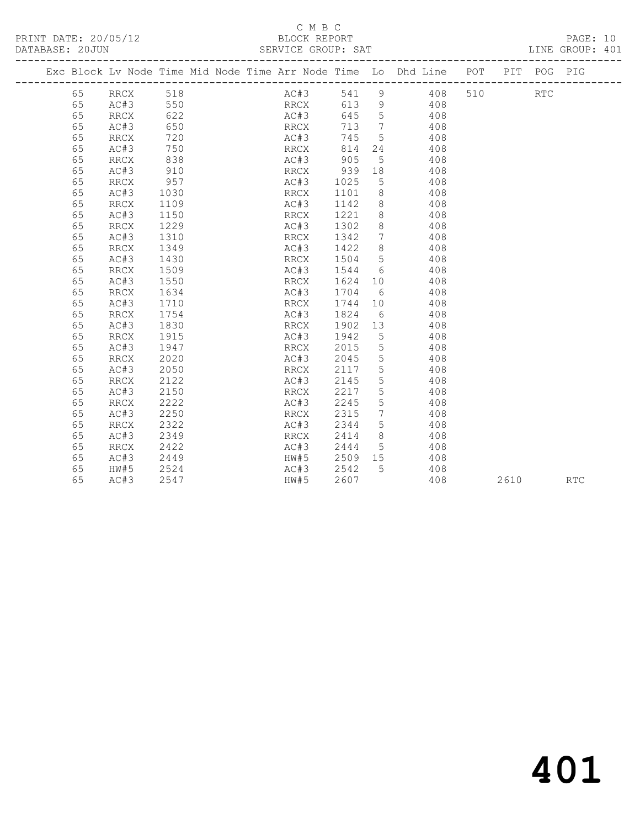PRINT DATE: 20/05/12 BLOCK REPORT<br>DATABASE: 20JUN SERVICE GROUP: SAT

#### C M B C<br>BLOCK REPORT

PAGE: 10<br>LINE GROUP: 401

|    | Exc Block Lv Node Time Mid Node Time Arr Node Time Lo Dhd Line POT |      |  |      |      |       |                 |            |     |     |      | PIT POG PIG |            |
|----|--------------------------------------------------------------------|------|--|------|------|-------|-----------------|------------|-----|-----|------|-------------|------------|
| 65 | RRCX                                                               | 518  |  |      | AC#3 | 541   | 9               |            | 408 | 510 |      | <b>RTC</b>  |            |
| 65 | AC#3                                                               | 550  |  |      | RRCX | 613 9 |                 |            | 408 |     |      |             |            |
| 65 | RRCX                                                               | 622  |  | AC#3 |      | 645   | $5^{\circ}$     |            | 408 |     |      |             |            |
| 65 | AC#3                                                               | 650  |  | RRCX |      | 713   | $\overline{7}$  |            | 408 |     |      |             |            |
| 65 | RRCX                                                               | 720  |  | AC#3 |      | 745   | $5\overline{)}$ |            | 408 |     |      |             |            |
| 65 | AC#3                                                               | 750  |  | RRCX |      | 814   | 24              |            | 408 |     |      |             |            |
| 65 | RRCX                                                               | 838  |  | AC#3 |      | 905   | $5\overline{)}$ |            | 408 |     |      |             |            |
| 65 | AC#3                                                               | 910  |  | RRCX |      | 939   | 18              |            | 408 |     |      |             |            |
| 65 | RRCX                                                               | 957  |  | AC#3 |      | 1025  | 5               |            | 408 |     |      |             |            |
| 65 | AC#3                                                               | 1030 |  | RRCX |      | 1101  | 8 <sup>8</sup>  |            | 408 |     |      |             |            |
| 65 | RRCX                                                               | 1109 |  | AC#3 |      | 1142  | 8               |            | 408 |     |      |             |            |
| 65 | AC#3                                                               | 1150 |  | RRCX |      | 1221  | 8               |            | 408 |     |      |             |            |
| 65 | RRCX                                                               | 1229 |  | AC#3 |      | 1302  | 8               |            | 408 |     |      |             |            |
| 65 | AC#3                                                               | 1310 |  | RRCX |      | 1342  | $\overline{7}$  |            | 408 |     |      |             |            |
| 65 | RRCX                                                               | 1349 |  | AC#3 |      | 1422  | 8               |            | 408 |     |      |             |            |
| 65 | AC#3                                                               | 1430 |  | RRCX |      | 1504  | $5\overline{)}$ |            | 408 |     |      |             |            |
| 65 | RRCX                                                               | 1509 |  | AC#3 |      | 1544  | 6               |            | 408 |     |      |             |            |
| 65 | AC#3                                                               | 1550 |  | RRCX |      | 1624  | 10              |            | 408 |     |      |             |            |
| 65 | RRCX                                                               | 1634 |  | AC#3 |      | 1704  | 6               |            | 408 |     |      |             |            |
| 65 | AC#3                                                               | 1710 |  | RRCX |      | 1744  | 10              |            | 408 |     |      |             |            |
| 65 | RRCX                                                               | 1754 |  | AC#3 |      | 1824  |                 | $6\degree$ | 408 |     |      |             |            |
| 65 | AC#3                                                               | 1830 |  | RRCX |      | 1902  | 13              |            | 408 |     |      |             |            |
| 65 | RRCX                                                               | 1915 |  | AC#3 |      | 1942  | $5\phantom{.0}$ |            | 408 |     |      |             |            |
| 65 | AC#3                                                               | 1947 |  | RRCX |      | 2015  | 5               |            | 408 |     |      |             |            |
| 65 | RRCX                                                               | 2020 |  | AC#3 |      | 2045  | 5               |            | 408 |     |      |             |            |
| 65 | AC#3                                                               | 2050 |  | RRCX |      | 2117  | 5               |            | 408 |     |      |             |            |
| 65 | RRCX                                                               | 2122 |  | AC#3 |      | 2145  | 5               |            | 408 |     |      |             |            |
| 65 | AC#3                                                               | 2150 |  | RRCX |      | 2217  | 5               |            | 408 |     |      |             |            |
| 65 | RRCX                                                               | 2222 |  | AC#3 |      | 2245  | 5               |            | 408 |     |      |             |            |
| 65 | AC#3                                                               | 2250 |  | RRCX |      | 2315  | 7               |            | 408 |     |      |             |            |
| 65 | RRCX                                                               | 2322 |  | AC#3 |      | 2344  | 5 <sup>5</sup>  |            | 408 |     |      |             |            |
| 65 | AC#3                                                               | 2349 |  | RRCX |      | 2414  | 8 <sup>8</sup>  |            | 408 |     |      |             |            |
| 65 | RRCX                                                               | 2422 |  | AC#3 |      | 2444  | $5\overline{)}$ |            | 408 |     |      |             |            |
| 65 | AC#3                                                               | 2449 |  | HW#5 |      | 2509  | 15              |            | 408 |     |      |             |            |
| 65 | HW#5                                                               | 2524 |  | AC#3 |      | 2542  | $5^{\circ}$     |            | 408 |     |      |             |            |
| 65 | AC#3                                                               | 2547 |  | HW#5 |      | 2607  |                 |            | 408 |     | 2610 |             | <b>RTC</b> |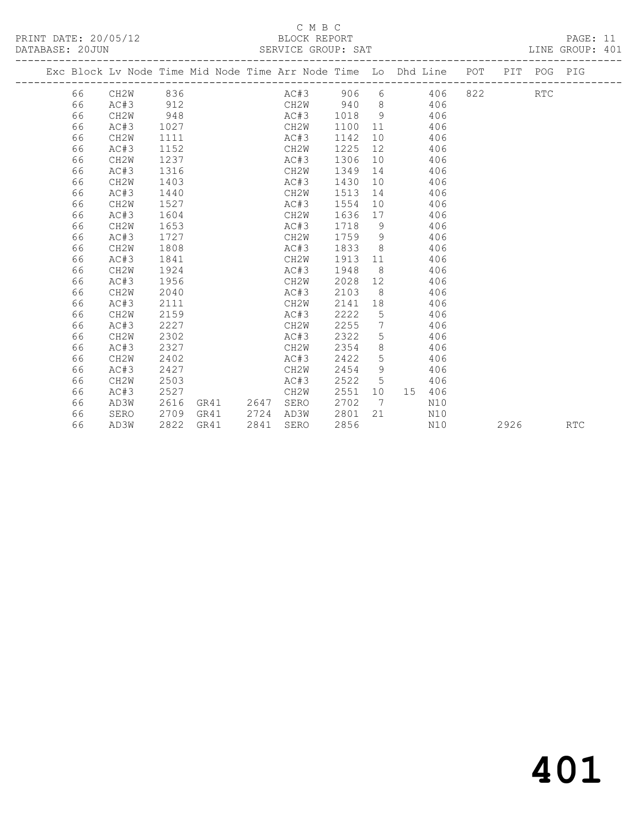### C M B C<br>BLOCK REPORT

|  | DATABASE: 20JUN |                   |      |  | SERVICE GROUP: SAT |         |                |                                                                                |  |            | LINE GROUP: 401 |  |
|--|-----------------|-------------------|------|--|--------------------|---------|----------------|--------------------------------------------------------------------------------|--|------------|-----------------|--|
|  |                 |                   |      |  |                    |         |                | Exc Block Lv Node Time Mid Node Time Arr Node Time Lo Dhd Line POT PIT POG PIG |  |            |                 |  |
|  | 66              | CH2W 836          |      |  | AC#3               |         |                | 906 6 406 822                                                                  |  | <b>RTC</b> |                 |  |
|  | 66              | AC#3              | 912  |  |                    |         |                | CH2W 940 8 406                                                                 |  |            |                 |  |
|  | 66              | CH2W              | 948  |  | AC#3               | 1018 9  |                | 406                                                                            |  |            |                 |  |
|  | 66              | AC#3              | 1027 |  | CH2W               | 1100 11 |                | 406                                                                            |  |            |                 |  |
|  | 66              | CH2W              | 1111 |  | AC#3               | 1142    |                | 10<br>406                                                                      |  |            |                 |  |
|  | 66              | AC#3              | 1152 |  | CH2W               | 1225    | 12             | 406                                                                            |  |            |                 |  |
|  | 66              | CH <sub>2</sub> W | 1237 |  | AC#3               | 1306    | 10             | 406                                                                            |  |            |                 |  |
|  | 66              | AC#3              | 1316 |  | CH2W               | 1349    |                | 14<br>406                                                                      |  |            |                 |  |
|  | 66              | CH2W              | 1403 |  | AC#3               | 1430    | 10             | 406                                                                            |  |            |                 |  |
|  | 66              | AC#3              | 1440 |  | CH2W               | 1513    |                | 406                                                                            |  |            |                 |  |
|  | 66              | CH2W              | 1527 |  | AC#3               | 1554    | 10             | 406                                                                            |  |            |                 |  |
|  | 66              | AC#3              | 1604 |  | CH2W               | 1636    | 17             | 406                                                                            |  |            |                 |  |
|  | 66              | CH2W              | 1653 |  | AC#3               | 1718 9  |                | 406                                                                            |  |            |                 |  |
|  | 66              | AC#3              | 1727 |  | CH2W               | 1759 9  |                | 406                                                                            |  |            |                 |  |
|  | 66              | CH2W              | 1808 |  | AC#3               | 1833    |                | $8 \overline{)}$<br>406                                                        |  |            |                 |  |
|  | 66              | AC#3              | 1841 |  | CH2W               | 1913    | 11             | 406                                                                            |  |            |                 |  |
|  | 66              | CH2W              | 1924 |  | AC#3               | 1948    |                | $8 \overline{)}$<br>406                                                        |  |            |                 |  |
|  | 66              | AC#3              | 1956 |  | CH2W               | 2028    |                | 406                                                                            |  |            |                 |  |
|  | 66              | CH <sub>2</sub> W | 2040 |  | AC#3               | 2103    | 8 <sup>8</sup> | 406                                                                            |  |            |                 |  |
|  | 66              | AC#3              | 2111 |  | CH2W               | 2141    | 18             | 406                                                                            |  |            |                 |  |
|  | 66              | CH <sub>2</sub> W | 2159 |  | AC#3               | 2222    | 5              | 406                                                                            |  |            |                 |  |
|  | 66              | AC#3              | 2227 |  | CH2W               | 2255    |                | $7\overline{ }$<br>406                                                         |  |            |                 |  |
|  | 66              | CH2W              | 2302 |  | AC#3               | 2322    | 5              | 406                                                                            |  |            |                 |  |
|  | 66              | AC#3              | 2327 |  | CH2W               | 2354    | 8              | 406                                                                            |  |            |                 |  |
|  | 66              | CH2W              | 2402 |  | AC#3               | 2422    | 5              | 406                                                                            |  |            |                 |  |
|  | 66              | AC#3              | 2427 |  | CH2W               | 2454    | 9              | 406                                                                            |  |            |                 |  |
|  | 66              | CH2W              | 2503 |  | AC#3               | 2522    | 5              | 406                                                                            |  |            |                 |  |
|  |                 |                   |      |  |                    |         |                |                                                                                |  |            |                 |  |

 66 AC#3 2527 CH2W 2551 10 15 406 66 AD3W 2616 GR41 2647 SERO 2702 7 N10 66 SERO 2709 GR41 2724 AD3W 2801 21 N10

66 AD3W 2822 GR41 2841 SERO 2856 N10 2926 RTC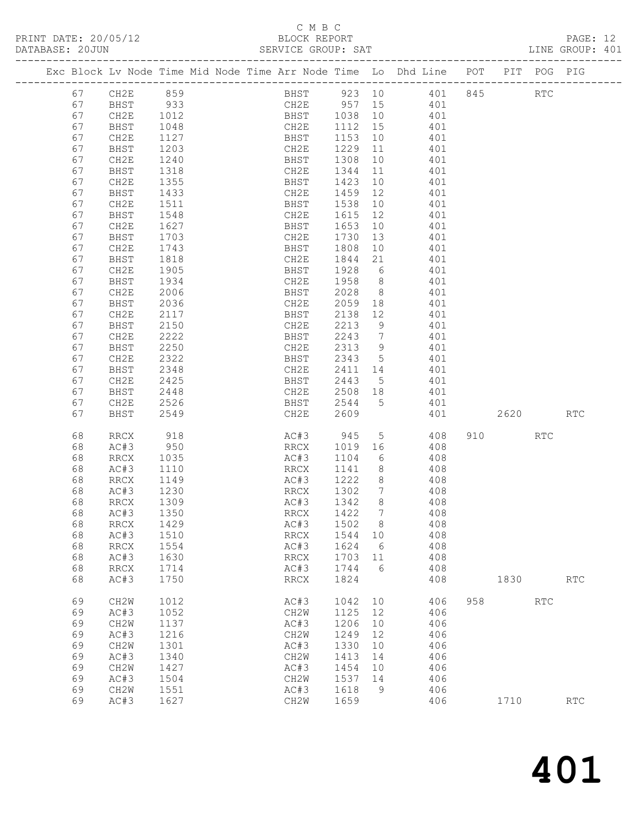#### C M B C<br>BLOCK REPORT

| DATABASE: 20JUN |    |                   |              |                                                                                | SERVICE GROUP: SAT                         |            |                 |                |     |     |          |            | LINE GROUP: 401      |  |
|-----------------|----|-------------------|--------------|--------------------------------------------------------------------------------|--------------------------------------------|------------|-----------------|----------------|-----|-----|----------|------------|----------------------|--|
|                 |    |                   |              | Exc Block Lv Node Time Mid Node Time Arr Node Time Lo Dhd Line POT PIT POG PIG |                                            |            |                 |                |     |     |          |            |                      |  |
|                 | 67 |                   |              | CH2E 859<br>BHST 933<br>BHST 933<br>AF 1012                                    | BHST 923 10 401 845 RTC<br>CH2E 957 15 401 |            |                 |                |     |     |          |            |                      |  |
|                 | 67 |                   |              |                                                                                |                                            |            |                 |                |     |     |          |            |                      |  |
|                 | 67 |                   |              |                                                                                | BHST 1038 10 401                           |            |                 |                |     |     |          |            |                      |  |
|                 | 67 | BHST              | 1048         |                                                                                | CH2E 1112 15                               |            |                 | 401            |     |     |          |            |                      |  |
|                 | 67 | CH2E              |              |                                                                                | BHST                                       | 1153 10    |                 |                | 401 |     |          |            |                      |  |
|                 | 67 | BHST              | 1127<br>1203 |                                                                                | CH2E                                       | 1229 11    |                 |                | 401 |     |          |            |                      |  |
|                 | 67 | CH2E              | 1240         |                                                                                | <b>BHST</b>                                | 1308       |                 | 10 401         |     |     |          |            |                      |  |
|                 | 67 | BHST              | 1318         |                                                                                | CH2E                                       | 1344       |                 | 11 401         |     |     |          |            |                      |  |
|                 | 67 | CH2E              | 1355         |                                                                                | BHST                                       | 1423       | 10              |                | 401 |     |          |            |                      |  |
|                 | 67 | BHST              | 1433         |                                                                                | CH2E                                       | 1459       | 12              |                | 401 |     |          |            |                      |  |
|                 | 67 | CH2E              | 1511         |                                                                                | BHST                                       | 1538       |                 | 10             | 401 |     |          |            |                      |  |
|                 | 67 | BHST              | 1548         |                                                                                | CH2E                                       | 1615       | 12              | 401            |     |     |          |            |                      |  |
|                 | 67 | CH2E              | 1627         |                                                                                | BHST                                       | 1653       | 10              |                | 401 |     |          |            |                      |  |
|                 | 67 | BHST              | 1703         |                                                                                | CH2E                                       | 1730       | 13              |                | 401 |     |          |            |                      |  |
|                 | 67 | CH2E              | 1743         |                                                                                | <b>BHST</b>                                | 1808       |                 | 10 401         |     |     |          |            |                      |  |
|                 | 67 | BHST              | 1818         |                                                                                | CH2E                                       | 1844       | 21              | 401            |     |     |          |            |                      |  |
|                 | 67 |                   |              |                                                                                |                                            | 1928 6     |                 |                |     |     |          |            |                      |  |
|                 |    | CH2E              | 1905         |                                                                                | BHST                                       | 1958 8     |                 |                | 401 |     |          |            |                      |  |
|                 | 67 | BHST              | 1934         |                                                                                | CH2E                                       |            |                 |                | 401 |     |          |            |                      |  |
|                 | 67 | CH2E              | 2006         |                                                                                | BHST                                       | 2028 8     |                 |                | 401 |     |          |            |                      |  |
|                 | 67 | BHST              | 2036         |                                                                                | CH2E                                       | 2059       |                 | 18 401         |     |     |          |            |                      |  |
|                 | 67 | CH2E              | 2117         |                                                                                | BHST                                       | 2138       | 12              | 401            |     |     |          |            |                      |  |
|                 | 67 | BHST              | 2150         |                                                                                | CH2E                                       | 2213       | 9               |                | 401 |     |          |            |                      |  |
|                 | 67 | CH2E              | 2222         |                                                                                | BHST                                       | 2243       | $7\overline{ }$ |                | 401 |     |          |            |                      |  |
|                 | 67 | BHST              | 2250         |                                                                                | CH2E                                       | 2313 9     |                 | 401            |     |     |          |            |                      |  |
|                 | 67 | CH2E              | 2322         |                                                                                | BHST                                       | 2343 5 401 |                 |                |     |     |          |            |                      |  |
|                 | 67 | BHST              | 2348         |                                                                                | CH2E                                       | 2411 14    |                 |                | 401 |     |          |            |                      |  |
|                 | 67 | CH2E              | 2425         |                                                                                | BHST                                       | 2443 5     |                 |                | 401 |     |          |            |                      |  |
|                 | 67 | BHST              | 2448         |                                                                                | CH2E                                       | 2508 18    |                 | 401            |     |     |          |            |                      |  |
|                 | 67 | CH2E              | 2526         |                                                                                | <b>BHST</b>                                | 2544       | 5 <sup>5</sup>  |                | 401 |     |          |            |                      |  |
|                 | 67 | BHST              | 2549         |                                                                                | CH2E                                       | 2609       |                 |                | 401 |     | 2620     |            | <b>RTC</b>           |  |
|                 | 68 | RRCX              | 918          |                                                                                | AC#3 945                                   |            |                 | $5\overline{}$ | 408 |     | 910 — 10 | <b>RTC</b> |                      |  |
|                 | 68 | AC#3              | 950          |                                                                                | RRCX                                       | 1019 16    |                 |                | 408 |     |          |            |                      |  |
|                 | 68 | RRCX              | 1035         |                                                                                | AC#3                                       | 1104       | 6               |                | 408 |     |          |            |                      |  |
|                 | 68 | AC#3              | 1110         |                                                                                | RRCX                                       | 1141 8     |                 |                | 408 |     |          |            |                      |  |
|                 | 68 | RRCX              | 1149         |                                                                                | AC#3 1222 8 408                            |            |                 |                |     |     |          |            |                      |  |
|                 | 68 | AC#3              | 1230         |                                                                                | RRCX                                       | 1302 7     |                 |                | 408 |     |          |            |                      |  |
|                 | 68 | RRCX              | 1309         |                                                                                | AC#3                                       | 1342       | 8 <sup>8</sup>  |                | 408 |     |          |            |                      |  |
|                 |    | 68 AC#3 1350      |              |                                                                                | RRCX 1422 7                                |            |                 |                | 408 |     |          |            |                      |  |
|                 | 68 | RRCX              | 1429         |                                                                                | AC#3                                       | 1502       | 8               |                | 408 |     |          |            |                      |  |
|                 | 68 | AC#3              | 1510         |                                                                                | RRCX                                       | 1544       | 10              |                | 408 |     |          |            |                      |  |
|                 | 68 | <b>RRCX</b>       | 1554         |                                                                                | AC#3                                       | 1624       | 6               |                | 408 |     |          |            |                      |  |
|                 | 68 | AC#3              | 1630         |                                                                                | $\mathop{\rm RRCX}\nolimits$               | 1703       | 11              |                | 408 |     |          |            |                      |  |
|                 | 68 | <b>RRCX</b>       | 1714         |                                                                                | AC#3                                       | 1744       | 6               |                | 408 |     |          |            |                      |  |
|                 | 68 | AC#3              | 1750         |                                                                                | RRCX                                       | 1824       |                 |                | 408 |     | 1830     |            | $\operatorname{RTC}$ |  |
|                 | 69 | CH2W              | 1012         |                                                                                | AC#3                                       | 1042       | 10              |                | 406 | 958 |          | <b>RTC</b> |                      |  |
|                 | 69 | AC#3              | 1052         |                                                                                | CH2W                                       | 1125       | 12              |                | 406 |     |          |            |                      |  |
|                 | 69 | CH <sub>2</sub> W | 1137         |                                                                                | AC#3                                       | 1206       | $10$            |                | 406 |     |          |            |                      |  |
|                 | 69 | AC#3              | 1216         |                                                                                | CH2W                                       | 1249       | 12              |                | 406 |     |          |            |                      |  |
|                 | 69 | CH2W              | 1301         |                                                                                | AC#3                                       | 1330       | 10              |                | 406 |     |          |            |                      |  |
|                 | 69 | AC#3              | 1340         |                                                                                | CH2W                                       | 1413       | 14              |                | 406 |     |          |            |                      |  |
|                 | 69 | CH2W              | 1427         |                                                                                | AC#3                                       | 1454       | 10              |                | 406 |     |          |            |                      |  |
|                 | 69 | AC#3              | 1504         |                                                                                | CH2W                                       | 1537       | 14              |                | 406 |     |          |            |                      |  |
|                 | 69 | CH2W              | 1551         |                                                                                | AC#3                                       | 1618       | 9               |                | 406 |     |          |            |                      |  |
|                 | 69 | AC#3              | 1627         |                                                                                | CH2W                                       | 1659       |                 |                | 406 |     | 1710     |            | $\operatorname{RTC}$ |  |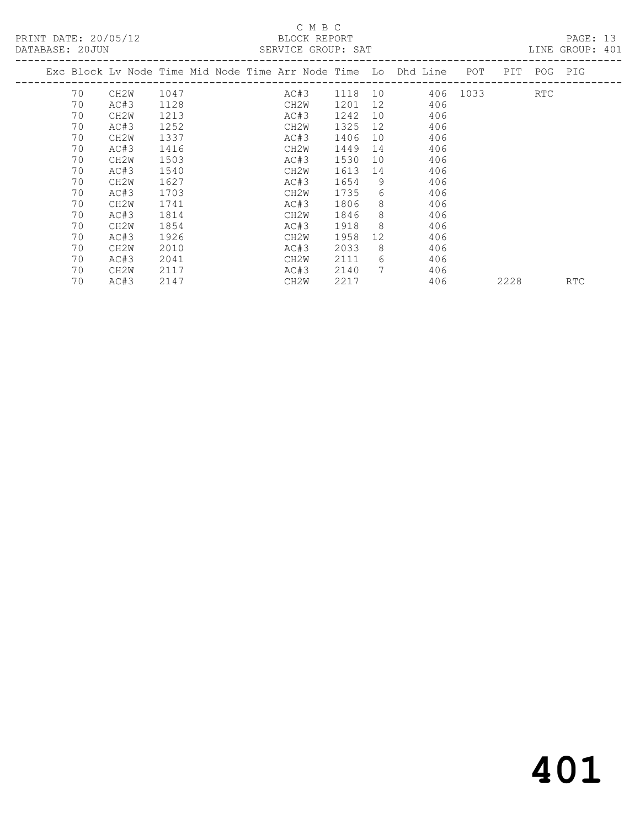PRINT DATE: 20/05/12 BLOCK REPORT<br>DATABASE: 20JUN SERVICE GROUP: SAT

#### C M B C<br>BLOCK REPORT

PAGE: 13<br>LINE GROUP: 401

|    |                   |      |  |      |      |                 | Exc Block Lv Node Time Mid Node Time Arr Node Time Lo Dhd Line POT |          |      | PIT POG PIG |            |
|----|-------------------|------|--|------|------|-----------------|--------------------------------------------------------------------|----------|------|-------------|------------|
| 70 | CH2W              | 1047 |  | AC#3 | 1118 |                 |                                                                    | 406 1033 |      | RTC.        |            |
| 70 | AC#3              | 1128 |  | CH2W | 1201 | 12              | 406                                                                |          |      |             |            |
| 70 | CH2W              | 1213 |  | AC#3 | 1242 | 10              | 406                                                                |          |      |             |            |
| 70 | AC#3              | 1252 |  | CH2W | 1325 | 12              | 406                                                                |          |      |             |            |
| 70 | CH <sub>2</sub> W | 1337 |  | AC#3 | 1406 | 10              | 406                                                                |          |      |             |            |
| 70 | AC#3              | 1416 |  | CH2W | 1449 | 14              | 406                                                                |          |      |             |            |
| 70 | CH2W              | 1503 |  | AC#3 | 1530 | 10              | 406                                                                |          |      |             |            |
| 70 | AC#3              | 1540 |  | CH2W | 1613 | 14              | 406                                                                |          |      |             |            |
| 70 | CH2W              | 1627 |  | AC#3 | 1654 | 9               | 406                                                                |          |      |             |            |
| 70 | AC#3              | 1703 |  | CH2W | 1735 | 6               | 406                                                                |          |      |             |            |
| 70 | CH <sub>2</sub> W | 1741 |  | AC#3 | 1806 | 8               | 406                                                                |          |      |             |            |
| 70 | AC#3              | 1814 |  | CH2W | 1846 | 8               | 406                                                                |          |      |             |            |
| 70 | CH <sub>2</sub> W | 1854 |  | AC#3 | 1918 | 8               | 406                                                                |          |      |             |            |
| 70 | AC#3              | 1926 |  | CH2W | 1958 | 12 <sup>°</sup> | 406                                                                |          |      |             |            |
| 70 | CH2W              | 2010 |  | AC#3 | 2033 | 8               | 406                                                                |          |      |             |            |
| 70 | AC#3              | 2041 |  | CH2W | 2111 | 6               | 406                                                                |          |      |             |            |
| 70 | CH2W              | 2117 |  | AC#3 | 2140 | 7               | 406                                                                |          |      |             |            |
| 70 | AC#3              | 2147 |  | CH2W | 2217 |                 | 406                                                                |          | 2228 |             | <b>RTC</b> |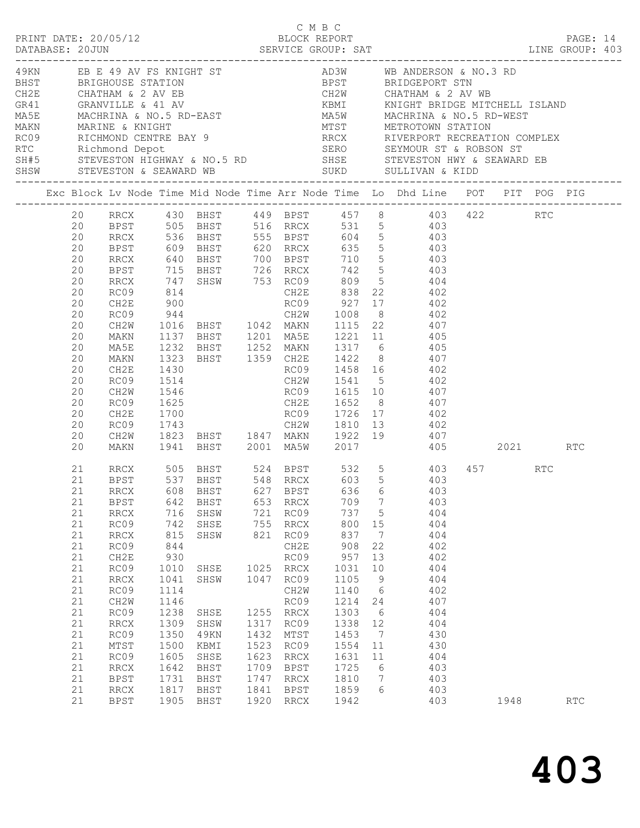|          |                    |              |              | C M B C        |                      |                 |                 |                                                                                                                          |      |     |  |
|----------|--------------------|--------------|--------------|----------------|----------------------|-----------------|-----------------|--------------------------------------------------------------------------------------------------------------------------|------|-----|--|
|          |                    |              |              |                |                      |                 |                 |                                                                                                                          |      |     |  |
|          |                    |              |              |                |                      |                 |                 |                                                                                                                          |      |     |  |
|          |                    |              |              |                |                      |                 |                 |                                                                                                                          |      |     |  |
|          |                    |              |              |                |                      |                 |                 |                                                                                                                          |      |     |  |
|          |                    |              |              |                |                      |                 |                 |                                                                                                                          |      |     |  |
|          |                    |              |              |                |                      |                 |                 |                                                                                                                          |      |     |  |
|          |                    |              |              |                |                      |                 |                 |                                                                                                                          |      |     |  |
|          |                    |              |              |                |                      |                 |                 | Exc Block Lv Node Time Mid Node Time Arr Node Time Lo Dhd Line POT PIT POG PIG                                           |      |     |  |
|          |                    |              |              |                |                      |                 |                 | 20 RRCX 430 BHST 449 BPST 457 8 403 422 RTC                                                                              |      |     |  |
|          |                    |              |              |                |                      |                 |                 | 20 BPST 505 BHST 516 RRCX 531 5 403<br>20 RRCX 536 BHST 555 BPST 604 5 403<br>20 BPST 609 BHST 620 RRCX 635 5 403        |      |     |  |
|          |                    |              |              |                |                      |                 |                 |                                                                                                                          |      |     |  |
|          |                    |              |              |                |                      |                 |                 |                                                                                                                          |      |     |  |
| 20       |                    |              |              |                |                      |                 |                 | RRCX 640 BHST 700 BPST 710 5 403                                                                                         |      |     |  |
| 20       |                    |              |              |                |                      |                 |                 |                                                                                                                          |      |     |  |
| 20<br>20 |                    |              |              |                |                      |                 |                 |                                                                                                                          |      |     |  |
| 20       |                    |              |              |                |                      |                 |                 | REST 715 BHST 726 RRCX 742 5<br>RRCX 747 SHSW 753 RC09 809 5 404<br>RC09 814 CH2E 838 22 402<br>CH2E 900 RC09 927 17 402 |      |     |  |
| 20       | RC09               |              |              |                |                      |                 |                 | 944 CH2W 1008 8 402                                                                                                      |      |     |  |
| 20       | CH2W               |              |              |                |                      |                 |                 |                                                                                                                          |      |     |  |
| 20       | MAKN               |              |              |                |                      |                 |                 |                                                                                                                          |      |     |  |
| 20       | MA5E               |              |              |                |                      |                 |                 | 1016 BHST 1042 MAKN 1115 22 407<br>1137 BHST 1201 MA5E 1221 11 405<br>1232 BHST 1252 MAKN 1317 6 405                     |      |     |  |
| 20       | MAKN               |              |              |                |                      |                 |                 | 1323 BHST 1359 CH2E 1422 8 407                                                                                           |      |     |  |
| 20       | CH2E               | 1430         |              |                |                      |                 |                 | RC09 1458 16 402                                                                                                         |      |     |  |
| 20       | RC09               | 1514<br>1546 |              |                |                      |                 |                 | CH2W 1541 5 402<br>RC09 1615 10 407                                                                                      |      |     |  |
| 20       | CH2W               |              |              |                |                      |                 |                 |                                                                                                                          |      |     |  |
| 20       | RC09               |              |              |                |                      |                 |                 | 1625 CH2E 1652 8 407                                                                                                     |      |     |  |
| 20<br>20 | CH2E<br>RC09       | 1700         |              |                |                      |                 |                 |                                                                                                                          |      |     |  |
| 20       | CH2W               |              |              |                |                      |                 |                 |                                                                                                                          |      |     |  |
| 20       |                    |              |              |                |                      |                 |                 | MAKN 1941 BHST 2001 MA5W 2017 405 2021 RTC                                                                               |      |     |  |
| 21       |                    |              |              |                |                      |                 |                 | RRCX 505 BHST 524 BPST 532 5 403 457 RTC<br>BPST 537 BHST 548 RRCX 603 5 403                                             |      |     |  |
| 21       |                    |              |              |                |                      |                 |                 |                                                                                                                          |      |     |  |
|          |                    |              |              |                |                      |                 |                 | 21 RRCX 608 BHST 627 BPST 636 6 403                                                                                      |      |     |  |
| 21<br>21 | BPST               | 642<br>716   | BHST         |                | 653 RRCX<br>721 RC09 | 709<br>737 5    | $\overline{7}$  | 403<br>404                                                                                                               |      |     |  |
| 21       | RRCX<br>RC09       | 742          | SHSW<br>SHSE |                | 755 RRCX             | 800             | 15              | 404                                                                                                                      |      |     |  |
| 21       | RRCX               | 815          | SHSW         | 821            | RC09                 | 837             | $\overline{7}$  | 404                                                                                                                      |      |     |  |
| 21       | RC09               | 844          |              |                | CH2E                 | 908             | 22              | 402                                                                                                                      |      |     |  |
| 21       | CH2E               | 930          |              |                | RC09                 | 957             | 13              | 402                                                                                                                      |      |     |  |
| 21       | RC09               | 1010         |              | SHSE 1025 RRCX |                      | 1031            | 10              | 404                                                                                                                      |      |     |  |
| 21       | RRCX               | 1041         | SHSW         | 1047           | RC09                 | 1105            | $\overline{9}$  | 404                                                                                                                      |      |     |  |
| 21       | RC09               | 1114         |              |                | CH2W                 | 1140            | $6\overline{6}$ | 402                                                                                                                      |      |     |  |
| 21       | CH2W               | 1146         |              |                | RC09                 | 1214            | 24              | 407                                                                                                                      |      |     |  |
| 21       | RC09               | 1238         | SHSE         |                | 1255 RRCX            | 1303            | 6               | 404                                                                                                                      |      |     |  |
| 21       | RRCX               | 1309         | SHSW         | 1317           | RC09                 | 1338 12         |                 | 404                                                                                                                      |      |     |  |
| 21       | RC09               | 1350         | 49KN         | 1432           | MTST                 | 1453            | $\overline{7}$  | 430                                                                                                                      |      |     |  |
| 21       | $\mathtt{MTST}$    | 1500         | KBMI         | 1523<br>1623   | RC09                 | 1554 11         |                 | 430                                                                                                                      |      |     |  |
| 21<br>21 | RC09<br>$\rm RRCX$ | 1605<br>1642 | SHSE<br>BHST | 1709           | RRCX<br>BPST         | 1631 11<br>1725 | 6               | 404<br>403                                                                                                               |      |     |  |
| 21       | BPST               | 1731         | BHST         | 1747           | RRCX                 | 1810            | $\overline{7}$  | 403                                                                                                                      |      |     |  |
| 21       | RRCX               | 1817         | BHST         | 1841           | BPST                 | 1859            | 6               | 403                                                                                                                      |      |     |  |
| 21       | BPST               | 1905         | BHST         | 1920 RRCX      |                      | 1942            |                 | 403                                                                                                                      | 1948 | RTC |  |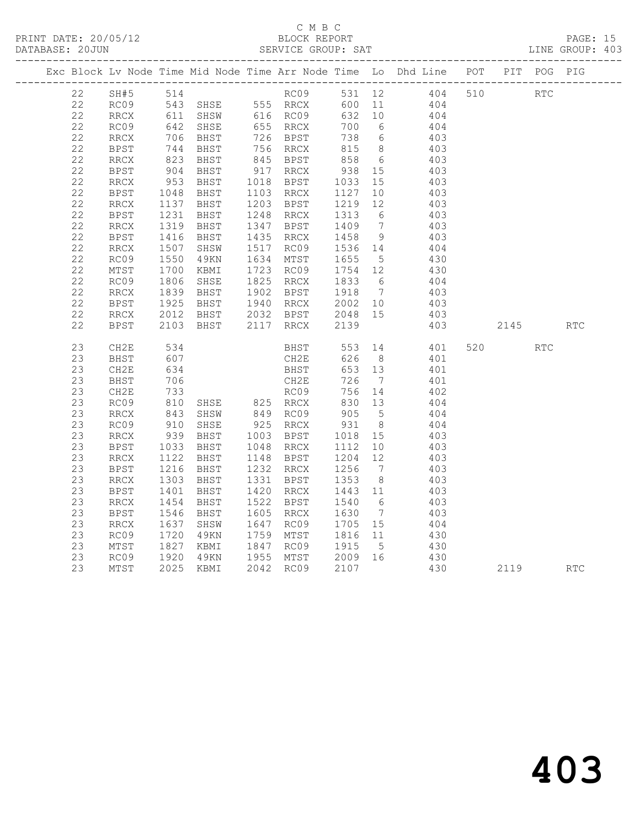|    |             |                              |                                              |                                        |                   |                 | Exc Block Lv Node Time Mid Node Time Arr Node Time Lo Dhd Line POT PIT POG PIG                             |          |            |            |
|----|-------------|------------------------------|----------------------------------------------|----------------------------------------|-------------------|-----------------|------------------------------------------------------------------------------------------------------------|----------|------------|------------|
|    |             |                              |                                              |                                        |                   |                 | 22 SH#5 514 RC09 531 12 404 510 RTC                                                                        |          |            |            |
| 22 |             |                              |                                              |                                        |                   |                 | RC09 543 SHSE 555 RRCX 600 11 404<br>RRCX 611 SHSW 616 RC09 632 10 404<br>RC09 642 SHSE 655 RRCX 700 6 404 |          |            |            |
| 22 |             |                              |                                              |                                        |                   |                 |                                                                                                            |          |            |            |
| 22 |             |                              |                                              |                                        |                   |                 |                                                                                                            |          |            |            |
| 22 | RRCX        |                              | 706 BHST<br>744 BHST<br>823 BHST<br>904 BHST |                                        |                   |                 |                                                                                                            |          |            |            |
| 22 | <b>BPST</b> |                              |                                              |                                        |                   |                 |                                                                                                            |          |            |            |
| 22 | RRCX        |                              |                                              |                                        |                   |                 | 6 403                                                                                                      |          |            |            |
| 22 | BPST        |                              |                                              |                                        |                   |                 | 403                                                                                                        |          |            |            |
| 22 | RRCX        | 953                          | BHST                                         | 1018 BPST 1033 15                      |                   |                 | 403                                                                                                        |          |            |            |
| 22 | <b>BPST</b> | 1048<br>1137                 | BHST                                         | 1103 RRCX 1127 10<br>1203 BPST 1219 12 |                   |                 | $403$<br>$403$                                                                                             |          |            |            |
| 22 | RRCX        |                              | BHST                                         |                                        |                   |                 |                                                                                                            |          |            |            |
| 22 | BPST        | 1231<br>1319                 | BHST                                         | 1248 RRCX                              |                   |                 | 1248 RRCX 1313 6 403<br>1347 BPST 1409 7 403                                                               |          |            |            |
| 22 | RRCX        |                              | BHST                                         |                                        |                   |                 |                                                                                                            |          |            |            |
| 22 | BPST        | 1416<br>1416<br>1507<br>1550 | BHST                                         | 1435 RRCX                              |                   |                 | 1458 9 403                                                                                                 |          |            |            |
| 22 | RRCX        |                              | SHSW                                         |                                        |                   |                 | 1517 RC09 1536 14 404<br>1634 MTST 1655 5 430                                                              |          |            |            |
| 22 | RC09        |                              | 49KN                                         | 1634 MTST                              |                   |                 |                                                                                                            |          |            |            |
| 22 | MTST        | 1700<br>1806                 | KBMI                                         |                                        |                   |                 | 1723 RC09 1754 12 430<br>1825 RRCX 1833 6 404                                                              |          |            |            |
| 22 | RC09        |                              | SHSE                                         | 1825 RRCX                              |                   |                 |                                                                                                            |          |            |            |
| 22 | RRCX        |                              |                                              |                                        |                   |                 | 1839 BHST 1902 BPST 1918 7 403<br>1925 BHST 1940 RRCX 2002 10 403                                          |          |            |            |
| 22 | BPST        |                              |                                              |                                        |                   |                 |                                                                                                            |          |            |            |
| 22 | RRCX        |                              | 2012 BHST 2032 BPST 2048 15                  |                                        |                   |                 | 403                                                                                                        |          |            |            |
| 22 | <b>BPST</b> | 2103                         |                                              | BHST 2117 RRCX 2139                    |                   |                 | 403                                                                                                        | 2145     |            | <b>RTC</b> |
| 23 | CH2E        | 534<br>607                   |                                              | BHST 553 14<br>CH2E 626 8              |                   |                 | $\frac{14}{8}$ $\frac{401}{401}$                                                                           | 520      | <b>RTC</b> |            |
| 23 | BHST        |                              |                                              |                                        |                   |                 | 401                                                                                                        |          |            |            |
| 23 | CH2E        | 634                          |                                              | <b>BHST</b>                            | 653 13            |                 | 401                                                                                                        |          |            |            |
| 23 | BHST        | 706                          |                                              | CH2E                                   | 726               | $7\overline{ }$ | 401                                                                                                        |          |            |            |
| 23 | CH2E        |                              |                                              |                                        |                   |                 |                                                                                                            |          |            |            |
| 23 | RC09        |                              |                                              |                                        |                   |                 |                                                                                                            |          |            |            |
| 23 | RRCX        |                              |                                              |                                        |                   |                 |                                                                                                            |          |            |            |
| 23 | RC09        |                              | 910 SHSE<br>939 BHST                         |                                        |                   |                 | 404                                                                                                        |          |            |            |
| 23 | RRCX        |                              |                                              |                                        |                   |                 | 403                                                                                                        |          |            |            |
| 23 | BPST        | 1033                         | BHST                                         | 1048 RRCX                              | 1112 10           |                 | 403                                                                                                        |          |            |            |
| 23 | <b>RRCX</b> | 1122<br>1216                 | BHST                                         | 1148 BPST                              |                   |                 | 1204 12 403<br>1256 7 403                                                                                  |          |            |            |
| 23 | <b>BPST</b> |                              | BHST                                         | 1232 RRCX                              |                   |                 |                                                                                                            |          |            |            |
| 23 | RRCX        | 1303<br>1401                 | BHST                                         | 1331 BPST                              | 1353 8<br>1443 11 |                 | $403$<br>$403$                                                                                             |          |            |            |
| 23 | <b>BPST</b> |                              | BHST                                         | 1420 RRCX                              |                   |                 |                                                                                                            |          |            |            |
| 23 | RRCX        | $1454$<br>$1546$<br>$1637$   | BHST                                         | 1522 BPST                              | 1540 6            |                 | 403                                                                                                        |          |            |            |
| 23 | BPST        |                              | BHST                                         | 1605 RRCX 1630 7<br>1647 RC09 1705 15  |                   |                 | 403                                                                                                        |          |            |            |
| 23 | RRCX        |                              | SHSW                                         |                                        |                   |                 | 404                                                                                                        |          |            |            |
| 23 | RC09        | 1720<br>1827                 | 49KN                                         | 1759 MTST 1816 11<br>1847 RC09 1915 5  |                   |                 | 430<br>430                                                                                                 |          |            |            |
| 23 | MTST        |                              | KBMI                                         |                                        |                   |                 |                                                                                                            |          |            |            |
| 23 | RC09        | 1920<br>2025                 | 49KN                                         |                                        |                   |                 |                                                                                                            |          |            |            |
| 23 | MTST        |                              | 2025 KBMI                                    | 2042 RC09                              | 2107              |                 | 430                                                                                                        | 2119 RTC |            |            |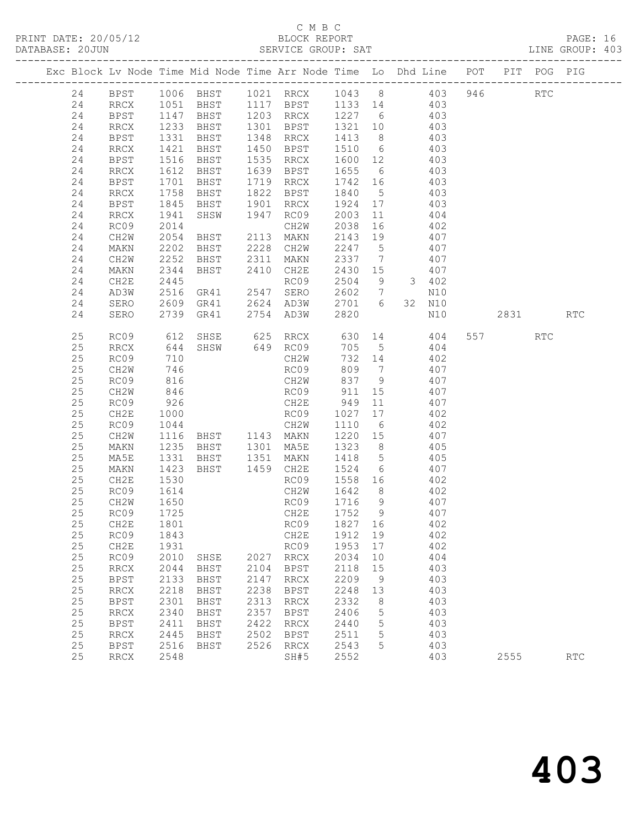### C M B C<br>BLOCK REPORT

| DATABASE: 20JUN |    | ------------------- |                   |                |      | SERVICE GROUP: SAT                                                                                                      |             |                |                                                                          |            |      |     | LINE GROUP: 403 |  |
|-----------------|----|---------------------|-------------------|----------------|------|-------------------------------------------------------------------------------------------------------------------------|-------------|----------------|--------------------------------------------------------------------------|------------|------|-----|-----------------|--|
|                 |    |                     |                   |                |      | Exc Block Lv Node Time Mid Node Time Arr Node Time Lo Dhd Line POT PIT POG PIG                                          |             |                |                                                                          |            |      |     |                 |  |
|                 | 24 |                     |                   |                |      | BPST 1006 BHST 1021 RRCX 1043 8 403 946 RTC                                                                             |             |                |                                                                          |            |      |     |                 |  |
|                 | 24 |                     |                   |                |      | RRCX 1051 BHST 1117 BPST 1133 14 403                                                                                    |             |                |                                                                          |            |      |     |                 |  |
|                 | 24 | <b>BPST</b>         |                   |                |      | 1147 BHST 1203 RRCX 1227 6 403<br>1233 BHST 1301 BPST 1321 10 403<br>1331 BHST 1348 RRCX 1413 8 403                     |             |                |                                                                          |            |      |     |                 |  |
|                 | 24 | RRCX                |                   |                |      |                                                                                                                         |             |                |                                                                          |            |      |     |                 |  |
|                 | 24 | BPST                |                   |                |      |                                                                                                                         |             |                |                                                                          |            |      |     |                 |  |
|                 | 24 | RRCX                | 1421              |                |      | BHST 1450 BPST 1510 6 403                                                                                               |             |                |                                                                          |            |      |     |                 |  |
|                 | 24 | <b>BPST</b>         | 1516              | <b>BHST</b>    |      | 1535 RRCX 1600 12 403                                                                                                   |             |                |                                                                          |            |      |     |                 |  |
|                 | 24 | RRCX                | 1612<br>1701      |                |      | 1639 BPST 1655 6 403<br>1719 RRCX 1742 16 403                                                                           |             |                |                                                                          |            |      |     |                 |  |
|                 | 24 | BPST                |                   | BHST<br>BHST   |      |                                                                                                                         |             |                |                                                                          |            |      |     |                 |  |
|                 | 24 | RRCX                | 1758              |                |      | BHST 1822 BPST 1840 5 403                                                                                               |             |                |                                                                          |            |      |     |                 |  |
|                 | 24 | BPST                | 1845              | BHST           |      | 1901 RRCX                                                                                                               | 1924 17 403 |                |                                                                          |            |      |     |                 |  |
|                 | 24 | RRCX                | 1941<br>2014      | SHSW 1947 RC09 |      |                                                                                                                         |             |                |                                                                          |            |      |     |                 |  |
|                 | 24 | RC09                |                   |                |      | CH2W                                                                                                                    |             |                | $\begin{array}{cccc} 2003 & 11 & & 404 \\ 2038 & 16 & & 402 \end{array}$ |            |      |     |                 |  |
|                 | 24 | CH2W                | 2054              |                |      | BHST 2113 MAKN                                                                                                          |             |                | 2143 19 407                                                              |            |      |     |                 |  |
|                 | 24 | MAKN                | 2202              |                |      | BHST 2228 CH2W                                                                                                          | 2247 5      |                | 407                                                                      |            |      |     |                 |  |
|                 | 24 | CH2W                | 2252              |                |      | BHST 2311 MAKN 2337 7<br>BHST 2410 CH2E 2430 15                                                                         |             |                |                                                                          | 407        |      |     |                 |  |
|                 | 24 | MAKN                | 2344              |                |      |                                                                                                                         | $2430$ 15   |                |                                                                          | 407        |      |     |                 |  |
|                 | 24 | CH2E                | 2445              |                |      | ENSI 2110 00209<br>RC09<br>GR41 2547 SERO                                                                               |             |                | $2504$ 9 3 402                                                           |            |      |     |                 |  |
|                 | 24 | AD3W                | 2516              |                |      |                                                                                                                         | 2602 7      |                |                                                                          | N10        |      |     |                 |  |
|                 | 24 | SERO                | 2609              |                |      |                                                                                                                         |             |                |                                                                          |            |      |     |                 |  |
|                 | 24 | SERO                |                   |                |      | 2609 GR41 2624 AD3W 2701 6 32 N10<br>2739 GR41 2754 AD3W 2820 N10                                                       |             |                |                                                                          | N10        | 2831 |     | <b>RTC</b>      |  |
|                 | 25 | RC09                | 612               |                |      | SHSE 625 RRCX 630 14 404                                                                                                |             |                |                                                                          |            |      | RTC |                 |  |
|                 | 25 | RRCX                | 644<br>710<br>746 |                |      | SHSW 649 RC09<br>CH2W                                                                                                   | 705 5       |                |                                                                          | 404        |      |     |                 |  |
|                 | 25 | RC09                |                   |                |      |                                                                                                                         | 732 14      |                |                                                                          | 402        |      |     |                 |  |
|                 | 25 | CH2W                | 746               |                |      | RC09                                                                                                                    |             |                | 809 7 407                                                                |            |      |     |                 |  |
|                 | 25 | RC09                | 816               |                |      | CH2W 837 9 407                                                                                                          |             |                |                                                                          |            |      |     |                 |  |
|                 | 25 | CH2W                | 846               |                |      | RC09 911 15<br>CH2E 949 11<br>RC09 1027 17                                                                              |             |                | 15 407                                                                   |            |      |     |                 |  |
|                 | 25 | RC09                | 926               |                |      |                                                                                                                         |             |                |                                                                          | 407        |      |     |                 |  |
|                 | 25 | CH2E                | 1000              |                |      |                                                                                                                         |             |                | $\frac{407}{17}$ 402                                                     |            |      |     |                 |  |
|                 | 25 | RC09                | 1044              |                |      | RCUS 1027 17<br>CH2W 1110 6 402<br>BHST 1143 MAKN 1220 15 407<br>BHST 1301 MA5E 1323 8 405<br>BHST 1351 MAKN 1418 5 405 |             |                |                                                                          |            |      |     |                 |  |
|                 | 25 | CH2W                | 1116              |                |      |                                                                                                                         |             |                |                                                                          |            |      |     |                 |  |
|                 | 25 | MAKN                | 1235<br>1331      |                |      |                                                                                                                         |             |                |                                                                          |            |      |     |                 |  |
|                 | 25 | MA5E                |                   |                |      |                                                                                                                         |             |                |                                                                          |            |      |     |                 |  |
|                 | 25 | MAKN                | 1423              | BHST 1459 CH2E |      |                                                                                                                         | 1524 6 407  |                |                                                                          |            |      |     |                 |  |
|                 | 25 | CH2E                | 1530              |                |      | RC09                                                                                                                    | 1558 16 402 |                |                                                                          |            |      |     |                 |  |
|                 | 25 | RC09                | 1614<br>1650      |                |      | CH2W                                                                                                                    | 1642 8      |                |                                                                          | 402<br>407 |      |     |                 |  |
|                 | 25 | CH2W                |                   |                |      | RC09                                                                                                                    | $1716$ 9    |                |                                                                          |            |      |     |                 |  |
|                 | 25 |                     |                   | RC09 1725      |      | CH2E 1752 9 407                                                                                                         |             |                |                                                                          |            |      |     |                 |  |
|                 | 25 | CH2E                | 1801              |                |      | RC09                                                                                                                    | 1827        | 16             |                                                                          | 402        |      |     |                 |  |
|                 | 25 | RC09                | 1843              |                |      | CH2E                                                                                                                    | 1912 19     |                |                                                                          | 402        |      |     |                 |  |
|                 | 25 | CH2E                | 1931              |                |      | RC09                                                                                                                    | 1953        | 17             |                                                                          | 402        |      |     |                 |  |
|                 | 25 | RC09                | 2010              | SHSE           |      | 2027 RRCX                                                                                                               | 2034        | 10             |                                                                          | 404        |      |     |                 |  |
|                 | 25 | RRCX                | 2044              | BHST           | 2104 | BPST                                                                                                                    | 2118        | 15             |                                                                          | 403        |      |     |                 |  |
|                 | 25 | <b>BPST</b>         | 2133              | BHST           | 2147 | RRCX                                                                                                                    | 2209        | 9              |                                                                          | 403        |      |     |                 |  |
|                 | 25 | RRCX                | 2218              | BHST           | 2238 | <b>BPST</b>                                                                                                             | 2248        | 13             |                                                                          | 403        |      |     |                 |  |
|                 | 25 | BPST                | 2301              | BHST           | 2313 | RRCX                                                                                                                    | 2332        | 8 <sup>8</sup> |                                                                          | 403        |      |     |                 |  |
|                 | 25 | RRCX                | 2340              | BHST           | 2357 | BPST                                                                                                                    | 2406        | $5^{\circ}$    |                                                                          | 403        |      |     |                 |  |
|                 | 25 | BPST                | 2411              | BHST           | 2422 | RRCX                                                                                                                    | 2440        | 5              |                                                                          | 403        |      |     |                 |  |
|                 | 25 | RRCX                | 2445              | BHST           | 2502 | BPST                                                                                                                    | 2511        | $5\phantom{0}$ |                                                                          | 403        |      |     |                 |  |
|                 | 25 | <b>BPST</b>         | 2516              | BHST           | 2526 | RRCX                                                                                                                    | 2543        | 5              |                                                                          | 403        |      |     |                 |  |
|                 | 25 | RRCX                | 2548              |                |      | SH#5                                                                                                                    | 2552        |                |                                                                          | 403        | 2555 |     | RTC             |  |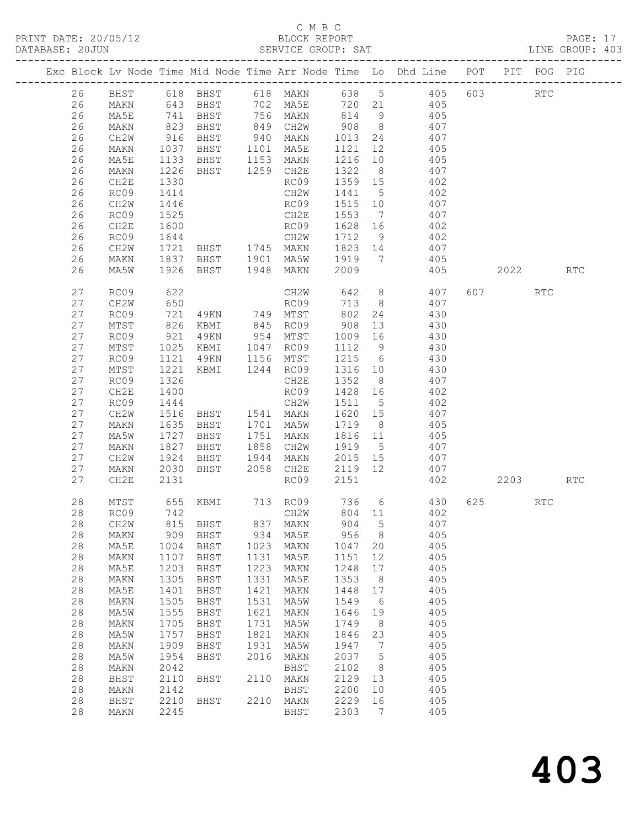#### C M B C

|            |                                |              |                |             |                                                    |              |                 | PRINT DATE: 20/05/12<br>BLOCK REPORT BLOCK REPORT DATABASE: 20JUN SERVICE GROUP: SAT LINE GROUP: 403                                                                                                                                                                               |         |            |            |  |
|------------|--------------------------------|--------------|----------------|-------------|----------------------------------------------------|--------------|-----------------|------------------------------------------------------------------------------------------------------------------------------------------------------------------------------------------------------------------------------------------------------------------------------------|---------|------------|------------|--|
|            |                                |              |                |             |                                                    |              |                 | Exc Block Lv Node Time Mid Node Time Arr Node Time Lo Dhd Line POT PIT POG PIG                                                                                                                                                                                                     |         |            |            |  |
|            |                                |              |                |             |                                                    |              |                 | 26 BHST 618 BHST 618 MAKN 638 5 405 603<br>26 MAKN 643 BHST 702 MA5E 720 21 405<br>26 MA5E 741 BHST 756 MAKN 814 9 405                                                                                                                                                             |         | <b>RTC</b> |            |  |
|            |                                |              |                |             |                                                    |              |                 |                                                                                                                                                                                                                                                                                    |         |            |            |  |
|            |                                |              |                |             |                                                    |              |                 |                                                                                                                                                                                                                                                                                    |         |            |            |  |
| 26         | MAKN                           |              |                |             |                                                    |              |                 | 823 BHST 849 CH2W 908 8 407                                                                                                                                                                                                                                                        |         |            |            |  |
| 26         | CH2W                           |              |                |             |                                                    |              |                 |                                                                                                                                                                                                                                                                                    |         |            |            |  |
| 26         | MAKN                           |              |                |             |                                                    |              |                 | 916 BHST 940 MAKN 1013 24 407<br>1037 BHST 1101 MA5E 1121 12 405<br>1133 BHST 1153 MAKN 1216 10 405                                                                                                                                                                                |         |            |            |  |
| 26         | MA5E                           |              |                |             |                                                    |              |                 |                                                                                                                                                                                                                                                                                    |         |            |            |  |
| 26         | MAKN                           | 1226         |                |             |                                                    |              |                 | BHST 1259 CH2E 1322 8 407                                                                                                                                                                                                                                                          |         |            |            |  |
| 26         | CH2E                           |              |                |             |                                                    |              |                 | $\begin{array}{cccc} 1359 & 15 & & 402 \\ 1441 & 5 & & 402 \\ 1515 & 10 & & 407 \end{array}$<br>1330 RC09 1359 15 402<br>1414 CH2W 1441 5 402<br>1446 RC09 1515 10 407<br>1525 CH2E 1553 7 407<br>1600 RC09 1628 16 402<br>1644 CH2W 1712 9 402<br>1721 BHST 1745 MAKN 1823 14 407 |         |            |            |  |
| 26         | RC09                           |              |                |             |                                                    |              |                 |                                                                                                                                                                                                                                                                                    |         |            |            |  |
| 26         | CH2W                           |              |                |             |                                                    |              |                 |                                                                                                                                                                                                                                                                                    |         |            |            |  |
| 26         | RC09                           |              |                |             |                                                    |              |                 |                                                                                                                                                                                                                                                                                    |         |            |            |  |
| 26         | CH2E                           |              |                |             |                                                    |              |                 |                                                                                                                                                                                                                                                                                    |         |            |            |  |
| 26         | RC09                           |              |                |             |                                                    |              |                 |                                                                                                                                                                                                                                                                                    |         |            |            |  |
| 26         | CH2W                           |              |                |             |                                                    |              |                 |                                                                                                                                                                                                                                                                                    |         |            |            |  |
| 26         | MAKN                           |              |                |             |                                                    |              |                 | 1837 BHST 1901 MA5W 1919 7 405                                                                                                                                                                                                                                                     |         |            |            |  |
| 26         | MA5W                           | 1926         |                |             | BHST 1948 MAKN                                     |              |                 | 2009 405 2022                                                                                                                                                                                                                                                                      |         |            | <b>RTC</b> |  |
| 27         | RC09                           | 622          |                |             |                                                    |              |                 | CH2W 642 8 407                                                                                                                                                                                                                                                                     | 607 RTC |            |            |  |
| 27         | CH2W                           | 650          |                |             |                                                    |              |                 | RC09 713 8 407                                                                                                                                                                                                                                                                     |         |            |            |  |
| 27         | RC09                           |              |                |             |                                                    |              |                 |                                                                                                                                                                                                                                                                                    |         |            |            |  |
| 27         | MTST                           |              |                |             |                                                    |              |                 |                                                                                                                                                                                                                                                                                    |         |            |            |  |
| 27         | RC09                           |              |                |             |                                                    |              |                 |                                                                                                                                                                                                                                                                                    |         |            |            |  |
| 27         | MTST                           |              |                |             |                                                    |              |                 | 721 49KN 749 MTST 802 24 430<br>826 KBMI 845 RC09 908 13 430<br>921 49KN 954 MTST 1009 16 430<br>1025 KBMI 1047 RC09 1112 9 430                                                                                                                                                    |         |            |            |  |
| 27         | RC09                           | 1121         |                |             |                                                    |              |                 | 49KN 1156 MTST 1215 6 430                                                                                                                                                                                                                                                          |         |            |            |  |
| 27         | MTST                           | 1221         | KBMI 1244 RC09 |             |                                                    |              |                 |                                                                                                                                                                                                                                                                                    |         |            |            |  |
| 27         | RC09                           | 1326         |                |             | CH2E                                               |              |                 | $\begin{array}{cccc} 1316 & 10 & & 430 \\ 1352 & 8 & & 407 \\ 1428 & 16 & & 402 \end{array}$                                                                                                                                                                                       |         |            |            |  |
| 27         | CH2E                           | 1400         |                |             | RC09                                               |              |                 |                                                                                                                                                                                                                                                                                    |         |            |            |  |
| 27         | RC09                           |              |                |             | 1444<br>1516 BHST 1541 MAKN<br>1635 BHST 1701 MA5W |              |                 | 1511 5 402                                                                                                                                                                                                                                                                         |         |            |            |  |
| 27         | CH2W                           |              |                |             |                                                    |              |                 | 1541 MAKN 1620 15 407<br>1701 MA5W 1719 8 405<br>1751 MAKN 1816 11 405                                                                                                                                                                                                             |         |            |            |  |
| 27         | MAKN                           |              |                |             |                                                    |              |                 |                                                                                                                                                                                                                                                                                    |         |            |            |  |
| 27         | MA5W                           |              | 1727 BHST      |             |                                                    |              |                 |                                                                                                                                                                                                                                                                                    |         |            |            |  |
| 27         | MAKN                           |              |                |             |                                                    |              |                 | 1827 BHST 1858 CH2W 1919 5 407                                                                                                                                                                                                                                                     |         |            |            |  |
| 27         | CH2W                           | 1924         |                |             |                                                    |              |                 |                                                                                                                                                                                                                                                                                    |         |            |            |  |
| 27         | MAKN                           | 2030<br>2131 |                |             |                                                    |              |                 | BHST 1944 MAKN 2015 15 407<br>BHST 2058 CH2E 2119 12 407<br>RC09 2151 402 2203 RTC                                                                                                                                                                                                 |         |            |            |  |
| 27         | CH2E                           | 2131         |                |             |                                                    |              |                 |                                                                                                                                                                                                                                                                                    |         |            |            |  |
| $2\,8$     | MTST                           |              |                |             |                                                    |              |                 | 655 KBMI 713 RC09 736 6 430 625                                                                                                                                                                                                                                                    |         | <b>RTC</b> |            |  |
| 28         | RC09                           | 742          |                |             | CH <sub>2</sub> M                                  | 804          | 11              | 402                                                                                                                                                                                                                                                                                |         |            |            |  |
| 28         | CH2W                           | 815          | BHST           | 837         | MAKN                                               | 904          | 5               | 407                                                                                                                                                                                                                                                                                |         |            |            |  |
| 28<br>$28$ | MAKN                           | 909          | BHST           | 934<br>1023 | MA5E                                               | 956          | 8               | 405<br>405                                                                                                                                                                                                                                                                         |         |            |            |  |
| 28         | MA5E<br>MAKN                   | 1004<br>1107 | BHST<br>BHST   | 1131        | MAKN<br>MA5E                                       | 1047<br>1151 | 20<br>12        | 405                                                                                                                                                                                                                                                                                |         |            |            |  |
| 28         | MA5E                           | 1203         | BHST           | 1223        | MAKN                                               | 1248         | 17              | 405                                                                                                                                                                                                                                                                                |         |            |            |  |
| $28$       | MAKN                           | 1305         | BHST           | 1331        | MA5E                                               | 1353         | 8               | 405                                                                                                                                                                                                                                                                                |         |            |            |  |
| $28$       | MA5E                           | 1401         | BHST           | 1421        | MAKN                                               | 1448         | 17              | 405                                                                                                                                                                                                                                                                                |         |            |            |  |
| $2\,8$     | MAKN                           | 1505         | <b>BHST</b>    | 1531        | MA5W                                               | 1549         | 6               | 405                                                                                                                                                                                                                                                                                |         |            |            |  |
| $28$       | MA5W                           | 1555         | <b>BHST</b>    | 1621        | MAKN                                               | 1646         | 19              | 405                                                                                                                                                                                                                                                                                |         |            |            |  |
| $28$       | MAKN                           | 1705         | <b>BHST</b>    | 1731        | MA5W                                               | 1749         | 8               | 405                                                                                                                                                                                                                                                                                |         |            |            |  |
| $28$       | MA5W                           | 1757         | <b>BHST</b>    | 1821        | MAKN                                               | 1846         | 23              | 405                                                                                                                                                                                                                                                                                |         |            |            |  |
| $2\,8$     | MAKN                           | 1909         | BHST           | 1931        | MA5W                                               | 1947         | 7               | 405                                                                                                                                                                                                                                                                                |         |            |            |  |
| $2\,8$     | MA5W                           | 1954         | <b>BHST</b>    | 2016        | MAKN                                               | 2037         | $\mathsf S$     | 405                                                                                                                                                                                                                                                                                |         |            |            |  |
| $2\,8$     | MAKN                           | 2042         |                |             | BHST                                               | 2102         | 8               | 405                                                                                                                                                                                                                                                                                |         |            |            |  |
| $28$       | BHST                           | 2110         | <b>BHST</b>    | 2110        | MAKN                                               | 2129         | 13              | 405                                                                                                                                                                                                                                                                                |         |            |            |  |
| $2\,8$     | $\operatorname{\mathsf{MAXN}}$ | 2142         |                |             | <b>BHST</b>                                        | 2200         | 10              | 405                                                                                                                                                                                                                                                                                |         |            |            |  |
| 28         | BHST                           | 2210         | BHST           | 2210        | MAKN                                               | 2229         | 16              | 405                                                                                                                                                                                                                                                                                |         |            |            |  |
| 28         | MAKN                           | 2245         |                |             | BHST                                               | 2303         | $7\phantom{.0}$ | 405                                                                                                                                                                                                                                                                                |         |            |            |  |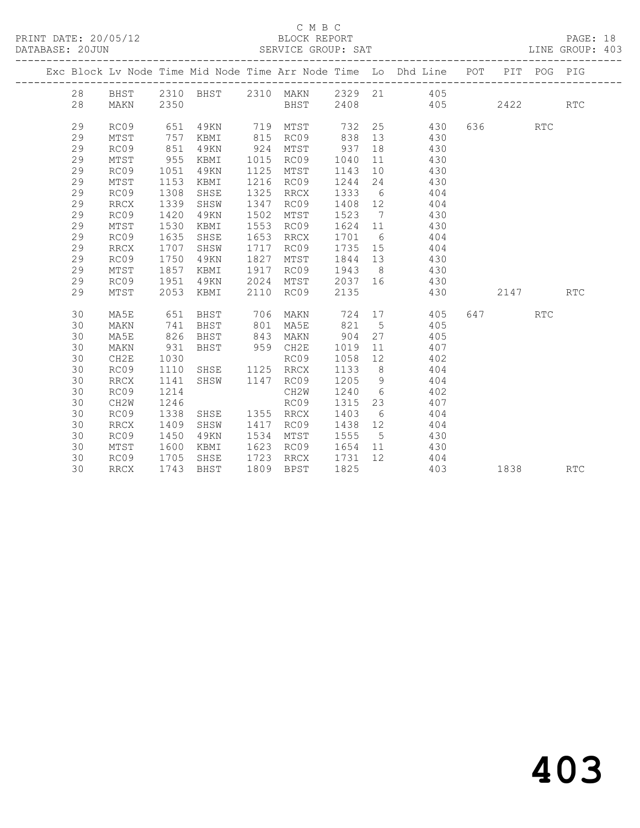PRINT DATE: 20/05/12<br>DATABASE: 20JUN

## C M B C<br>BLOCK REPORT<br>SERVICE GROUP: SAT

| PRINT DATE: 20/05/12<br>DATABASE: 20JUN |    |             |                  |                        |      |            |      | 5/12 BLOCK REPORT PAGE: 18<br>SERVICE GROUP: SAT LINE GROUP: 403                                                 |          |     |  |
|-----------------------------------------|----|-------------|------------------|------------------------|------|------------|------|------------------------------------------------------------------------------------------------------------------|----------|-----|--|
|                                         |    |             |                  |                        |      |            |      | Exc Block Lv Node Time Mid Node Time Arr Node Time Lo Dhd Line POT PIT POG PIG                                   |          |     |  |
|                                         | 28 | BHST        |                  |                        |      |            |      | 2310 BHST 2310 MAKN 2329 21 405                                                                                  |          |     |  |
|                                         | 28 | MAKN        | 2350             |                        |      |            |      | BHST 2408 405 2422                                                                                               |          | RTC |  |
|                                         | 29 | RC09        |                  |                        |      |            |      | 651 49KN 719 MTST 732 25 430 636 RTC<br>757 KBMI 815 RC09 838 13 430<br>851 49KN 924 MTST 937 18 430             |          |     |  |
|                                         | 29 | MTST        |                  |                        |      |            |      |                                                                                                                  |          |     |  |
|                                         | 29 | RC09        |                  |                        |      | $924$ MTST |      |                                                                                                                  |          |     |  |
|                                         | 29 | MTST        | 955              | KBMI                   |      | 1015 RC09  |      | 1040 11 430                                                                                                      |          |     |  |
|                                         | 29 | RC09        | 1051             | 49KN                   |      | 1125 MTST  |      | 1143 10 430                                                                                                      |          |     |  |
|                                         | 29 | MTST        | 1153             | KBMI                   |      | 1216 RC09  |      | 1244 24 430                                                                                                      |          |     |  |
|                                         | 29 | RC09        | 1308             | SHSE                   | 1325 | RRCX       |      | 1333 6 404                                                                                                       |          |     |  |
|                                         | 29 | <b>RRCX</b> | 1339             | SHSW                   |      | 1347 RC09  |      | $\begin{array}{cccc} 1408 & 12 & & 404 \\ 1523 & 7 & & 430 \\ 1624 & 11 & & 430 \\ 1701 & 6 & & 404 \end{array}$ |          |     |  |
|                                         | 29 | RC09        | 1420             | 49KN                   | 1502 | MTST       |      |                                                                                                                  |          |     |  |
|                                         | 29 | MTST        | 1530             | KBMI                   |      | 1553 RC09  |      |                                                                                                                  |          |     |  |
|                                         | 29 | RC09        | 1635             | SHSE                   |      | 1653 RRCX  |      |                                                                                                                  |          |     |  |
|                                         | 29 | RRCX        | 1707             | SHSW                   |      | 1717 RC09  |      | 1735 15 404                                                                                                      |          |     |  |
|                                         | 29 | RC09        | 1750             | 49KN                   |      | 1827 MTST  |      | 1844 13 430                                                                                                      |          |     |  |
|                                         | 29 | MTST        | 1857             | KBMI                   |      | 1917 RC09  |      | 1943 8 430                                                                                                       |          |     |  |
|                                         | 29 | RC09        | 1951             | 49KN                   |      | 2024 MTST  |      | 2037 16 430                                                                                                      |          |     |  |
|                                         | 29 | MTST        | 2053             | KBMI                   |      | 2110 RC09  | 2135 | 430                                                                                                              | 2147 RTC |     |  |
|                                         | 30 | MA5E        |                  |                        |      |            |      | 651 BHST 706 MAKN 724 17 405 647 RTC                                                                             |          |     |  |
|                                         | 30 | MAKN        | 741              | BHST 801 MA5E          |      |            |      | $821 - 5$ 405                                                                                                    |          |     |  |
|                                         | 30 | MA5E        | 826              | BHST 843 MAKN          |      |            |      | 904 27 405                                                                                                       |          |     |  |
|                                         | 30 | MAKN        | 931              | BHST 959 CH2E          |      |            |      | 1019 11 407                                                                                                      |          |     |  |
|                                         | 30 | CH2E        | 1030             |                        |      |            |      | 1058 12 402                                                                                                      |          |     |  |
|                                         | 30 | RC09        | 1110             | RC09<br>SHSE 1125 RRCX |      |            |      | $\begin{array}{cccc} 1133 & 8 & 404 \\ 1205 & 9 & 404 \\ 1240 & 6 & 402 \\ 1315 & 23 & 407 \end{array}$          |          |     |  |
|                                         | 30 | <b>RRCX</b> | 1141             | SHSW 1147 RC09         |      |            | 1205 |                                                                                                                  |          |     |  |
|                                         | 30 | RC09        | 1214             |                        |      | CH2W       | 1240 |                                                                                                                  |          |     |  |
|                                         | 30 | CH2W        | 1246             |                        |      | RC09       |      |                                                                                                                  |          |     |  |
|                                         | 30 | RC09        | 1338             | SHSE 1355 RRCX         |      |            | 1403 | 6 404                                                                                                            |          |     |  |
|                                         | 30 | RRCX        | 1409             | SHSW                   |      | 1417 RC09  |      | 1438 12 404                                                                                                      |          |     |  |
|                                         | 30 | RC09        | 1450             | 49KN                   |      | 1534 MTST  |      | 1555 5 430                                                                                                       |          |     |  |
|                                         | 30 | MTST        | 1600             | KBMI                   |      | 1623 RC09  |      | 1654 11 430                                                                                                      |          |     |  |
|                                         | 30 | RC09        | $1705$<br>$1743$ | SHSE                   |      | 1723 RRCX  |      | 1731 12 404<br>1825 403                                                                                          |          |     |  |
|                                         | 30 | <b>RRCX</b> |                  | 1743 BHST              |      | 1809 BPST  |      |                                                                                                                  | 1838 RTC |     |  |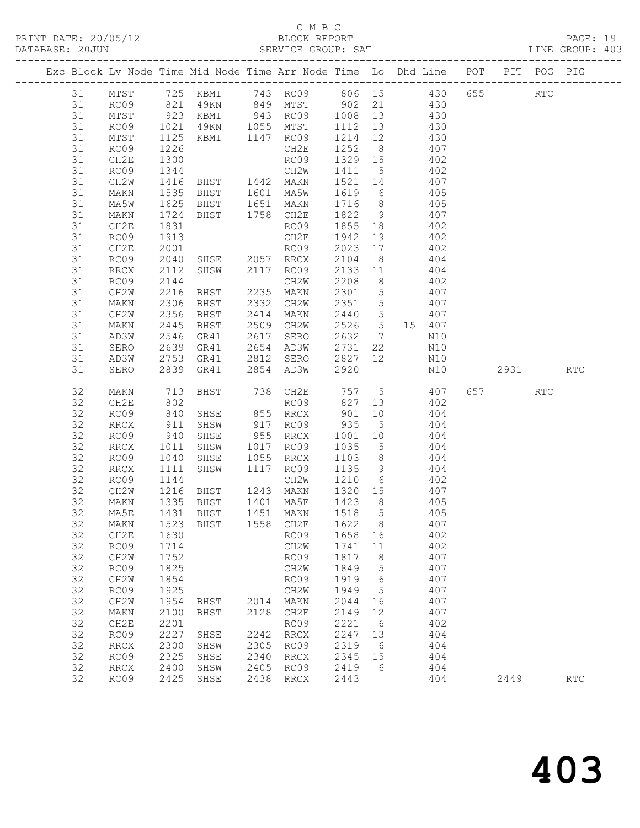#### C M B C<br>BLOCK REPORT

| DATABASE: 20JUN |          |                        |                           |                                |      |                                                                                                                                 |                  |                                | SERVICE GROUP: SAT                                                                                        |          | LINE GROUP: 403 |  |
|-----------------|----------|------------------------|---------------------------|--------------------------------|------|---------------------------------------------------------------------------------------------------------------------------------|------------------|--------------------------------|-----------------------------------------------------------------------------------------------------------|----------|-----------------|--|
|                 |          | ---------------------- |                           |                                |      |                                                                                                                                 |                  |                                | Exc Block Lv Node Time Mid Node Time Arr Node Time Lo Dhd Line POT PIT POG PIG                            |          |                 |  |
|                 | 31       |                        |                           |                                |      |                                                                                                                                 |                  |                                | MTST 725 KBMI 743 RC09 806 15 430 655 RTC                                                                 |          |                 |  |
|                 | 31       |                        |                           |                                |      |                                                                                                                                 |                  |                                | RC09 821 49KN 849 MTST 902 21 430                                                                         |          |                 |  |
|                 | 31       | MTST                   |                           |                                |      |                                                                                                                                 |                  |                                | 923 KBMI 943 RC09 1008 13<br>1021 49KN 1055 MTST 1112 13 430<br>1125 KBMI 1147 RC09 1214 12 430           |          |                 |  |
|                 | 31       | RC09                   |                           |                                |      |                                                                                                                                 |                  |                                |                                                                                                           |          |                 |  |
|                 | 31       | MTST                   |                           |                                |      |                                                                                                                                 |                  |                                |                                                                                                           |          |                 |  |
|                 | 31       | RC09                   | 1226                      |                                |      | CH2E                                                                                                                            |                  |                                | 1252 8 407                                                                                                |          |                 |  |
|                 | 31       | CH2E                   | 1300                      |                                |      | RC09                                                                                                                            |                  |                                | 1329 15 402                                                                                               |          |                 |  |
|                 | 31       | RC09                   |                           |                                |      |                                                                                                                                 |                  |                                | 1344 CH2W 1411 5 402<br>1416 BHST 1442 MAKN 1521 14 407                                                   |          |                 |  |
|                 | 31       | CH2W                   |                           |                                |      |                                                                                                                                 |                  |                                |                                                                                                           |          |                 |  |
|                 | 31       | MAKN                   | 1535                      |                                |      |                                                                                                                                 |                  |                                | BHST 1601 MA5W 1619 6 405                                                                                 |          |                 |  |
|                 | 31       | MA5W                   |                           |                                |      |                                                                                                                                 |                  |                                | BHST 1651 MAKN 1716 8 405                                                                                 |          |                 |  |
|                 | 31       | MAKN                   | 1625<br>1724<br>1831      | BHST 1758 CH2E                 |      |                                                                                                                                 | 1822 9           |                                | 407                                                                                                       |          |                 |  |
|                 | 31       | CH2E                   |                           |                                |      | RC09                                                                                                                            |                  |                                | $1855$ 18 $402$                                                                                           |          |                 |  |
|                 | 31       | RC09                   | 1913                      |                                |      | CH2E                                                                                                                            |                  |                                | 1942 19 402                                                                                               |          |                 |  |
|                 | 31       | CH2E                   | 2001                      |                                |      |                                                                                                                                 |                  |                                | 2023 17 402                                                                                               |          |                 |  |
|                 | 31       | RC09                   | 2040                      |                                |      |                                                                                                                                 |                  |                                | $\frac{404}{404}$                                                                                         |          |                 |  |
|                 | 31       | RRCX                   | 2112                      |                                |      |                                                                                                                                 |                  |                                |                                                                                                           |          |                 |  |
|                 | 31       | RC09                   | 2144                      |                                |      |                                                                                                                                 |                  |                                | CH2W 2208 8 402                                                                                           |          |                 |  |
|                 | 31       | CH2W                   | 2216                      |                                |      | RC09 2023 17<br>SHSE 2057 RRCX 2104 8<br>SHSW 2117 RC09 2133 11<br>CH2W 2208 8<br>BHST 2235 MAKN 2301 5<br>THE 2000 CH2W 2301 5 |                  |                                | 2301 5 407                                                                                                |          |                 |  |
|                 | 31       | MAKN                   | 2306<br>2356              |                                |      |                                                                                                                                 | 2351 5<br>2440 5 |                                | 407                                                                                                       |          |                 |  |
|                 | 31       | CH2W                   | 2356                      |                                |      |                                                                                                                                 |                  |                                | 407                                                                                                       |          |                 |  |
|                 | 31       | MAKN                   | 2445                      | BHST                           |      |                                                                                                                                 |                  |                                | 2509 CH2W 2526 5 15 407                                                                                   |          |                 |  |
|                 | 31       | AD3W                   | 2546                      |                                |      | GR41  2617  SERO                                                                                                                |                  |                                | 2632 7 N10                                                                                                |          |                 |  |
|                 | 31       | SERO                   |                           |                                |      |                                                                                                                                 |                  |                                |                                                                                                           |          |                 |  |
|                 | 31       | AD3W                   |                           |                                |      |                                                                                                                                 |                  |                                | 2639 GR41 2654 AD3W 2731 22 N10<br>2753 GR41 2812 SERO 2827 12 N10<br>2839 GR41 2854 AD3W 2920 N10<br>N10 |          |                 |  |
|                 | 31       | SERO                   |                           |                                |      |                                                                                                                                 |                  |                                | $N+1$                                                                                                     | 2931 RTC |                 |  |
|                 | 32       | MAKN                   | 713                       |                                |      |                                                                                                                                 |                  |                                | BHST 738 CH2E 757 5 407                                                                                   | 657 RTC  |                 |  |
|                 | 32       | CH2E                   | 802<br>840                |                                |      | RC09                                                                                                                            | 827 13           |                                | 402                                                                                                       |          |                 |  |
|                 | 32       | RC09                   |                           | SHSE 855 RRCX                  |      |                                                                                                                                 |                  |                                |                                                                                                           |          |                 |  |
|                 | 32       | RRCX                   | 911                       | SHSW                           |      |                                                                                                                                 |                  |                                | 917 RC09 935 5 404                                                                                        |          |                 |  |
|                 | 32       | RC09                   | $940$<br>$1011$<br>$1040$ | SHSE                           |      | 955 RRCX                                                                                                                        | 1001 10          |                                | 404                                                                                                       |          |                 |  |
|                 | 32       | RRCX                   |                           | SHSW                           |      | 1017 RC09                                                                                                                       | 1035 5           |                                | 404                                                                                                       |          |                 |  |
|                 | 32       | RC09                   |                           | SHSE                           |      | 1055 RRCX                                                                                                                       |                  |                                | $1103$ 8 $404$                                                                                            |          |                 |  |
|                 | 32       | RRCX                   | 1111                      |                                |      |                                                                                                                                 |                  |                                | SHSW 1117 RC09 1135 9 404                                                                                 |          |                 |  |
|                 | 32       | RC09                   |                           | 1144<br>1216 BHST<br>1335 BHST |      |                                                                                                                                 |                  |                                | CH2W 1210 6 402                                                                                           |          |                 |  |
|                 | 32       | CH2W                   |                           |                                |      | BHST 1243 MAKN 1320 15<br>BHST 1401 MA5E 1423 8                                                                                 |                  |                                | 407<br>405                                                                                                |          |                 |  |
|                 | 32       | MAKN                   |                           |                                |      |                                                                                                                                 |                  |                                |                                                                                                           |          |                 |  |
|                 | 32       |                        |                           |                                |      |                                                                                                                                 |                  |                                | MA5E 1431 BHST 1451 MAKN 1518 5 405                                                                       |          |                 |  |
|                 | 32       | MAKN                   | 1523                      | BHST                           |      | 1558 CH2E                                                                                                                       | 1622             | 8 <sup>8</sup>                 | 407                                                                                                       |          |                 |  |
|                 | 32       | CH2E                   | 1630                      |                                |      | RC09                                                                                                                            | 1658 16          |                                | 402                                                                                                       |          |                 |  |
|                 | 32<br>32 | RC09                   | 1714                      |                                |      | CH2W<br>RC09                                                                                                                    | 1741<br>1817     | 11                             | 402<br>407                                                                                                |          |                 |  |
|                 | 32       | CH2W                   | 1752<br>1825              |                                |      |                                                                                                                                 | 1849             | 8                              | 407                                                                                                       |          |                 |  |
|                 | 32       | RC09<br>CH2W           | 1854                      |                                |      | CH2W<br>RC09                                                                                                                    | 1919             | $5^{\circ}$<br>$6\overline{6}$ | 407                                                                                                       |          |                 |  |
|                 | 32       | RC09                   | 1925                      |                                |      | CH2W                                                                                                                            | 1949             | $5\overline{)}$                | 407                                                                                                       |          |                 |  |
|                 | 32       |                        | 1954                      |                                |      | 2014 MAKN                                                                                                                       | 2044             |                                | 407                                                                                                       |          |                 |  |
|                 | 32       | CH2W<br>MAKN           | 2100                      | BHST<br>BHST                   |      | 2128 CH2E                                                                                                                       | 2149             | 16<br>12                       | 407                                                                                                       |          |                 |  |
|                 | 32       | CH2E                   | 2201                      |                                |      | RC09                                                                                                                            | 2221             | 6                              | 402                                                                                                       |          |                 |  |
|                 | 32       | RC09                   | 2227                      | SHSE                           |      | 2242 RRCX                                                                                                                       | 2247             | 13                             | 404                                                                                                       |          |                 |  |
|                 | 32       | $\operatorname{RRCX}$  | 2300                      | SHSW                           |      | 2305 RC09                                                                                                                       | 2319             | 6                              | 404                                                                                                       |          |                 |  |
|                 | 32       | RC09                   | 2325                      | SHSE                           | 2340 | RRCX                                                                                                                            | 2345 15          |                                | 404                                                                                                       |          |                 |  |
|                 | 32       | RRCX                   | 2400                      | SHSW                           | 2405 | RC09                                                                                                                            | 2419             | 6                              | 404                                                                                                       |          |                 |  |
|                 | 32       | RC09                   | 2425                      | SHSE                           |      | 2438 RRCX                                                                                                                       | 2443             |                                | 404                                                                                                       | 2449     | <b>RTC</b>      |  |
|                 |          |                        |                           |                                |      |                                                                                                                                 |                  |                                |                                                                                                           |          |                 |  |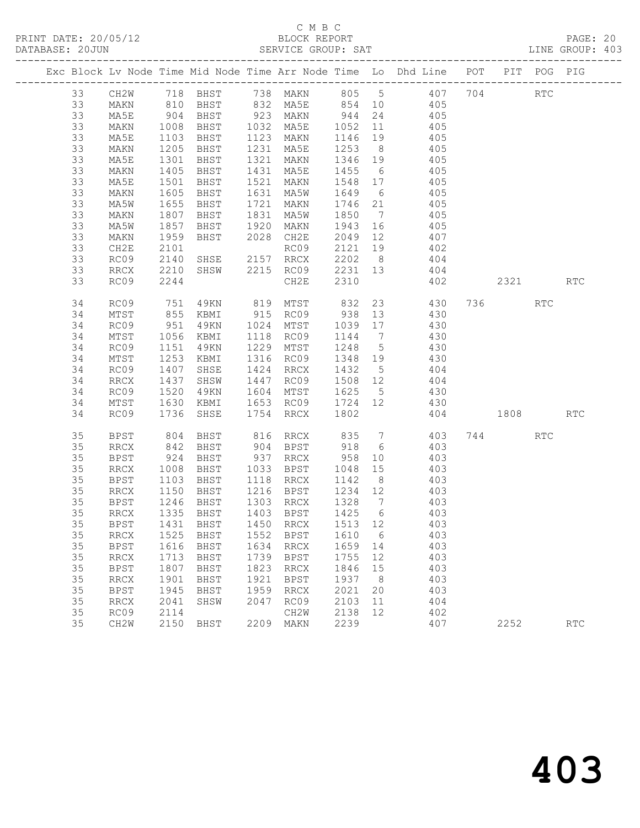|          |              |              |                        |      |                                             |                               |                | Exc Block Lv Node Time Mid Node Time Arr Node Time Lo Dhd Line POT PIT POG PIG |          |            |            |
|----------|--------------|--------------|------------------------|------|---------------------------------------------|-------------------------------|----------------|--------------------------------------------------------------------------------|----------|------------|------------|
| 33       |              |              |                        |      |                                             |                               |                | CH2W 718 BHST 738 MAKN 805 5 407 704 RTC<br>MAKN 810 BHST 832 MA5E 854 10 405  |          |            |            |
| 33       |              |              |                        |      |                                             |                               |                |                                                                                |          |            |            |
| 33       | MA5E         |              | 904 BHST               |      |                                             |                               |                | 923 MAKN 944 24 405                                                            |          |            |            |
| 33       | MAKN         | 1008         | BHST                   |      | 1032 MA5E 1052 11                           |                               |                | 405                                                                            |          |            |            |
| 33       | MA5E         | 1103         | BHST                   |      | 1123 MAKN                                   | 1146 19                       |                | 405                                                                            |          |            |            |
| 33       | MAKN         | 1205         | BHST                   |      | 1231 MA5E                                   | 1253 8                        |                | $\frac{1}{405}$                                                                |          |            |            |
| 33       | MA5E         | 1301         |                        |      | BHST 1321 MAKN 1346 19                      |                               |                | 405                                                                            |          |            |            |
| 33       | MAKN         | 1405         | BHST 1431              |      | MA5E                                        | 1455 6                        |                | 405                                                                            |          |            |            |
| 33       | MA5E         | 1501         | BHST                   |      | 1521 MAKN<br>1631 MA5W                      | 1548 17                       |                | 405<br>405                                                                     |          |            |            |
| 33       | MAKN         | 1605         | BHST                   |      | 1631 MA5W 1649 6                            |                               |                |                                                                                |          |            |            |
| 33       | MA5W         | 1655         | BHST                   |      | 1721 MAKN 1746 21                           |                               |                | 405                                                                            |          |            |            |
| 33       | MAKN         | 1807         | BHST                   | 1831 | MA5W                                        | 1850 7                        |                | 405                                                                            |          |            |            |
| 33<br>33 | MA5W         | 1857<br>1959 | BHST                   |      | 1920 MAKN<br>2028 CH2E                      | 1943 16<br>2049 12<br>2049 12 |                | $405$<br>$407$                                                                 |          |            |            |
| 33       | MAKN         | 2101         | BHST                   |      | RC09                                        |                               |                | 2121 19 402                                                                    |          |            |            |
| 33       | CH2E<br>RC09 | 2140         | SHSE 2157 RRCX         |      |                                             |                               |                | 2202 8 404                                                                     |          |            |            |
| 33       | RRCX         | 2210         |                        |      |                                             |                               |                | 404                                                                            |          |            |            |
| 33       | RC09         | 2244         |                        |      | SHSW 2215 RC09 2231 13<br>CH2E 2310<br>CH2E | 2310                          |                | 402                                                                            | 2321 RTC |            |            |
|          |              |              |                        |      |                                             |                               |                |                                                                                |          |            |            |
| 34       | RC09         | 751          |                        |      |                                             |                               |                | 49KN 819 MTST 832 23 430                                                       | 736 730  | RTC        |            |
| 34       | MTST         |              | 855 KBMI<br>951 49KN   |      |                                             |                               |                | 915 RC09 938 13 430                                                            |          |            |            |
| 34       | RC09         |              | 49KN 1024 MTST         |      |                                             | 1039 17                       |                | 430                                                                            |          |            |            |
| 34       | MTST         | 1056         | KBMI                   |      | 1118 RC09                                   | 1144 7                        |                | 430                                                                            |          |            |            |
| 34       | RC09         | 1151         | 49KN 1229 MTST         |      |                                             | 1248 5                        |                | 430                                                                            |          |            |            |
| 34       | MTST         | 1253         | KBMI                   |      | 1316 RC09                                   | $1348$ $-$<br>$1432$ 5        |                | 430                                                                            |          |            |            |
| 34       | RC09         | 1407         | SHSE                   |      | 1424 RRCX                                   |                               |                | 404                                                                            |          |            |            |
| 34       | RRCX         | 1437         | SHSW                   |      |                                             |                               |                | 1447 RC09 1508 12 404                                                          |          |            |            |
| 34       | RC09         | 1520         |                        |      | 49KN 1604 MTST 1625 5                       |                               |                | 430                                                                            |          |            |            |
| 34       | MTST         | 1630         | KBMI                   |      | 1653 RC09 1724 12<br>1754 RRCX 1802         |                               |                | 430                                                                            |          |            |            |
| 34       | RC09         | 1736         | SHSE                   |      |                                             |                               |                |                                                                                | 404 1808 |            | <b>RTC</b> |
| 35       | <b>BPST</b>  | 804          | BHST                   |      |                                             |                               |                | 816 RRCX 835 7 403                                                             | 744      | <b>RTC</b> |            |
| 35       | RRCX         | 842          | BHST                   |      | 904 BPST 918 6                              |                               |                | 403                                                                            |          |            |            |
| 35       | BPST         | 924          | BHST                   |      |                                             |                               |                | 937 RRCX 958 10 403<br>1033 BPST 1048 15 403                                   |          |            |            |
| 35       | RRCX         | 1008         | BHST                   |      | 1118 RRCX 1142 8                            |                               |                | 403                                                                            |          |            |            |
| 35<br>35 | BPST         | 1103         | BHST                   |      |                                             |                               |                |                                                                                |          |            |            |
| 35       | RRCX<br>BPST | 1150         | BHST<br>BHST           |      | 1216 BPST 1234 12<br>1303 RRCX              | 1328 7                        |                | 403                                                                            |          |            |            |
| 35       | RRCX         |              | 1246 BHST<br>1335 BHST |      | 1403 BPST                                   | $\frac{1}{1425}$ 6            |                | 403<br>403                                                                     |          |            |            |
| 35       |              |              |                        |      |                                             |                               |                | BPST 1431 BHST 1450 RRCX 1513 12 403                                           |          |            |            |
| 35       | RRCX         | 1525         | BHST                   | 1552 | BPST                                        | 1610                          | - 6            | 403                                                                            |          |            |            |
| 35       | <b>BPST</b>  | 1616         | BHST                   | 1634 | RRCX                                        | 1659 14                       |                | 403                                                                            |          |            |            |
| 35       | RRCX         | 1713         | BHST                   | 1739 | BPST                                        | 1755                          | 12             | 403                                                                            |          |            |            |
| 35       | <b>BPST</b>  | 1807         | BHST                   | 1823 | RRCX                                        | 1846                          | 15             | 403                                                                            |          |            |            |
| 35       | <b>RRCX</b>  | 1901         | BHST                   | 1921 | BPST                                        | 1937                          | 8 <sup>8</sup> | 403                                                                            |          |            |            |
| 35       | <b>BPST</b>  | 1945         | BHST                   | 1959 | RRCX                                        | 2021                          | 20             | 403                                                                            |          |            |            |
| 35       | RRCX         | 2041         | SHSW                   | 2047 | RC09                                        | 2103                          | 11             | 404                                                                            |          |            |            |
| 35       | RC09         | 2114         |                        |      | CH2W                                        | 2138                          | 12             | 402                                                                            |          |            |            |
| 35       | CH2W         |              | 2150 BHST              |      | 2209 MAKN                                   | 2239                          |                | 407                                                                            | 2252     |            | <b>RTC</b> |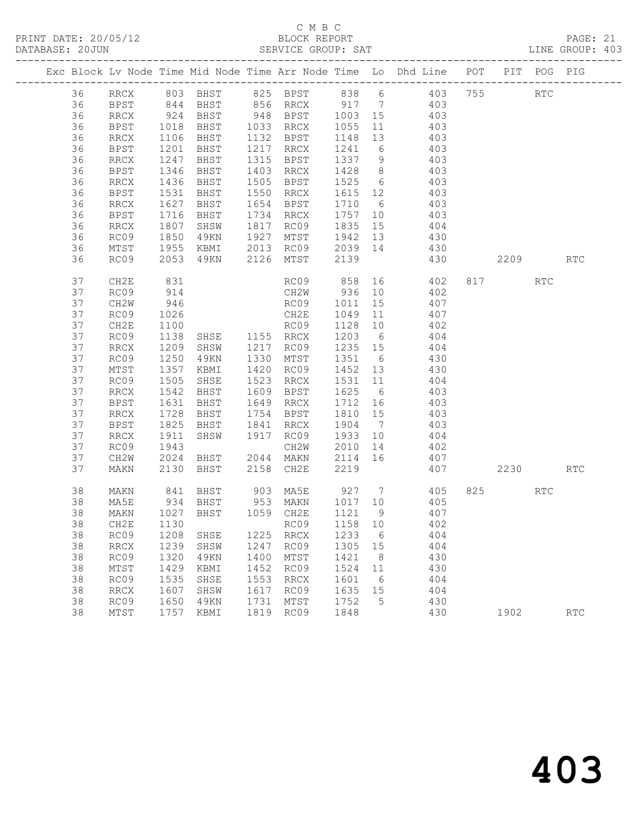## C M B C<br>BLOCK REPORT

| DATABASE: 20JUN |          | ----------------------  |              |                |      | SERVICE GROUP: SAT                                 |                   |    |                                                                                                     |          |     | LINE GROUP: 403 |
|-----------------|----------|-------------------------|--------------|----------------|------|----------------------------------------------------|-------------------|----|-----------------------------------------------------------------------------------------------------|----------|-----|-----------------|
|                 |          |                         |              |                |      |                                                    |                   |    | Exc Block Lv Node Time Mid Node Time Arr Node Time Lo Dhd Line POT PIT POG PIG                      |          |     |                 |
|                 | 36       |                         |              |                |      |                                                    |                   |    | RRCX 803 BHST 825 BPST 838 6 403 755 RTC                                                            |          |     |                 |
|                 | 36       | BPST                    |              |                |      |                                                    |                   |    | 844 BHST 856 RRCX 917 7 403                                                                         |          |     |                 |
|                 | 36       | RRCX                    |              |                |      |                                                    |                   |    |                                                                                                     |          |     |                 |
|                 | 36       | BPST                    |              |                |      |                                                    |                   |    | 924 BHST 948 BPST 1003 15 403<br>1018 BHST 1033 RRCX 1055 11 403<br>1106 BHST 1132 BPST 1148 13 403 |          |     |                 |
|                 | 36       | RRCX                    |              |                |      |                                                    |                   |    | 403                                                                                                 |          |     |                 |
|                 | 36       | BPST                    | 1201         |                |      | BHST 1217 RRCX 1241 6 403                          |                   |    |                                                                                                     |          |     |                 |
|                 | 36       | RRCX                    | 1247         | <b>BHST</b>    |      |                                                    |                   |    | 1315 BPST 1337 9 403<br>1403 RRCX 1428 8 403<br>1505 BPST 1525 6 403                                |          |     |                 |
|                 | 36       | BPST                    | 1346         | BHST           |      |                                                    |                   |    |                                                                                                     |          |     |                 |
|                 | 36       | RRCX                    | 1436         | BHST           |      |                                                    |                   |    |                                                                                                     |          |     |                 |
|                 | 36       | BPST                    | 1531         |                |      | BHST 1550 RRCX 1615 12                             |                   |    | 403                                                                                                 |          |     |                 |
|                 | 36       | RRCX                    | 1627         | BHST           |      | 1654 BPST 1710 6                                   |                   |    | 403                                                                                                 |          |     |                 |
|                 | 36       | BPST                    | 1716         | BHST           |      | 1734 RRCX                                          | 1757 10           |    | 403<br>$1835$ 15 404                                                                                |          |     |                 |
|                 | 36       | RRCX                    | 1807<br>1850 | SHSW           |      | $1817 \t RCO9$                                     |                   |    | 49KN 1927 MTST 1942 13 430                                                                          |          |     |                 |
|                 | 36       | RC09                    |              |                |      |                                                    |                   |    |                                                                                                     |          |     |                 |
|                 | 36<br>36 | MTST                    | 1955         |                |      | 49KN 2126 MTST                                     | 2139              |    | KBMI 2013 RC09 2039 14 430                                                                          |          |     | <b>RTC</b>      |
|                 |          | RC09                    | 2053         |                |      |                                                    |                   |    | 430                                                                                                 | 2209     |     |                 |
|                 | 37       | CH2E                    | 831          |                |      |                                                    |                   |    | RC09 858 16 402 817                                                                                 |          | RTC |                 |
|                 | 37       | RC09                    | 914          |                |      |                                                    |                   |    | CH2W 936 10 402                                                                                     |          |     |                 |
|                 | 37       | CH2W                    | 946          |                |      |                                                    |                   |    | RC09 1011 15 407<br>CH2E 1049 11 407                                                                |          |     |                 |
|                 | 37       | RC09                    | 1026         |                |      |                                                    |                   |    | RC09 1128 10 402                                                                                    |          |     |                 |
|                 | 37       | CH2E                    | 1100         |                |      |                                                    |                   |    |                                                                                                     |          |     |                 |
|                 | 37       | RC09                    | 1138         |                |      | SHSE 1155 RRCX 1203 6 404                          |                   |    |                                                                                                     |          |     |                 |
|                 | 37       | RRCX                    | 1209         | SHSW 1217 RC09 |      |                                                    | 1235 15<br>1351 6 |    | 404                                                                                                 |          |     |                 |
|                 | 37<br>37 | RC09                    | 1250<br>1357 | 49KN           |      | 1330 MTST<br>1420 RC09 1452 13                     |                   |    | 430<br>430                                                                                          |          |     |                 |
|                 | 37       | $\mathtt{MTST}$<br>RC09 | 1505         | KBMI           |      | SHSE 1523 RRCX 1531 11                             |                   |    | 404                                                                                                 |          |     |                 |
|                 | 37       | RRCX                    | 1542         | BHST           |      | 1925 --<br>1609 BPST 1625 - 0<br>1010 BRCX 1712 16 |                   |    |                                                                                                     |          |     |                 |
|                 | 37       | BPST                    | 1631         | BHST           |      |                                                    |                   |    | 403<br>403                                                                                          |          |     |                 |
|                 | 37       | RRCX                    | 1728         | BHST           |      | 1754 BPST                                          | 1810 15           |    | $\frac{1}{403}$                                                                                     |          |     |                 |
|                 | 37       | BPST                    | 1825         | BHST 1841 RRCX |      |                                                    | 1904 7            |    | 403                                                                                                 |          |     |                 |
|                 | 37       | RRCX                    | 1911         | SHSW 1917 RC09 |      |                                                    | 1933 10           |    | 404                                                                                                 |          |     |                 |
|                 | 37       | RC09                    |              |                |      |                                                    |                   |    |                                                                                                     |          |     |                 |
|                 | 37       | CH2W                    |              |                |      |                                                    |                   |    |                                                                                                     |          |     |                 |
|                 | 37       | MAKN                    |              |                |      | 2130 BHST 2158 CH2E                                | 2219              |    | 407                                                                                                 | 2230 RTC |     |                 |
|                 | 38       | MAKN                    |              |                |      |                                                    |                   |    |                                                                                                     | 825 82   | RTC |                 |
|                 | 38       | MA5E                    |              |                |      |                                                    |                   |    |                                                                                                     |          |     |                 |
|                 |          |                         |              |                |      |                                                    |                   |    | 38 MAKN 1027 BHST 1059 CH2E 1121 9 407                                                              |          |     |                 |
|                 | 38       | CH2E                    | 1130         |                |      | RC09                                               | 1158              | 10 | 402                                                                                                 |          |     |                 |
|                 | 38       | RC09                    | 1208         | SHSE           |      | 1225 RRCX                                          | 1233              | 6  | 404                                                                                                 |          |     |                 |
|                 | 38       | RRCX                    | 1239         | SHSW           | 1247 | RC09                                               | 1305              | 15 | 404                                                                                                 |          |     |                 |
|                 | 38       | RC09                    | 1320         | 49KN           | 1400 | MTST                                               | 1421              | 8  | 430                                                                                                 |          |     |                 |
|                 | 38       | MTST                    | 1429         | KBMI           | 1452 | RC09                                               | 1524              | 11 | 430                                                                                                 |          |     |                 |
|                 | 38       | RC09                    | 1535         | SHSE           | 1553 | $\mathop{\rm RRCX}\nolimits$                       | 1601              | 6  | 404                                                                                                 |          |     |                 |
|                 | 38       | <b>RRCX</b>             | 1607         | SHSW           | 1617 | RC09                                               | 1635              | 15 | 404                                                                                                 |          |     |                 |
|                 | 38       | RC09                    | 1650         | 49KN           | 1731 | MTST                                               | 1752              | 5  | 430                                                                                                 |          |     |                 |
|                 | 38       | MTST                    | 1757         | KBMI           | 1819 | RC09                                               | 1848              |    | 430                                                                                                 | 1902     |     | <b>RTC</b>      |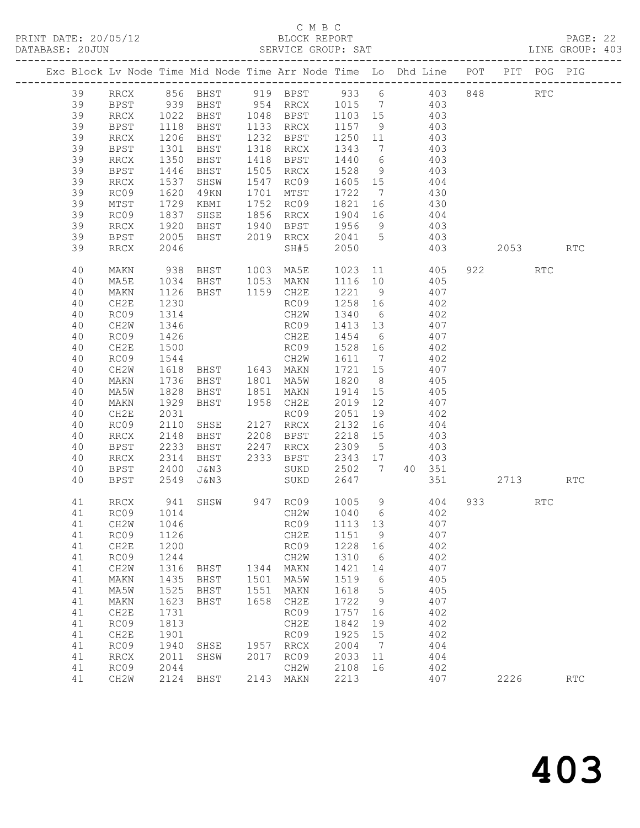PRINT DATE: 20/05/12 BLOCK REPORT<br>DATABASE: 20JUN BATABASE: 2010

### C M B C<br>BLOCK REPORT

PAGE: 22<br>LINE GROUP: 403

|  |          |              |              |                |      | Exc Block Lv Node Time Mid Node Time Arr Node Time Lo Dhd Line POT |                   |                 |     |        |          | PIT POG PIG          |                      |
|--|----------|--------------|--------------|----------------|------|--------------------------------------------------------------------|-------------------|-----------------|-----|--------|----------|----------------------|----------------------|
|  | 39       | RRCX         |              |                |      | 856 BHST 919 BPST 933 6 403                                        |                   |                 |     |        | 848      | $\operatorname{RTC}$ |                      |
|  | 39       | BPST         |              | 939 BHST       |      | 954 RRCX 1015 7 403                                                |                   |                 |     |        |          |                      |                      |
|  | 39       | RRCX         |              | BHST           |      | 1048 BPST                                                          |                   |                 |     | 403    |          |                      |                      |
|  | 39       | BPST         | 1022<br>1118 | BHST           |      | 1133 RRCX                                                          | 1103 15<br>1157 9 |                 |     | 403    |          |                      |                      |
|  | 39       | RRCX         | 1206         | BHST           |      | 1232 BPST                                                          | 1250 11           |                 | 403 |        |          |                      |                      |
|  | 39       | BPST         | 1301         | BHST           |      | 1318 RRCX                                                          | 1343              | $7\overline{ }$ | 403 |        |          |                      |                      |
|  | 39       | RRCX         | 1350         | BHST           |      | 1418 BPST                                                          | 1440              | 6               |     | 403    |          |                      |                      |
|  | 39       | BPST         | 1446         | BHST           |      | 1505 RRCX                                                          | 1528              | 9               |     | 403    |          |                      |                      |
|  | 39       | RRCX         | 1537         | SHSW           |      | 1547 RC09                                                          | 1605 15           |                 | 404 |        |          |                      |                      |
|  | 39       | RC09         | 1620         | 49KN           |      | 1701 MTST                                                          | 1722              | $\overline{7}$  | 430 |        |          |                      |                      |
|  | 39       | MTST         | 1729         | KBMI           | 1752 | RC09                                                               | 1821              | 16              |     | 430    |          |                      |                      |
|  | 39       | RC09         | 1837         | SHSE           |      | 1856 RRCX                                                          | 1904 16           |                 |     | 404    |          |                      |                      |
|  | 39       | RRCX         | 1920         | BHST           | 1940 | BPST                                                               | 1956 9            |                 | 403 |        |          |                      |                      |
|  | 39       | BPST         | 2005         | BHST           | 2019 | RRCX                                                               | 2041 5            |                 | 403 |        |          |                      |                      |
|  | 39       | RRCX         | 2046         |                |      | SH#5                                                               | 2050              |                 |     | 403    | 2053 200 |                      | <b>RTC</b>           |
|  | 40       | MAKN         | 938          | BHST           |      | 1003 MA5E                                                          | 1023              |                 |     | 11 405 | 922      | <b>RTC</b>           |                      |
|  | 40       | MA5E         | 1034         | BHST           |      | 1053 MAKN                                                          | 1116 10           |                 | 405 |        |          |                      |                      |
|  | 40       | MAKN         | 1126         | BHST 1159 CH2E |      |                                                                    | 1221              | 9               |     | 407    |          |                      |                      |
|  | 40       | CH2E         | 1230         |                |      | RC09                                                               | 1258 16           |                 |     | 402    |          |                      |                      |
|  | 40       | RC09         | 1314         |                |      | CH2W                                                               | 1340              | 6               |     | 402    |          |                      |                      |
|  | 40       | CH2W         | 1346         |                |      | RC09                                                               | 1413 13           |                 | 407 |        |          |                      |                      |
|  | 40       | RC09         | 1426         |                |      | CH2E                                                               | 1454              | 6               |     | 407    |          |                      |                      |
|  | 40       | CH2E         | 1500         |                |      | RC09                                                               | 1528 16           |                 |     | 402    |          |                      |                      |
|  | 40       | RC09         | 1544         |                |      | CH2W                                                               | 1611 7            |                 | 407 | 402    |          |                      |                      |
|  | 40       | CH2W         | 1618         | BHST 1643 MAKN |      |                                                                    | 1721 15           |                 |     |        |          |                      |                      |
|  | 40       | MAKN         | 1736<br>1828 | BHST           |      | 1801 MA5W                                                          | 1820<br>1914      | 8 <sup>8</sup>  | 405 | 405    |          |                      |                      |
|  | 40<br>40 | MA5W<br>MAKN | 1929         | BHST<br>BHST   |      | 1851 MAKN<br>1958 CH2E                                             | 2019              | 15<br>12        |     | 407    |          |                      |                      |
|  | 40       | CH2E         | 2031         |                |      | RC09                                                               | 2051              | 19              | 402 |        |          |                      |                      |
|  | 40       | RC09         | 2110         | SHSE           | 2127 | RRCX                                                               | 2132              | 16              | 404 |        |          |                      |                      |
|  | 40       | RRCX         | 2148         | BHST           | 2208 | BPST                                                               | 2218              | 15              |     | 403    |          |                      |                      |
|  | 40       | BPST         | 2233         | BHST           | 2247 | RRCX                                                               | 2309              | $5\overline{)}$ |     | 403    |          |                      |                      |
|  | 40       | RRCX         | 2314         | BHST           |      | 2333 BPST                                                          | 2343 17           |                 |     | 403    |          |                      |                      |
|  | 40       | BPST         | 2400         | J&N3           |      | SUKD                                                               | 2502 7 40 351     |                 |     |        |          |                      |                      |
|  | 40       | BPST         | 2549         | J&N3           |      | SUKD                                                               | 2647              |                 |     | 351    | 2713     |                      | <b>RTC</b>           |
|  | 41       | RRCX         | 941          | SHSW           |      | 947 RC09 1005 9 404                                                |                   |                 |     |        | 933      | RTC                  |                      |
|  | 41       | RC09         | 1014         |                |      | CH2W                                                               | 1040 6 402        |                 |     |        |          |                      |                      |
|  | 41       | CH2W         | 1046         |                |      | RC09                                                               | 1113 13           |                 |     | 407    |          |                      |                      |
|  | 41       | RC09         | 1126         |                |      | CH2E                                                               | 1151              | 9               |     | 407    |          |                      |                      |
|  | 41       | CH2E         | 1200         |                |      | RC09                                                               | 1228              | 16              |     | 402    |          |                      |                      |
|  | 41       | RC09         | 1244         |                |      | CH2W                                                               | 1310              | 6               |     | 402    |          |                      |                      |
|  | 41       | CH2W         | 1316         | BHST           | 1344 | MAKN                                                               | 1421              | 14              |     | 407    |          |                      |                      |
|  | 41       | MAKN         | 1435         | BHST           | 1501 | MA5W                                                               | 1519              | 6               |     | 405    |          |                      |                      |
|  | 41       | MA5W         | 1525         | BHST           | 1551 | MAKN                                                               | 1618              | 5               |     | 405    |          |                      |                      |
|  | 41       | MAKN         | 1623         | BHST           | 1658 | CH2E                                                               | 1722              | 9               |     | 407    |          |                      |                      |
|  | 41       | CH2E         | 1731         |                |      | RC09                                                               | 1757              | 16              |     | 402    |          |                      |                      |
|  | 41       | RC09         | 1813         |                |      | CH2E                                                               | 1842              | 19              |     | 402    |          |                      |                      |
|  | 41       | CH2E         | 1901         |                |      | RC09                                                               | 1925              | 15              |     | 402    |          |                      |                      |
|  | 41       | RC09         | 1940         | SHSE           | 1957 | RRCX                                                               | 2004              | 7               |     | 404    |          |                      |                      |
|  | 41       | <b>RRCX</b>  | 2011         | SHSW           | 2017 | RC09                                                               | 2033              | 11              |     | 404    |          |                      |                      |
|  | 41       | RC09         | 2044         |                |      | CH2W                                                               | 2108              | 16              |     | 402    |          |                      |                      |
|  | 41       | CH2W         | 2124         | BHST           | 2143 | MAKN                                                               | 2213              |                 |     | 407    | 2226     |                      | $\operatorname{RTC}$ |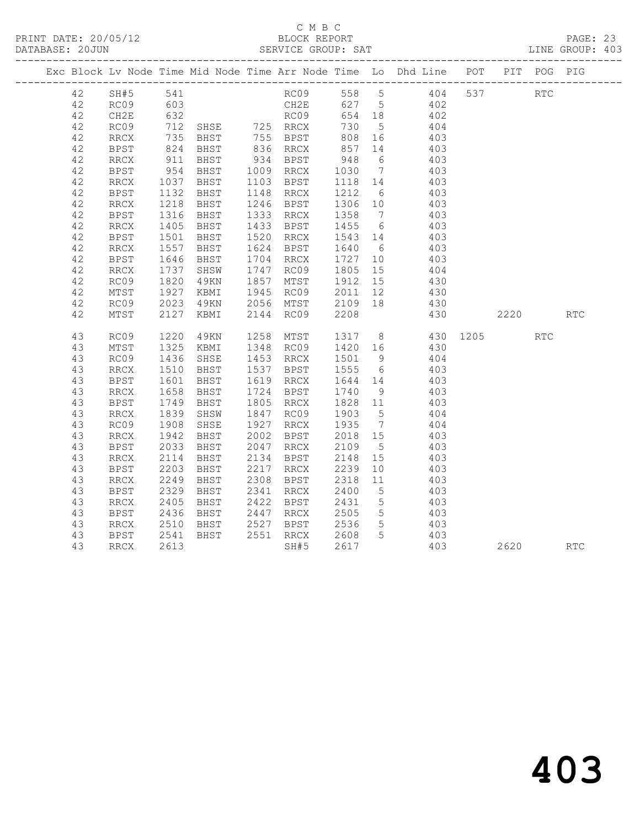|    |             |               |                                                        |      |                                |                     |                 | Exc Block Lv Node Time Mid Node Time Arr Node Time Lo Dhd Line POT PIT POG PIG |      |     |            |
|----|-------------|---------------|--------------------------------------------------------|------|--------------------------------|---------------------|-----------------|--------------------------------------------------------------------------------|------|-----|------------|
| 42 | SH#5 541    |               |                                                        |      |                                |                     |                 | RC09 558 5 404 537 RTC                                                         |      |     |            |
| 42 | RC09        |               |                                                        |      |                                |                     |                 | $\frac{402}{402}$                                                              |      |     |            |
| 42 | CH2E        | 603<br>632    |                                                        |      | CH2E   627  5<br>RC09   654 18 |                     |                 |                                                                                |      |     |            |
| 42 | RC09        |               | 712 SHSE 725 RRCX                                      |      |                                | 730                 | $5\overline{)}$ | 404                                                                            |      |     |            |
| 42 | RRCX        |               |                                                        |      |                                |                     |                 | 403                                                                            |      |     |            |
| 42 | BPST        |               | EHST 755 BPST<br>BHST 836 RRCX<br>735 BHST<br>824 BHST |      |                                | 808 16<br>857 14    |                 | 403                                                                            |      |     |            |
| 42 | RRCX        | 911           | BHST                                                   |      | 934 BPST                       | 948                 | 6               | 403                                                                            |      |     |            |
| 42 | BPST        | 954<br>1037   | BHST 1009 RRCX<br>BHST 1103 BPST                       |      |                                | 1030 7<br>1118 14   |                 | 403                                                                            |      |     |            |
| 42 | RRCX        |               | BHST                                                   |      | 1103 BPST                      |                     |                 | 403                                                                            |      |     |            |
| 42 | <b>BPST</b> | 1132          | BHST                                                   |      | 1148 RRCX                      | 1212                | $6\overline{6}$ | 403                                                                            |      |     |            |
| 42 | RRCX        | 1218<br>1316  | BHST                                                   |      | 1246 BPST                      | 1306 10<br>1358 7   |                 | 403                                                                            |      |     |            |
| 42 | BPST        |               | BHST 1333 RRCX                                         |      |                                |                     |                 | $\frac{1}{403}$                                                                |      |     |            |
| 42 | RRCX        | 1405<br>1501  | BHST                                                   |      | 1433 BPST                      | 1455 6              |                 | 403                                                                            |      |     |            |
| 42 | <b>BPST</b> |               | BHST                                                   |      | 1520 RRCX                      | 1543 14             |                 | 403                                                                            |      |     |            |
| 42 | <b>RRCX</b> | 1557          | BHST                                                   |      | 1624 BPST                      | 1640                | $6\overline{6}$ | 403                                                                            |      |     |            |
| 42 | <b>BPST</b> | 1646<br>1737  | BHST                                                   |      | 1704 RRCX                      | 1727                | 10              | 403                                                                            |      |     |            |
| 42 | <b>RRCX</b> |               | SHSW                                                   |      | 1747 RC09                      | 1805 15             |                 | 404                                                                            |      |     |            |
| 42 | RC09        | 1820          | 4 9 K N                                                |      | 1857 MTST                      | 1912 15             |                 | 430                                                                            |      |     |            |
| 42 | MTST        | 1927<br>2023  | KBMI                                                   |      | 1945 RC09                      | $2011$ -<br>2109 18 |                 | 430                                                                            |      |     |            |
| 42 | RC09        |               | 49KN                                                   |      | 2056 MTST                      |                     |                 | 430                                                                            |      |     |            |
| 42 | MTST        | 2127          | KBMI                                                   |      | 2144 RC09                      |                     |                 | 430                                                                            | 2220 |     | <b>RTC</b> |
| 43 | RC09        | 1220          | 49KN                                                   |      |                                |                     |                 | 1258 MTST 1317 8 430 1205                                                      |      | RTC |            |
| 43 | MTST        | 1325          | KBMI 1348 RC09                                         |      |                                | 1420 16             |                 | 430                                                                            |      |     |            |
| 43 | RC09        |               | SHSE                                                   |      |                                |                     |                 | 404                                                                            |      |     |            |
| 43 | RRCX        | $142$<br>1510 | BHST                                                   |      | 1453 RAV.                      | 1501 9<br>1555 6    |                 | 403                                                                            |      |     |            |
| 43 | <b>BPST</b> | 1601          | BHST                                                   |      | 1619 RRCX                      | 1644 14             |                 | 403                                                                            |      |     |            |
| 43 | RRCX        |               |                                                        |      | 1724 BPST                      |                     |                 | 403                                                                            |      |     |            |
| 43 | <b>BPST</b> | 1658<br>1749  | BHST<br>BHST<br>BHST                                   |      | 1805 RRCX                      | 1740 9<br>1828 11   |                 | 403                                                                            |      |     |            |
| 43 | RRCX        | 1839          | SHSW                                                   |      | 1847 RC09                      | 1903                | $5\overline{)}$ | 404                                                                            |      |     |            |
| 43 | RC09        | 1908          | SHSE                                                   |      | 1927 RRCX                      | 1935                | $\overline{7}$  | 404                                                                            |      |     |            |
| 43 | RRCX        | 1942          | BHST                                                   |      | 2002 BPST                      | $2018$ 15           |                 | 403                                                                            |      |     |            |
| 43 | BPST        | 2033          | BHST                                                   |      |                                | 2109 5              |                 | 403                                                                            |      |     |            |
| 43 | RRCX        | 2114          | BHST                                                   |      | 2047 RRCX<br>2134 BPST         | 2148 15             |                 | 403                                                                            |      |     |            |
| 43 | <b>BPST</b> | 2203          | BHST                                                   |      | 2217 RRCX                      | 2239                | 10              | 403                                                                            |      |     |            |
| 43 | <b>RRCX</b> | 2249          | BHST                                                   | 2308 | BPST                           | 2318                | 11              | 403                                                                            |      |     |            |
| 43 | <b>BPST</b> | 2329          | BHST                                                   |      | 2341 RRCX                      | 2400                | $5\overline{)}$ | 403                                                                            |      |     |            |
| 43 | RRCX        | 2405          | BHST                                                   |      | 2422 BPST                      | 2431                | $5\overline{)}$ | 403                                                                            |      |     |            |
| 43 | BPST        |               | BHST                                                   |      |                                |                     | 5 <sup>5</sup>  | 403                                                                            |      |     |            |
| 43 | RRCX        | 2436<br>2510  | BHST                                                   |      |                                |                     | $5\overline{)}$ | 403                                                                            |      |     |            |
| 43 | BPST        | 2541          | BHST                                                   |      | 2551 RRCX 2608 5               |                     |                 | 403                                                                            |      |     |            |
| 43 | RRCX        | 2613          |                                                        |      | SH#5                           | 2617                |                 | 403                                                                            | 2620 |     | <b>RTC</b> |
|    |             |               |                                                        |      |                                |                     |                 |                                                                                |      |     |            |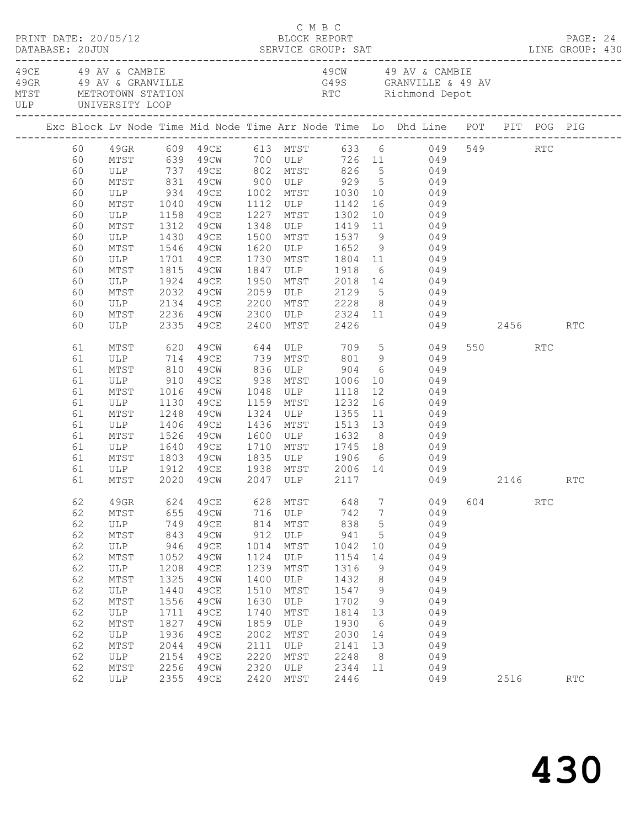|  | DATABASE: 20JUN | PRINT DATE: 20/05/12                       |              |                        |              | C M B C<br>BLOCK REPORT                       |              |             | DESCRIPTION DESCRIPTION DESCRIPTION DESCRIPTION DESCRIPTION DESCRIPTION DESCRIPTIONS DESCRIPTION DESCRIPTIONS<br>DATABASE: 20JUN SERVICE GROUP: SAT LINE GROUP: 430 |     |         |            | PAGE: 24 |  |
|--|-----------------|--------------------------------------------|--------------|------------------------|--------------|-----------------------------------------------|--------------|-------------|---------------------------------------------------------------------------------------------------------------------------------------------------------------------|-----|---------|------------|----------|--|
|  |                 | 49CE 49 AV & CAMBIE<br>ULP UNIVERSITY LOOP |              |                        |              |                                               |              |             | 49CW 49 AV & CAMBIE                                                                                                                                                 |     |         |            |          |  |
|  |                 |                                            |              |                        |              |                                               |              |             | Exc Block Lv Node Time Mid Node Time Arr Node Time Lo Dhd Line POT PIT POG PIG                                                                                      |     |         |            |          |  |
|  | 60<br>60        |                                            |              |                        |              |                                               |              |             | 49GR 609 49CE 613 MTST 633 6 049 549 RTC<br>MTST 639 49CW 700 ULP 726 11 049                                                                                        |     |         |            |          |  |
|  | 60              |                                            |              |                        |              |                                               |              |             | ULP 737 49CE 802 MTST 826 5 049                                                                                                                                     |     |         |            |          |  |
|  | 60              | MTST                                       | 831          |                        |              |                                               |              |             | 49CW 900 ULP 929 5 049<br>49CE 1002 MTST 1030 10 049<br>49CW 1112 ULP 1142 16 049                                                                                   |     |         |            |          |  |
|  | 60              | ULP 934<br>MTST 1040                       |              |                        |              |                                               |              |             |                                                                                                                                                                     |     |         |            |          |  |
|  | 60              |                                            |              |                        |              |                                               |              |             |                                                                                                                                                                     |     |         |            |          |  |
|  | 60              | ULP                                        | 1158         | 49CE                   | 1227         | MTST 1302                                     |              |             | 10 049                                                                                                                                                              |     |         |            |          |  |
|  | 60              | MTST                                       | 1312         | 49CW                   |              |                                               |              |             |                                                                                                                                                                     |     |         |            |          |  |
|  | 60              | ULP                                        | 1430<br>1546 | 49CE                   |              |                                               |              |             | 1348 ULP 1419 11 049<br>1500 MTST 1537 9 049<br>1620 ULP 1652 9 049                                                                                                 |     |         |            |          |  |
|  | 60              | MTST                                       |              | 49CW                   |              |                                               |              |             |                                                                                                                                                                     |     |         |            |          |  |
|  | 60              | ULP                                        | 1701         | 49CE                   | 1730         |                                               |              |             | MTST 1804 11 049                                                                                                                                                    |     |         |            |          |  |
|  | 60              | MTST                                       | 1815         | 49CW                   | 1847         | ULP 1918                                      |              |             | 6 049                                                                                                                                                               |     |         |            |          |  |
|  | 60<br>60        | ULP<br>MTST                                | 1924<br>2032 | 49CE<br>49CW           | 1950<br>2059 |                                               |              |             | MTST 2018 14 049<br>ULP 2129 5 049                                                                                                                                  |     |         |            |          |  |
|  | 60              | ULP                                        | 2134         | 49CE                   | 2200         |                                               |              |             | MTST 2228 8 049                                                                                                                                                     |     |         |            |          |  |
|  | 60              | MTST                                       |              | 2236 49CW              |              |                                               |              |             | 2300 ULP 2324 11 049                                                                                                                                                |     |         |            |          |  |
|  | 60              | ULP                                        | 2335         | 49CE                   | 2400         | MTST 2426                                     |              |             | 049 2456                                                                                                                                                            |     |         |            | RTC      |  |
|  | 61              | MTST 620                                   |              |                        |              |                                               |              |             | 49CW 644 ULP 709 5 049                                                                                                                                              |     | 550 RTC |            |          |  |
|  | 61              | ULP                                        | 714          | 49CE                   |              |                                               |              |             | 739 MTST 801 9 049                                                                                                                                                  |     |         |            |          |  |
|  | 61              | MTST                                       | 810          | 49CW                   |              | 836 ULP 904<br>938 MTST 1006<br>1048 ULP 1118 |              |             | $\begin{matrix} 6 & 049 \end{matrix}$                                                                                                                               |     |         |            |          |  |
|  | 61              | ULP                                        | 910          | 49CE                   |              |                                               |              | 10          | 049                                                                                                                                                                 |     |         |            |          |  |
|  | 61              | MTST                                       | 1016         | 49CW                   |              | 1048 ULP                                      |              |             | $\frac{18}{12}$ 049                                                                                                                                                 |     |         |            |          |  |
|  | 61              | ULP                                        | 1130         | 49CE                   |              | 1159 MTST 1232                                |              |             | 16 049                                                                                                                                                              |     |         |            |          |  |
|  | 61              | MTST                                       | 1248         | 49CW                   |              | 1324 ULP 1355                                 |              |             | 11 049                                                                                                                                                              |     |         |            |          |  |
|  | 61<br>61        | ULP                                        | 1406<br>1526 | 49CE<br>49CW           | 1600         | MTST 1513 13<br>ULP 1632 8<br>1436 MTST       |              |             | 049<br>$\begin{array}{cc}\n 13 & 049 \\  \hline\n 8 & 049\n \end{array}$                                                                                            |     |         |            |          |  |
|  | 61              | MTST<br>ULP                                | 1640         | 49CE                   | 1710         |                                               |              |             | MTST 1745 18 049                                                                                                                                                    |     |         |            |          |  |
|  | 61              | MTST                                       | 1803         | 49CW                   |              |                                               |              |             |                                                                                                                                                                     |     |         |            |          |  |
|  | 61              | ULP                                        |              |                        |              |                                               |              |             |                                                                                                                                                                     |     |         |            |          |  |
|  | 61              | MTST                                       |              | 1912 49CE<br>2020 49CW |              |                                               |              |             | 1835 ULP 1906 6 049<br>1938 MTST 2006 14 049<br>2047 ULP 2117 049<br>049 2146 RTC                                                                                   |     |         |            |          |  |
|  | 62              | 49GR                                       | 624          | 49CE                   | 628          | MTST                                          | 648          | 7           | 049                                                                                                                                                                 | 604 |         | <b>RTC</b> |          |  |
|  | 62              | $\mathtt{MTST}$                            | 655          | 49CW                   | 716          | ULP                                           | 742          | 7           | 049                                                                                                                                                                 |     |         |            |          |  |
|  | 62              | ULP                                        | 749          | <b>49CE</b>            | 814          | MTST                                          | 838          | $\mathsf S$ | 049                                                                                                                                                                 |     |         |            |          |  |
|  | 62              | MTST                                       | 843          | 49CW                   | 912          | ULP                                           | 941          | 5           | 049                                                                                                                                                                 |     |         |            |          |  |
|  | 62              | ULP                                        | 946          | 49CE                   | 1014         | MTST                                          | 1042         | 10          | 049                                                                                                                                                                 |     |         |            |          |  |
|  | 62              | MTST                                       | 1052         | 49CW<br><b>49CE</b>    | 1124<br>1239 | ULP                                           | 1154         | 14          | 049<br>049                                                                                                                                                          |     |         |            |          |  |
|  | 62<br>62        | $_{\rm ULP}$<br>MTST                       | 1208<br>1325 | 49CW                   | 1400         | MTST<br>ULP                                   | 1316<br>1432 | 9<br>8      | 049                                                                                                                                                                 |     |         |            |          |  |
|  | 62              | ULP                                        | 1440         | 49CE                   | 1510         | MTST                                          | 1547         | 9           | 049                                                                                                                                                                 |     |         |            |          |  |
|  | 62              | MTST                                       | 1556         | 49CW                   | 1630         | $_{\rm ULP}$                                  | 1702         | 9           | 049                                                                                                                                                                 |     |         |            |          |  |
|  | 62              | $_{\rm ULP}$                               | 1711         | 49CE                   | 1740         | MTST                                          | 1814         | 13          | 049                                                                                                                                                                 |     |         |            |          |  |
|  | 62              | $\mathtt{MTST}$                            | 1827         | 49CW                   | 1859         | $_{\rm ULP}$                                  | 1930         | 6           | 049                                                                                                                                                                 |     |         |            |          |  |
|  | 62              | ULP                                        | 1936         | 49CE                   | 2002         | MTST                                          | 2030         | 14          | 049                                                                                                                                                                 |     |         |            |          |  |
|  | 62              | $\mathtt{MTST}$                            | 2044         | 49CW                   | 2111         | $_{\rm ULP}$                                  | 2141         | 13          | 049                                                                                                                                                                 |     |         |            |          |  |
|  | 62              | ULP                                        | 2154         | 49CE                   | 2220         | MTST                                          | 2248         | 8           | 049                                                                                                                                                                 |     |         |            |          |  |
|  | 62              | MTST                                       | 2256         | 49CW                   | 2320         | $_{\rm ULP}$                                  | 2344         | 11          | 049                                                                                                                                                                 |     |         |            |          |  |
|  | 62              | ULP                                        | 2355         | 49CE                   | 2420         | MTST                                          | 2446         |             | 049                                                                                                                                                                 |     | 2516    |            | RTC      |  |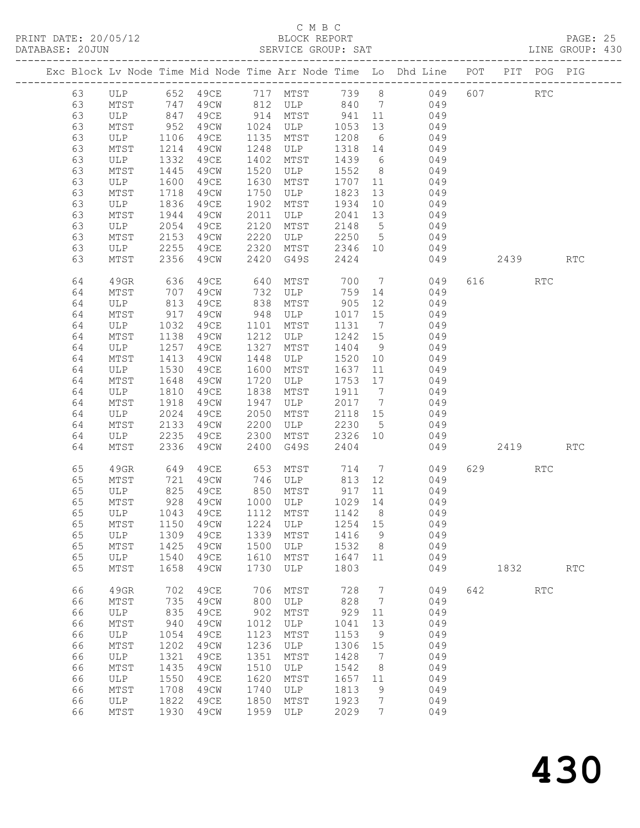PRINT DATE: 20/05/12<br>DATABASE: 20JUN

|    |                      |                  |                                   |      |               |         |                 | Exc Block Lv Node Time Mid Node Time Arr Node Time Lo Dhd Line POT PIT POG PIG |     |          |            |                             |  |
|----|----------------------|------------------|-----------------------------------|------|---------------|---------|-----------------|--------------------------------------------------------------------------------|-----|----------|------------|-----------------------------|--|
|    |                      |                  |                                   |      |               |         |                 | 63 ULP 652 49CE 717 MTST 739 8 049 607 RTC                                     |     |          |            |                             |  |
| 63 |                      |                  |                                   |      |               |         |                 | MTST 747 49CW 812 ULP 840 7 049                                                |     |          |            |                             |  |
| 63 | ULP 847              |                  |                                   |      |               |         |                 | 49CE 914 MTST 941 11 049                                                       |     |          |            |                             |  |
| 63 |                      |                  |                                   |      | 49CW 1024 ULP |         |                 |                                                                                |     |          |            |                             |  |
| 63 | MTST 952<br>ULP 1106 |                  | 49CE                              |      | 1135 MTST     |         |                 | 1053 13 049<br>1208 6 049                                                      |     |          |            |                             |  |
| 63 | MTST                 | 1214             | 49CW                              | 1248 | ULP           |         |                 | 1318 14 049                                                                    |     |          |            |                             |  |
| 63 | ULP                  | 1332             | 49CE                              | 1402 | MTST          |         |                 | 1439 6 049                                                                     |     |          |            |                             |  |
| 63 | MTST                 | 1445             | 49CW                              | 1520 | ULP           |         |                 | 1552 8 049                                                                     |     |          |            |                             |  |
| 63 | ULP                  | 1600             | 49CE                              | 1630 | MTST          | 1707 11 |                 | 049                                                                            |     |          |            |                             |  |
| 63 | MTST                 | 1718             | 49CW                              | 1750 | ULP           | 1823    |                 | 13 049                                                                         |     |          |            |                             |  |
| 63 | ULP                  | 1836             | 49CE                              | 1902 | MTST          |         |                 | 1934 10 049                                                                    |     |          |            |                             |  |
| 63 | MTST                 | 1944             | 49CW                              | 2011 | ULP           |         |                 | 2041 13 049                                                                    |     |          |            |                             |  |
| 63 | ULP                  | 2054             | 49CE                              | 2120 | MTST          | 2148 5  |                 | 049                                                                            |     |          |            |                             |  |
| 63 | MTST                 | 2153             | 49CW                              | 2220 | ULP           |         |                 | $2250$ 5 049                                                                   |     |          |            |                             |  |
| 63 | ULP                  | 2255             | 49CE                              | 2320 |               |         |                 | MTST 2346 10 049                                                               |     |          |            |                             |  |
| 63 | MTST                 | 2356             | 49CW                              | 2420 | G49S          | 2424    |                 |                                                                                |     | 049 2439 |            | $\mathop{\rm RTC}\nolimits$ |  |
|    |                      |                  |                                   |      |               |         |                 |                                                                                |     |          |            |                             |  |
| 64 | 49GR                 | 636              | 49CE 640                          |      | MTST          |         |                 | 700 7 049                                                                      |     | 616 RTC  |            |                             |  |
| 64 | MTST                 | 707              | 49CW                              | 732  |               |         |                 | ULP 759 14 049                                                                 |     |          |            |                             |  |
| 64 | ULP                  | 813              | 49CE                              | 838  | MTST          | 905     |                 | 12<br>049                                                                      |     |          |            |                             |  |
| 64 | MTST                 | 917              | 49CW                              | 948  | <b>ULP</b>    |         |                 | $\begin{array}{cccc} 1017 & 15 & & 049 \\ 1131 & 7 & & 049 \end{array}$        |     |          |            |                             |  |
| 64 | ULP                  | 1032             | 49CE                              | 1101 | MTST          |         |                 |                                                                                |     |          |            |                             |  |
| 64 | MTST                 | 1138             | 49CW                              | 1212 | ULP           | 1242 15 |                 | 049                                                                            |     |          |            |                             |  |
| 64 | ULP                  | 1257             | 49CE                              | 1327 | MTST          | 1404 9  |                 | 049                                                                            |     |          |            |                             |  |
| 64 | MTST                 | 1413             | 49CW                              | 1448 | ULP           | 1520 10 |                 | $049$<br>$049$                                                                 |     |          |            |                             |  |
| 64 | ULP                  | $\frac{1}{1530}$ | 49CE                              | 1600 | MTST          | 1637 11 |                 |                                                                                |     |          |            |                             |  |
| 64 | MTST                 | 1648             | 49CW                              | 1720 | ULP           |         |                 | 1753 17 049                                                                    |     |          |            |                             |  |
| 64 | ULP                  | 1810             | 49CE                              | 1838 | MTST          | 1911 7  |                 | 049                                                                            |     |          |            |                             |  |
| 64 | MTST                 | 1918             | 49CW                              | 1947 | ULP           | 2017 7  |                 | $049$<br>$049$                                                                 |     |          |            |                             |  |
| 64 | ULP                  | 2024             | 49CE                              | 2050 | MTST          | 2118 15 |                 |                                                                                |     |          |            |                             |  |
| 64 | MTST                 | 2133             | 49CW                              | 2200 | ULP           |         |                 | $2230$ 5 049                                                                   |     |          |            |                             |  |
| 64 | ULP                  | 2235             | 49CE                              | 2300 | MTST          |         |                 | 2326 10 049                                                                    |     |          |            |                             |  |
| 64 | MTST                 | 2336             | 49CW                              | 2400 | G49S          | 2404    |                 |                                                                                |     | 049 2419 |            | $\mathop{\rm RTC}\nolimits$ |  |
| 65 | 49GR                 | 649              |                                   |      |               |         |                 | 49CE 653 MTST 714 7 049                                                        |     | 629      | RTC        |                             |  |
| 65 | MTST                 | 721              |                                   |      |               |         |                 | 49CW 746 ULP 813 12 049                                                        |     |          |            |                             |  |
| 65 | ULP                  | 825              | 49CE                              |      | 850 MTST      | 917 11  |                 | 049                                                                            |     |          |            |                             |  |
|    |                      |                  | 65 MTST 928 49CW 1000 ULP 1029 14 |      |               |         |                 | 049                                                                            |     |          |            |                             |  |
| 65 | ULP                  | 1043             | 49CE                              | 1112 | MTST          | 1142    | 8               | 049                                                                            |     |          |            |                             |  |
| 65 | MTST                 | 1150             | 49CW                              | 1224 | ULP           | 1254    | 15              | 049                                                                            |     |          |            |                             |  |
| 65 | ULP                  | 1309             | 49CE                              | 1339 | MTST          | 1416    | 9               | 049                                                                            |     |          |            |                             |  |
| 65 | MTST                 | 1425             | 49CW                              | 1500 | ULP           | 1532    | 8               | 049                                                                            |     |          |            |                             |  |
| 65 | ULP                  | 1540             | 49CE                              | 1610 | MTST          | 1647    | 11              | 049                                                                            |     |          |            |                             |  |
| 65 | MTST                 | 1658             | 49CW                              | 1730 | ULP           | 1803    |                 | 049                                                                            |     | 1832     |            | $\operatorname{RTC}$        |  |
| 66 | 49GR                 | 702              | 49CE                              | 706  | MTST          | 728     | 7               | 049                                                                            | 642 |          | <b>RTC</b> |                             |  |
| 66 |                      | 735              | 49CW                              | 800  |               | 828     | $7\phantom{.0}$ | 049                                                                            |     |          |            |                             |  |
|    | MTST                 | 835              |                                   | 902  | ULP           | 929     |                 | 049                                                                            |     |          |            |                             |  |
| 66 | ULP                  |                  | 49CE                              |      | MTST          |         | 11              |                                                                                |     |          |            |                             |  |
| 66 | MTST                 | 940              | 49CW                              | 1012 | ULP           | 1041    | 13              | 049                                                                            |     |          |            |                             |  |
| 66 | ULP                  | 1054             | 49CE                              | 1123 | ${\tt MTST}$  | 1153    | $\overline{9}$  | 049                                                                            |     |          |            |                             |  |
| 66 | MTST                 | 1202             | 49CW                              | 1236 | ULP           | 1306    | 15              | 049                                                                            |     |          |            |                             |  |
| 66 | ULP                  | 1321             | 49CE                              | 1351 | MTST          | 1428    | $7\phantom{.0}$ | 049                                                                            |     |          |            |                             |  |
| 66 | MTST                 | 1435             | 49CW                              | 1510 | ULP           | 1542    | 8               | 049                                                                            |     |          |            |                             |  |
| 66 | ULP                  | 1550             | 49CE                              | 1620 | ${\tt MTST}$  | 1657    | 11              | 049                                                                            |     |          |            |                             |  |
| 66 | MTST                 | 1708             | 49CW                              | 1740 | ULP           | 1813    | $\mathsf 9$     | 049                                                                            |     |          |            |                             |  |
| 66 | ULP                  | 1822             | 49CE                              | 1850 | MTST          | 1923    | $7\phantom{.0}$ | 049                                                                            |     |          |            |                             |  |
| 66 | MTST                 | 1930             | 49CW                              | 1959 | ULP           | 2029    | $7\overline{ }$ | 049                                                                            |     |          |            |                             |  |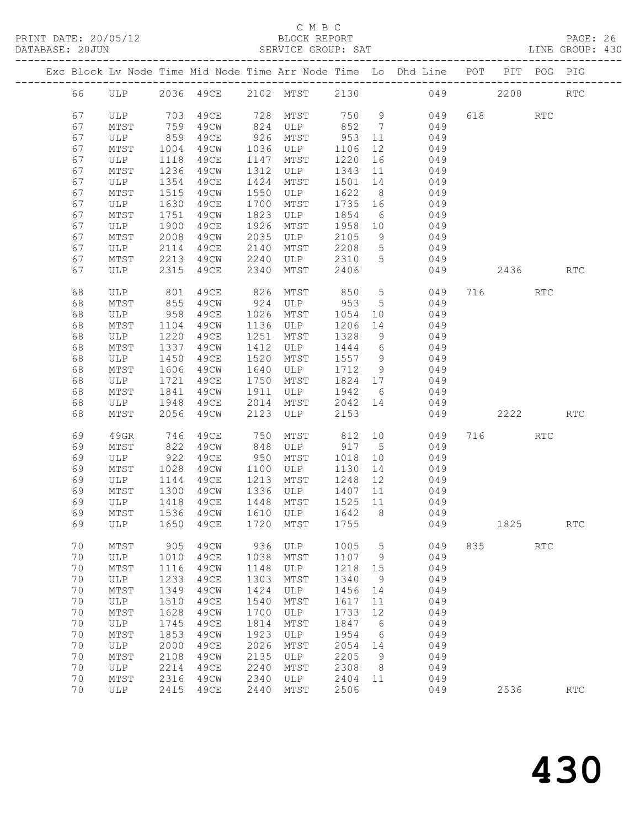PRINT DATE: 20/05/12 BLOCK REPORT BATABASE: 20JUN

#### C M B C<br>BLOCK REPORT

PAGE: 26<br>LINE GROUP: 430

|  |    |              |      |                                 |      |          |         |                 | Exc Block Lv Node Time Mid Node Time Arr Node Time Lo Dhd Line POT PIT POG PIG |     |         |                             |                             |
|--|----|--------------|------|---------------------------------|------|----------|---------|-----------------|--------------------------------------------------------------------------------|-----|---------|-----------------------------|-----------------------------|
|  | 66 |              |      | ULP 2036 49CE 2102 MTST         |      |          |         |                 | 2130                                                                           | 049 | 2200    |                             | <b>RTC</b>                  |
|  | 67 | ULP 703 49CE |      |                                 |      | 728 MTST |         |                 | 750 9<br>049                                                                   |     | 618 RTC |                             |                             |
|  | 67 | MTST         | 759  | 49CW                            | 824  | ULP      | 852 7   |                 | 049                                                                            |     |         |                             |                             |
|  | 67 | ULP          | 859  | 49CE                            | 926  | MTST     | 953     | 11              | 049                                                                            |     |         |                             |                             |
|  | 67 | MTST         | 1004 | 49CW                            | 1036 | ULP      | 1106    | 12              | 049                                                                            |     |         |                             |                             |
|  | 67 | ULP          | 1118 | 49CE                            | 1147 | MTST     | 1220    | 16              | 049                                                                            |     |         |                             |                             |
|  | 67 | MTST         | 1236 | 49CW                            | 1312 | ULP      | 1343    | 11              | 049                                                                            |     |         |                             |                             |
|  |    |              |      |                                 |      | MTST     |         |                 |                                                                                |     |         |                             |                             |
|  | 67 | ULP          | 1354 | 49CE                            | 1424 |          | 1501    | 14              | 049                                                                            |     |         |                             |                             |
|  | 67 | MTST         | 1515 | 49CW                            | 1550 | ULP      | 1622    | 8 <sup>8</sup>  | 049                                                                            |     |         |                             |                             |
|  | 67 | ULP          | 1630 | 49CE                            | 1700 | MTST     | 1735 16 |                 | 049                                                                            |     |         |                             |                             |
|  | 67 | MTST         | 1751 | 49CW                            | 1823 | ULP      | 1854    | 6               | 049                                                                            |     |         |                             |                             |
|  | 67 | ULP          | 1900 | 49CE                            | 1926 | MTST     | 1958    | 10              | 049                                                                            |     |         |                             |                             |
|  | 67 | MTST         | 2008 | 49CW                            | 2035 | ULP      | 2105    | 9               | 049                                                                            |     |         |                             |                             |
|  | 67 | ULP          | 2114 | 49CE                            | 2140 | MTST     | 2208    | $5\overline{)}$ | 049                                                                            |     |         |                             |                             |
|  | 67 | MTST         | 2213 | 49CW                            | 2240 | ULP      | 2310    | 5               | 049                                                                            |     |         |                             |                             |
|  | 67 | ULP          | 2315 | 49CE                            | 2340 | MTST     | 2406    |                 | 049                                                                            |     | 2436    |                             | <b>RTC</b>                  |
|  | 68 | ULP 801      |      | 49CE                            | 826  | MTST     | 850     | $5\overline{)}$ | 049                                                                            |     | 716     | RTC                         |                             |
|  | 68 | MTST         | 855  | 49CW                            | 924  | ULP      | 953     | 5               | 049                                                                            |     |         |                             |                             |
|  | 68 | ULP          | 958  | 49CE                            | 1026 | MTST     | 1054    | 10              | 049                                                                            |     |         |                             |                             |
|  | 68 | MTST         | 1104 | 49CW                            | 1136 | ULP      | 1206    | 14              | 049                                                                            |     |         |                             |                             |
|  | 68 | ULP          | 1220 | 49CE                            | 1251 | MTST     | 1328    | 9               | 049                                                                            |     |         |                             |                             |
|  | 68 | MTST         | 1337 | 49CW                            | 1412 | ULP      | 1444    | $6\overline{6}$ | 049                                                                            |     |         |                             |                             |
|  | 68 | ULP          | 1450 | 49CE                            | 1520 | MTST     | 1557    | 9               | 049                                                                            |     |         |                             |                             |
|  | 68 | MTST         | 1606 | 49CW                            | 1640 | ULP      | 1712    | 9               | 049                                                                            |     |         |                             |                             |
|  | 68 | ULP          | 1721 | 49CE                            | 1750 | MTST     | 1824 17 |                 | 049                                                                            |     |         |                             |                             |
|  | 68 | MTST         | 1841 | 49CW                            | 1911 | ULP      | 1942    | 6               | 049                                                                            |     |         |                             |                             |
|  | 68 | ULP          | 1948 | 49ce                            | 2014 | MTST     | 2042 14 |                 | 049                                                                            |     |         |                             |                             |
|  | 68 | MTST         | 2056 | 49CW                            | 2123 | ULP      | 2153    |                 | 049                                                                            |     | 2222    |                             | <b>RTC</b>                  |
|  | 69 | 49GR         | 746  | 49CE                            | 750  | MTST     | 812     |                 | 10<br>049                                                                      |     | 716     | RTC                         |                             |
|  | 69 | MTST         | 822  | 49CW                            | 848  | ULP      | 917 5   |                 | 049                                                                            |     |         |                             |                             |
|  | 69 | ULP          | 922  | 49CE                            | 950  | MTST     | 1018    | 10              | 049                                                                            |     |         |                             |                             |
|  | 69 | MTST         | 1028 | 49CW                            | 1100 | ULP      | 1130    | 14              | 049                                                                            |     |         |                             |                             |
|  | 69 | ULP          | 1144 | 49CE                            | 1213 | MTST     | 1248    | 12              | 049                                                                            |     |         |                             |                             |
|  | 69 | MTST         | 1300 | 49CW                            | 1336 | ULP      | 1407    | 11              | 049                                                                            |     |         |                             |                             |
|  | 69 | ULP          | 1418 | 49CE                            | 1448 | MTST     | 1525    | 11              | 049                                                                            |     |         |                             |                             |
|  | 69 | MTST         | 1536 | 49CW                            |      | 1610 ULP | 1642    |                 | 8 049                                                                          |     |         |                             |                             |
|  |    |              |      | 69 ULP 1650 49CE 1720 MTST 1755 |      |          |         |                 | 049                                                                            |     | 1825    |                             | $\mathop{\rm RTC}\nolimits$ |
|  | 70 | MTST         | 905  | 49CW                            | 936  | ULP      | 1005    | 5               | 049                                                                            | 835 |         | $\mathop{\rm RTC}\nolimits$ |                             |
|  | 70 | ULP          | 1010 | 49CE                            | 1038 | MTST     | 1107    | 9               | 049                                                                            |     |         |                             |                             |
|  | 70 | MTST         | 1116 | 49CW                            | 1148 | ULP      | 1218    | 15              | 049                                                                            |     |         |                             |                             |
|  | 70 | $_{\rm ULP}$ | 1233 | 49CE                            | 1303 | MTST     | 1340    | 9               | 049                                                                            |     |         |                             |                             |
|  | 70 | MTST         | 1349 | 49CW                            | 1424 | ULP      | 1456    | 14              | 049                                                                            |     |         |                             |                             |
|  | 70 | ULP          | 1510 | <b>49CE</b>                     | 1540 | MTST     | 1617    | 11              | 049                                                                            |     |         |                             |                             |
|  | 70 | MTST         | 1628 | 49CW                            | 1700 | ULP      | 1733    | 12              | 049                                                                            |     |         |                             |                             |
|  | 70 | ULP          | 1745 | <b>49CE</b>                     | 1814 | MTST     | 1847    | 6               | 049                                                                            |     |         |                             |                             |
|  | 70 | MTST         | 1853 | 49CW                            | 1923 | ULP      | 1954    | 6               | 049                                                                            |     |         |                             |                             |
|  | 70 | ULP          | 2000 | 49CE                            | 2026 | MTST     | 2054    | 14              | 049                                                                            |     |         |                             |                             |
|  | 70 | MTST         | 2108 | 49CW                            | 2135 | ULP      | 2205    | 9               | 049                                                                            |     |         |                             |                             |
|  | 70 | ULP          | 2214 | <b>49CE</b>                     | 2240 | MTST     | 2308    | 8               | 049                                                                            |     |         |                             |                             |
|  | 70 | MTST         | 2316 | 49CW                            | 2340 | ULP      | 2404    | 11              | 049                                                                            |     |         |                             |                             |
|  | 70 | ULP          | 2415 | 49CE                            | 2440 | MTST     | 2506    |                 | 049                                                                            |     | 2536    |                             | $\operatorname{RTC}$        |
|  |    |              |      |                                 |      |          |         |                 |                                                                                |     |         |                             |                             |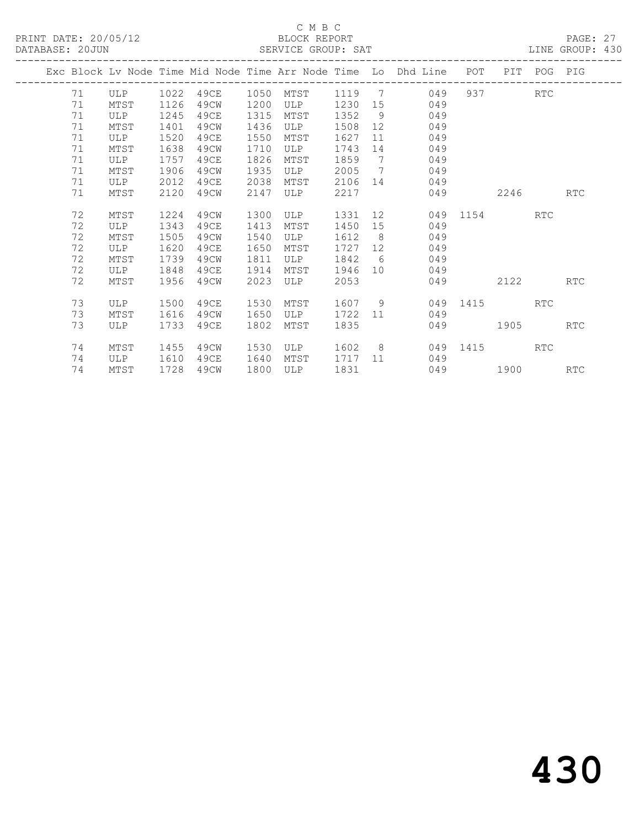|    |      |      |      |      |      |        |                | Exc Block Lv Node Time Mid Node Time Arr Node Time Lo Dhd Line | POT       | PIT  | POG        | PIG        |
|----|------|------|------|------|------|--------|----------------|----------------------------------------------------------------|-----------|------|------------|------------|
| 71 | ULP  | 1022 | 49CE | 1050 | MTST | 1119   | $\overline{7}$ | 049                                                            |           | 937  | <b>RTC</b> |            |
| 71 | MTST | 1126 | 49CW | 1200 | ULP  | 1230   | 15             | 049                                                            |           |      |            |            |
| 71 | ULP  | 1245 | 49CE | 1315 | MTST | 1352   | - 9            | 049                                                            |           |      |            |            |
| 71 | MTST | 1401 | 49CW | 1436 | ULP  | 1508   | 12             | 049                                                            |           |      |            |            |
| 71 | ULP  | 1520 | 49CE | 1550 | MTST | 1627   | 11             | 049                                                            |           |      |            |            |
| 71 | MTST | 1638 | 49CW | 1710 | ULP  | 1743   | 14             | 049                                                            |           |      |            |            |
| 71 | ULP  | 1757 | 49CE | 1826 | MTST | 1859   | $\overline{7}$ | 049                                                            |           |      |            |            |
| 71 | MTST | 1906 | 49CW | 1935 | ULP  | 2005   | $\overline{7}$ | 049                                                            |           |      |            |            |
| 71 | ULP  | 2012 | 49CE | 2038 | MTST | 2106   | 14             | 049                                                            |           |      |            |            |
| 71 | MTST | 2120 | 49CW | 2147 | ULP  | 2217   |                | 049                                                            |           | 2246 |            | <b>RTC</b> |
|    |      |      |      |      |      |        |                |                                                                |           |      |            |            |
| 72 | MTST | 1224 | 49CW | 1300 | ULP  | 1331   |                | 12 —                                                           | 049 1154  |      | <b>RTC</b> |            |
| 72 | ULP  | 1343 | 49CE | 1413 | MTST | 1450   | 15             | 049                                                            |           |      |            |            |
| 72 | MTST | 1505 | 49CW | 1540 | ULP  | 1612   | 8 <sup>8</sup> | 049                                                            |           |      |            |            |
| 72 | ULP  | 1620 | 49CE | 1650 | MTST | 1727   | 12             | 049                                                            |           |      |            |            |
| 72 | MTST | 1739 | 49CW | 1811 | ULP  | 1842   | 6              | 049                                                            |           |      |            |            |
| 72 | ULP  | 1848 | 49CE | 1914 | MTST | 1946   | 10             | 049                                                            |           |      |            |            |
| 72 | MTST | 1956 | 49CW | 2023 | ULP  | 2053   |                |                                                                | 049 — 104 | 2122 |            | <b>RTC</b> |
|    |      |      |      |      |      |        |                |                                                                |           |      |            |            |
| 73 | ULP  | 1500 | 49CE | 1530 | MTST | 1607 9 |                |                                                                | 049 1415  |      | <b>RTC</b> |            |
| 73 | MTST | 1616 | 49CW | 1650 | ULP  | 1722   | 11             | 049                                                            |           |      |            |            |
| 73 | ULP  | 1733 | 49CE | 1802 | MTST | 1835   |                |                                                                | 049       | 1905 |            | <b>RTC</b> |
|    |      |      |      |      |      |        |                |                                                                |           |      |            |            |
| 74 | MTST | 1455 | 49CW | 1530 | ULP  | 1602   |                | $8 \overline{)}$                                               | 049 1415  |      | RTC        |            |
| 74 | ULP  | 1610 | 49CE | 1640 | MTST | 1717   | 11             | 049                                                            |           |      |            |            |
| 74 | MTST | 1728 | 49CW | 1800 | ULP  | 1831   |                |                                                                | 049 1900  |      |            | <b>RTC</b> |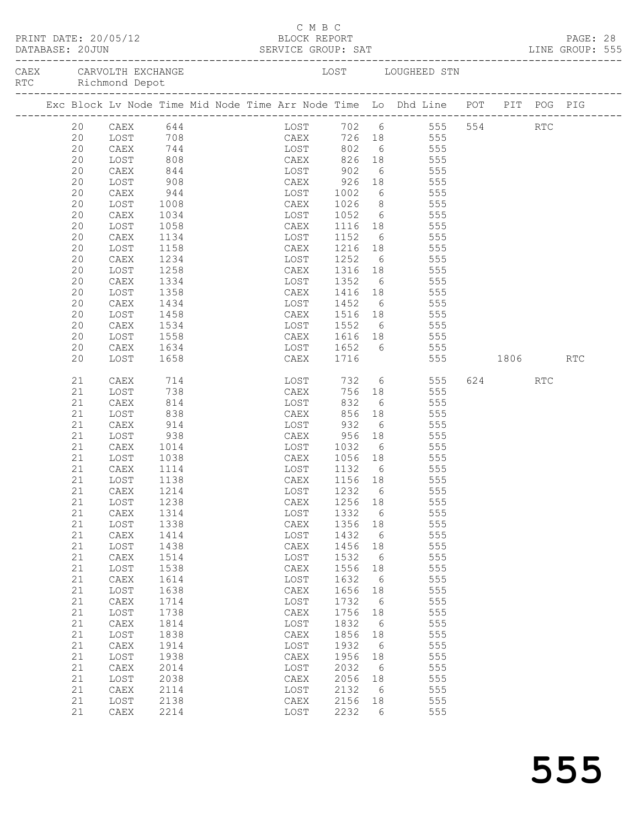| BLOCK REPORT<br>PRINT DATE: 20/05/12<br>DATABASE: 20JUN |          |                                                                                |              |  |  |             |              | C M B C |                           |                       |                 |                    |         |     | PAGE: 28 |  |
|---------------------------------------------------------|----------|--------------------------------------------------------------------------------|--------------|--|--|-------------|--------------|---------|---------------------------|-----------------------|-----------------|--------------------|---------|-----|----------|--|
|                                                         |          | CAEX CARVOLTH EXCHANGE<br>RTC Richmond Depot                                   |              |  |  |             |              |         |                           |                       |                 | LOST LOUGHEED STN  |         |     |          |  |
|                                                         |          | Exc Block Lv Node Time Mid Node Time Arr Node Time Lo Dhd Line POT PIT POG PIG |              |  |  |             |              |         |                           |                       |                 |                    |         |     |          |  |
|                                                         | 20       | CAEX 644                                                                       |              |  |  |             |              |         |                           |                       |                 | LOST 702 6 555 554 |         | RTC |          |  |
|                                                         | 20       | LOST                                                                           |              |  |  |             |              |         |                           |                       |                 |                    |         |     |          |  |
|                                                         | 20       | CAEX                                                                           |              |  |  |             |              |         |                           |                       |                 |                    |         |     |          |  |
|                                                         | 20<br>20 | LOST<br>CAEX                                                                   | 844          |  |  |             |              |         | EXECUTE: 1902             |                       |                 | 6 555              |         |     |          |  |
|                                                         | 20       | LOST                                                                           | 908          |  |  | <b>CAEX</b> |              |         | 926                       |                       |                 | 18 555             |         |     |          |  |
|                                                         | 20       | CAEX                                                                           | 944          |  |  |             | LOST         |         |                           |                       |                 |                    |         |     |          |  |
|                                                         | 20       | LOST                                                                           | 1008         |  |  |             | CAEX         |         | 1002<br>1026              |                       |                 | 6 555<br>8 555     |         |     |          |  |
|                                                         | 20       | CAEX                                                                           | 1034         |  |  |             | LOST         |         | 1052                      |                       |                 | 6 555              |         |     |          |  |
|                                                         | 20       | LOST                                                                           | 1058         |  |  |             | CAEX         |         | 1116                      |                       |                 | 18 555             |         |     |          |  |
|                                                         | 20       | CAEX                                                                           | 1134         |  |  |             | LOST         |         | 1152                      |                       | $6\overline{)}$ | 555                |         |     |          |  |
|                                                         | 20       | LOST                                                                           | 1158         |  |  |             | CAEX         |         | 1216 18                   |                       |                 | 555                |         |     |          |  |
|                                                         | 20       | CAEX                                                                           | 1234         |  |  |             |              |         | LOST 1252                 |                       |                 | 6 555              |         |     |          |  |
|                                                         | 20       | LOST                                                                           | 1258         |  |  |             |              | CAEX    | 1316 18 555               |                       |                 |                    |         |     |          |  |
|                                                         | 20       | CAEX                                                                           | 1334         |  |  |             | LOST         |         | 1352                      |                       | $6\overline{)}$ | 555                |         |     |          |  |
|                                                         | 20<br>20 | LOST<br>CAEX                                                                   | 1358<br>1434 |  |  |             |              |         | CAEX 1416 18<br>LOST 1452 |                       |                 | 555<br>6 555       |         |     |          |  |
|                                                         | 20       | LOST                                                                           | 1458         |  |  |             | CAEX         |         | 1516 18 555               |                       |                 |                    |         |     |          |  |
|                                                         | 20       | CAEX                                                                           | 1534         |  |  |             | LOST         |         | 1552 6 555                |                       |                 |                    |         |     |          |  |
|                                                         | 20       | LOST                                                                           | 1558         |  |  |             | CAEX         |         | 1616 18                   |                       |                 | 555                |         |     |          |  |
|                                                         | 20       | CAEX                                                                           | 1634         |  |  |             |              |         | LOST 1652 6 555           |                       |                 |                    |         |     |          |  |
|                                                         | 20       | LOST                                                                           | 1658         |  |  |             |              | CAEX    | 1716                      |                       |                 | 555 1806 RTC       |         |     |          |  |
|                                                         | 21       | CAEX                                                                           | 714<br>738   |  |  |             |              | LOST    | 732                       |                       |                 | 6 555              | 624 RTC |     |          |  |
|                                                         | 21       | LOST                                                                           |              |  |  |             | CAEX         |         |                           |                       |                 | 756 18 555         |         |     |          |  |
|                                                         | 21       | CAEX                                                                           | 814          |  |  |             |              | LOST    | 832                       |                       |                 | 6 555              |         |     |          |  |
|                                                         | 21<br>21 | LOST<br>CAEX                                                                   | 838<br>914   |  |  |             | CAEX<br>LOST |         | 856<br>932                | 18<br>$6\overline{6}$ |                 | 555<br>555         |         |     |          |  |
|                                                         | 21       | LOST                                                                           | 938          |  |  |             | CAEX         |         | 956                       |                       | 18              | 555                |         |     |          |  |
|                                                         | 21       | CAEX                                                                           | 1014         |  |  |             |              |         | LOST 1032                 |                       |                 | 6 555              |         |     |          |  |
|                                                         | 21       | LOST                                                                           | 1038         |  |  |             |              | CAEX    | 1056 18 555               |                       |                 |                    |         |     |          |  |
|                                                         | 21       | CAEX                                                                           | 1114         |  |  |             | LOST         |         | 1132 6                    |                       |                 | 555                |         |     |          |  |
|                                                         | 21       | LOST                                                                           | 1138         |  |  |             | CAEX         |         | 1156 18                   |                       |                 | 555                |         |     |          |  |
|                                                         | 21       | CAEX 1214                                                                      |              |  |  |             |              |         | LOST 1232 6               |                       |                 | 555                |         |     |          |  |
|                                                         | 21       | LOST                                                                           | 1238         |  |  |             | CAEX         |         | 1256 18                   |                       |                 | 555                |         |     |          |  |
|                                                         | 21       | CAEX                                                                           | 1314         |  |  |             | LOST         |         | 1332                      | $6\overline{6}$       |                 | 555                |         |     |          |  |
|                                                         | 21       | LOST                                                                           | 1338         |  |  |             | CAEX         |         | 1356                      | 18                    |                 | 555                |         |     |          |  |
|                                                         | 21<br>21 | CAEX                                                                           | 1414         |  |  |             | LOST         |         | 1432<br>1456              | 6                     |                 | 555<br>555         |         |     |          |  |
|                                                         | 21       | LOST<br>CAEX                                                                   | 1438<br>1514 |  |  |             | CAEX<br>LOST |         | 1532                      | 18<br>6               |                 | 555                |         |     |          |  |
|                                                         | 21       | LOST                                                                           | 1538         |  |  |             | CAEX         |         | 1556                      | 18                    |                 | 555                |         |     |          |  |
|                                                         | 21       | CAEX                                                                           | 1614         |  |  |             | LOST         |         | 1632                      | $6\overline{6}$       |                 | 555                |         |     |          |  |
|                                                         | 21       | LOST                                                                           | 1638         |  |  |             | CAEX         |         | 1656                      | 18                    |                 | 555                |         |     |          |  |
|                                                         | 21       | CAEX                                                                           | 1714         |  |  |             | LOST         |         | 1732                      | $6\overline{6}$       |                 | 555                |         |     |          |  |
|                                                         | 21       | LOST                                                                           | 1738         |  |  |             | CAEX         |         | 1756                      | 18                    |                 | 555                |         |     |          |  |
|                                                         | 21       | CAEX                                                                           | 1814         |  |  |             | LOST         |         | 1832                      | $6\overline{6}$       |                 | 555                |         |     |          |  |
|                                                         | 21       | LOST                                                                           | 1838         |  |  |             | CAEX         |         | 1856                      | 18                    |                 | 555                |         |     |          |  |
|                                                         | 21       | ${\tt CAEX}$                                                                   | 1914         |  |  |             | LOST         |         | 1932                      | $6\overline{6}$       |                 | 555                |         |     |          |  |
|                                                         | 21       | LOST                                                                           | 1938         |  |  |             | CAEX         |         | 1956                      | 18                    |                 | 555                |         |     |          |  |
|                                                         | 21<br>21 | CAEX                                                                           | 2014<br>2038 |  |  |             | LOST<br>CAEX |         | 2032<br>2056              | $6\overline{6}$       |                 | 555<br>555         |         |     |          |  |
|                                                         | 21       | LOST<br>CAEX                                                                   | 2114         |  |  |             | LOST         |         | 2132                      | 18<br>6               |                 | 555                |         |     |          |  |
|                                                         | 21       | LOST                                                                           | 2138         |  |  |             | CAEX         |         | 2156                      | 18                    |                 | 555                |         |     |          |  |
|                                                         | 21       | CAEX                                                                           | 2214         |  |  |             | LOST         |         | 2232                      | - 6                   |                 | 555                |         |     |          |  |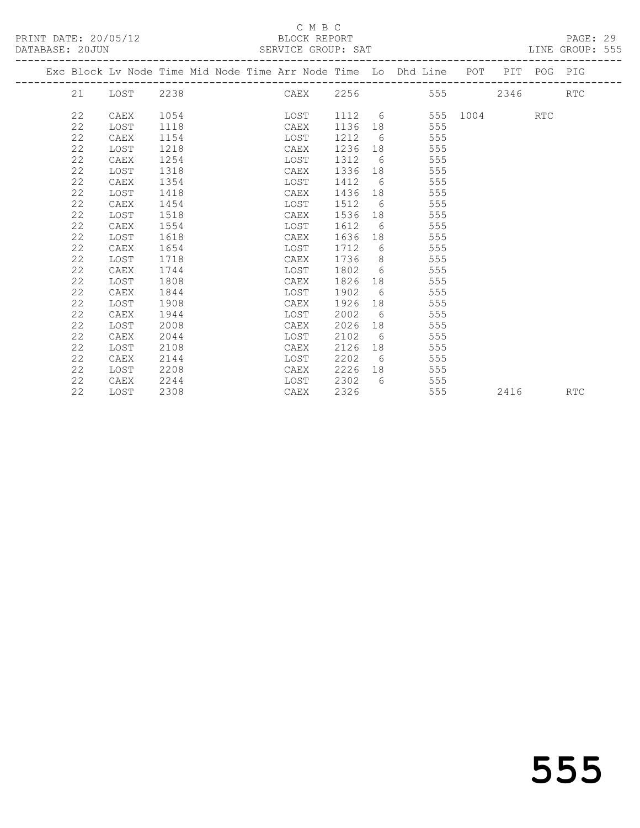### C M B C<br>BLOCK REPORT

| DATABASE: 20JUN |    |      |      |  |      |      |   | SERVICE GROUP: SAT                                                             |  | LINE GROUP: 555 |  |
|-----------------|----|------|------|--|------|------|---|--------------------------------------------------------------------------------|--|-----------------|--|
|                 |    |      |      |  |      |      |   | Exc Block Lv Node Time Mid Node Time Arr Node Time Lo Dhd Line POT PIT POG PIG |  |                 |  |
|                 |    |      |      |  |      |      |   | 21 LOST 2238 CAEX 2256 555 2346 RTC                                            |  |                 |  |
|                 | 22 | CAEX | 1054 |  |      |      |   | LOST 1112 6 555 1004 RTC                                                       |  |                 |  |
|                 | 22 | LOST | 1118 |  | CAEX | 1136 |   | 555                                                                            |  |                 |  |
|                 | 22 | CAEX | 1154 |  | LOST | 1212 |   | $6\degree$<br>555                                                              |  |                 |  |
|                 | 22 | LOST | 1218 |  | CAEX | 1236 |   | 555                                                                            |  |                 |  |
|                 | 22 | CAEX | 1254 |  | LOST | 1312 |   | $6\overline{6}$<br>555                                                         |  |                 |  |
|                 | 22 | LOST | 1318 |  | CAEX | 1336 |   | 555                                                                            |  |                 |  |
|                 | 22 | CAEX | 1354 |  | LOST | 1412 |   | 555<br>$6\degree$                                                              |  |                 |  |
|                 | 22 | LOST | 1418 |  | CAEX | 1436 |   | 555                                                                            |  |                 |  |
|                 | 22 | CAEX | 1454 |  | LOST | 1512 |   | $6\degree$<br>555                                                              |  |                 |  |
|                 | 22 | LOST | 1518 |  | CAEX | 1536 |   | 555                                                                            |  |                 |  |
|                 | 22 | CAEX | 1554 |  | LOST | 1612 |   | 555<br>$6\degree$                                                              |  |                 |  |
|                 | 22 | LOST | 1618 |  | CAEX | 1636 |   | 555                                                                            |  |                 |  |
|                 | 22 | CAEX | 1654 |  | LOST | 1712 |   | $6\degree$<br>555                                                              |  |                 |  |
|                 | 22 | LOST | 1718 |  | CAEX | 1736 |   | $8 \overline{)}$<br>555                                                        |  |                 |  |
|                 | 22 | CAEX | 1744 |  | LOST | 1802 |   | $6\degree$<br>555                                                              |  |                 |  |
|                 | 22 | LOST | 1808 |  | CAEX | 1826 |   | 555                                                                            |  |                 |  |
|                 | 22 | CAEX | 1844 |  | LOST | 1902 |   | $6\degree$<br>555                                                              |  |                 |  |
|                 | 22 | LOST | 1908 |  | CAEX | 1926 |   | 555                                                                            |  |                 |  |
|                 | 22 | CAEX | 1944 |  | LOST | 2002 | 6 | 555                                                                            |  |                 |  |
|                 | 22 | LOST | 2008 |  | CAEX | 2026 |   | 555                                                                            |  |                 |  |
|                 | 22 | CAEX | 2044 |  | LOST | 2102 | 6 | 555                                                                            |  |                 |  |

 22 LOST 2108 CAEX 2126 18 555 22 CAEX 2144 LOST 2202 6 555 22 LOST 2208 CAEX 2226 18 555 22 CAEX 2244 LOST 2302 6 555

22 LOST 2308 CAEX 2326 555 2416 RTC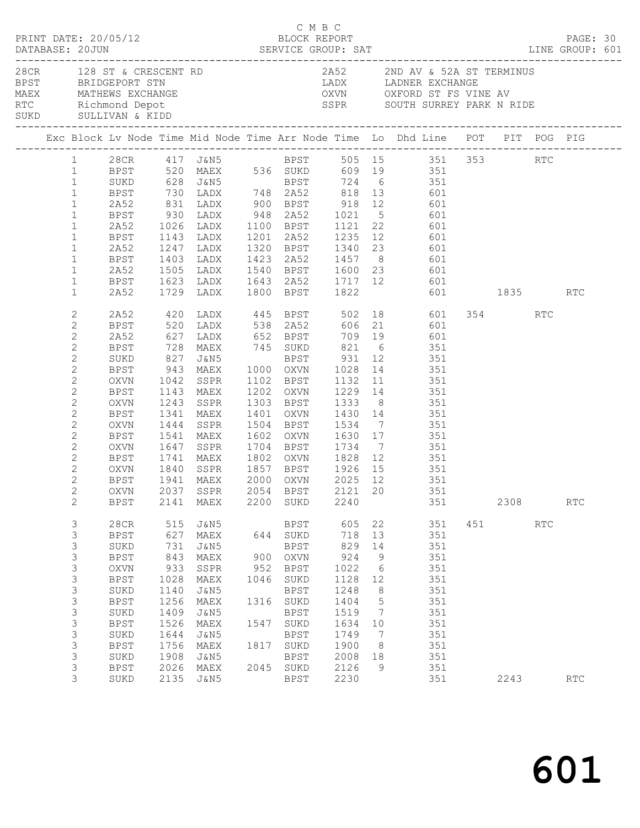|  |                                                                                                                                                                                                                                                                                                                                                                                                              | PRINT DATE: 20/05/12                                                                                                                                                   |                                                                                                          |                                                                                                                                       |                                                           | C M B C                                                                                                                                         | BLOCK REPORT                                                                                                             |                                                                                                                               | DATABASE: 20JUN<br>DATABASE: 20JUN SERVICE GROUP: SAT LINE GROUP: 601                                                                                                                                                                                                                                                                                                                                                                                                                                                                                                                                                                                                                                                                                                                                                                                                                                    |                         |                             | PAGE: 30                    |  |
|--|--------------------------------------------------------------------------------------------------------------------------------------------------------------------------------------------------------------------------------------------------------------------------------------------------------------------------------------------------------------------------------------------------------------|------------------------------------------------------------------------------------------------------------------------------------------------------------------------|----------------------------------------------------------------------------------------------------------|---------------------------------------------------------------------------------------------------------------------------------------|-----------------------------------------------------------|-------------------------------------------------------------------------------------------------------------------------------------------------|--------------------------------------------------------------------------------------------------------------------------|-------------------------------------------------------------------------------------------------------------------------------|----------------------------------------------------------------------------------------------------------------------------------------------------------------------------------------------------------------------------------------------------------------------------------------------------------------------------------------------------------------------------------------------------------------------------------------------------------------------------------------------------------------------------------------------------------------------------------------------------------------------------------------------------------------------------------------------------------------------------------------------------------------------------------------------------------------------------------------------------------------------------------------------------------|-------------------------|-----------------------------|-----------------------------|--|
|  |                                                                                                                                                                                                                                                                                                                                                                                                              | BPST BRIDGEPORT STN                                                                                                                                                    |                                                                                                          |                                                                                                                                       |                                                           |                                                                                                                                                 |                                                                                                                          |                                                                                                                               | 28CR $128$ ST & CRESCENT RD $2A52$ 2ND AV & 52A ST TERMINUS<br>LADX LADNER EXCHANGE<br>MAEX MATHEWS EXCHANGE OXVN OXFORD ST FS VINE AV THE AVENUE OXVN OXFORD ST FS VINE AVENUE AT A RIDE SURD SULLIVAN & KIDD<br>SSPR SOUTH SURREY PARK N RIDE                                                                                                                                                                                                                                                                                                                                                                                                                                                                                                                                                                                                                                                          |                         |                             |                             |  |
|  |                                                                                                                                                                                                                                                                                                                                                                                                              |                                                                                                                                                                        |                                                                                                          |                                                                                                                                       |                                                           |                                                                                                                                                 |                                                                                                                          |                                                                                                                               | Exc Block Lv Node Time Mid Node Time Arr Node Time Lo Dhd Line POT PIT POG PIG                                                                                                                                                                                                                                                                                                                                                                                                                                                                                                                                                                                                                                                                                                                                                                                                                           |                         |                             |                             |  |
|  | $\mathbf{1}$<br>$\mathbf{1}$<br>$\mathbf{1}$<br>$\mathbf{1}$<br>$\mathbf{1}$<br>$\mathbf{1}$<br>$\mathbf{1}$<br>$\mathbf{1}$<br>$\mathbf{1}$<br>$\mathbf{1}$<br>$\mathbf{1}$<br>$\mathbf{2}$<br>$\mathbf{2}$<br>$\mathbf{2}$<br>$\mathbf{2}$<br>$\mathbf{2}$<br>$\mathbf{2}$<br>$\mathbf{2}$<br>$\mathbf{2}$<br>$\mathbf{2}$<br>$\mathbf{2}$<br>$\mathbf{2}$<br>$\mathbf{2}$<br>$\mathbf{2}$<br>$\mathbf{2}$ | 2A52<br>BPST<br>2A52<br>BPST<br>2A52<br>BPST<br>2A52<br>2A52<br>BPST<br>2A52<br>BPST<br>SUKD<br>BPST<br>OXVN<br>BPST<br>OXVN<br>BPST<br>OXVN<br>BPST<br>OXVN<br>BPST   | 827<br>1341<br>1444<br>1541<br>1741                                                                      | J&N5<br>1243 SSPR<br>MAEX<br>SSPR<br>MAEX                                                                                             |                                                           |                                                                                                                                                 | 1401 OXVN 1430 14                                                                                                        |                                                                                                                               | 1 28CR 417 J&N5 BPST 505 15 351 353 RTC<br>1 BPST 520 MAEX 536 SUKD 609 19 351<br>SUKD 628 J&N5 BPST 724 6 351<br>BPST 730 LADX 748 2A52 818 13 601<br>2A52 831 LADX 900 BPST 918 12 601<br>BPST 930 LADX 948 2A52 1021 5 601<br>1026 LADX 1100 BPST 1121 22 601<br>1143 LADX 1201 2A52 1235 12 601<br>1247 LADX 1320 BPST 1340 23 601<br>1403 LADX 1423 2A52 1457 8 601<br>1505 LADX 1540 BPST 1600 23 601<br>1623 LADX 1643 2A52 1717 12 601<br>1729 LADX 1800 BPST 1822 601<br>601 1835 RTC<br>420 LADX 445 BPST 502 18 601<br>520 LADX 538 2A52 606 21 601<br>627 LADX 652 BPST 709 19 601<br>728 MAEX 745 SUKD 821 6 351<br>BPST 931 12 351<br>943 MAEX 1000 OXVN 1028 14 351<br>1042 SSPR 1102 BPST 1132 11 351<br>1143 MAEX 1202 OXVN 1229 14 351<br>1303 BPST 1333 8 351<br>351<br>1504 BPST 1534 7 351<br>1602 OXVN 1630 17 351<br>1647 SSPR 1704 BPST 1734 7 351<br>MAEX 1802 OXVN 1828 12 351 | 354 356                 | RTC                         |                             |  |
|  | $\mathbf{2}$<br>$\mathbf{2}$<br>$\overline{2}$                                                                                                                                                                                                                                                                                                                                                               | OXVN<br>BPST                                                                                                                                                           |                                                                                                          | 1840 SSPR   1857  BPST   1926  15<br>1941  MAEX   2000  OXVN   2025  12                                                               |                                                           |                                                                                                                                                 |                                                                                                                          |                                                                                                                               | 351<br>351<br>OXVN 2037 SSPR 2054 BPST 2121 20 351                                                                                                                                                                                                                                                                                                                                                                                                                                                                                                                                                                                                                                                                                                                                                                                                                                                       |                         |                             |                             |  |
|  | 2<br>3<br>3<br>3<br>3<br>$\mathsf 3$<br>3<br>3<br>3<br>$\mathsf 3$<br>3<br>3<br>3<br>3<br>3<br>3                                                                                                                                                                                                                                                                                                             | <b>BPST</b><br>28CR<br>BPST<br>SUKD<br><b>BPST</b><br>OXVN<br><b>BPST</b><br>SUKD<br><b>BPST</b><br>SUKD<br><b>BPST</b><br>SUKD<br><b>BPST</b><br>SUKD<br>BPST<br>SUKD | 2141<br>627<br>731<br>843<br>933<br>1028<br>1140<br>1256<br>1409<br>1526<br>1644<br>1756<br>1908<br>2026 | MAEX<br>515 J&N5<br>MAEX<br>J&N5<br>MAEX<br>SSPR<br>MAEX<br>J&N5<br>MAEX<br>J&N5<br>MAEX<br>J&N5<br>MAEX<br>J&N5<br>MAEX<br>2135 J&N5 | 2200<br>644<br>900<br>952<br>1046<br>1316<br>1547<br>1817 | SUKD<br>BPST<br>SUKD<br><b>BPST</b><br>OXVN<br>BPST<br>SUKD<br>BPST<br>SUKD<br>BPST<br>SUKD<br><b>BPST</b><br>SUKD<br>BPST<br>2045 SUKD<br>BPST | 2240<br>605<br>718<br>829<br>924<br>1022<br>1128<br>1248<br>1404<br>1519<br>1634<br>1749<br>1900<br>2008<br>2126<br>2230 | 22<br>13<br>14<br>9<br>$6\overline{6}$<br>12<br>8<br>5<br>$\overline{7}$<br>10<br>$\overline{7}$<br>8 <sup>8</sup><br>18<br>9 | 351<br>351<br>351<br>351<br>351<br>351<br>351<br>351<br>351<br>351<br>351<br>351<br>351<br>351<br>351<br>351                                                                                                                                                                                                                                                                                                                                                                                                                                                                                                                                                                                                                                                                                                                                                                                             | 2308<br>451 000<br>2243 | $\mathop{\rm RTC}\nolimits$ | RTC<br>$\operatorname{RTC}$ |  |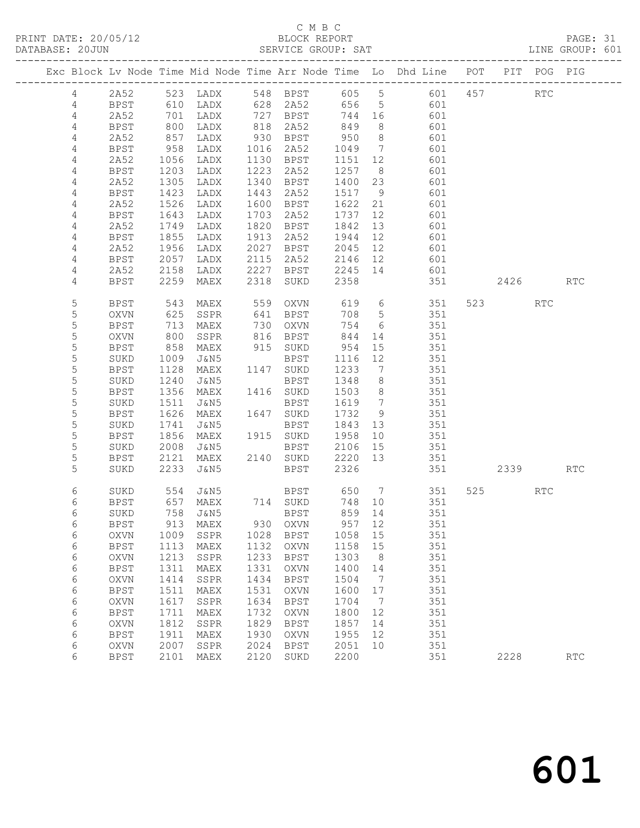PRINT DATE: 20/05/12 BLOCK REPORT<br>
DATABASE: 20JUN SERVICE GROUP: SAT

## C M B C<br>BLOCK REPORT

PAGE: 31<br>LINE GROUP: 601

|  |                |             |      |                              |      |             |        |                              | Exc Block Lv Node Time Mid Node Time Arr Node Time Lo Dhd Line POT PIT POG PIG<br>------------------------------------ |     |                |            |                             |
|--|----------------|-------------|------|------------------------------|------|-------------|--------|------------------------------|------------------------------------------------------------------------------------------------------------------------|-----|----------------|------------|-----------------------------|
|  | $\overline{4}$ | 2A52        |      | 523 LADX                     |      | 548 BPST    | 605 5  |                              | 601                                                                                                                    | 457 |                | <b>RTC</b> |                             |
|  | 4              | BPST        | 610  | LADX                         |      | 628 2A52    | 656    | $5^{\circ}$                  | 601                                                                                                                    |     |                |            |                             |
|  | 4              | 2A52        | 701  | LADX                         | 727  | BPST        | 744    | 16                           | 601                                                                                                                    |     |                |            |                             |
|  | 4              | <b>BPST</b> | 800  | LADX                         | 818  | 2A52        | 849    | 8 <sup>8</sup>               | 601                                                                                                                    |     |                |            |                             |
|  | 4              | 2A52        | 857  | LADX                         |      | 930 BPST    | 950    | 8 <sup>8</sup>               | 601                                                                                                                    |     |                |            |                             |
|  | 4              | BPST        | 958  | LADX                         | 1016 | 2A52        | 1049   | $\overline{7}$               | 601                                                                                                                    |     |                |            |                             |
|  | 4              | 2A52        | 1056 | LADX                         | 1130 | BPST        | 1151   | 12                           | 601                                                                                                                    |     |                |            |                             |
|  | 4              | <b>BPST</b> | 1203 | LADX                         | 1223 | 2A52        | 1257   | 8 <sup>8</sup>               | 601                                                                                                                    |     |                |            |                             |
|  | 4              | 2A52        | 1305 | LADX                         | 1340 | BPST        | 1400   | 23                           | 601                                                                                                                    |     |                |            |                             |
|  | 4              | BPST        | 1423 | LADX                         | 1443 | 2A52        | 1517   | 9                            | 601                                                                                                                    |     |                |            |                             |
|  | 4              | 2A52        | 1526 | LADX                         | 1600 | BPST        | 1622   | 21                           | 601                                                                                                                    |     |                |            |                             |
|  | 4              | <b>BPST</b> | 1643 | LADX                         | 1703 | 2A52        | 1737   | 12                           | 601                                                                                                                    |     |                |            |                             |
|  | 4              | 2A52        | 1749 | LADX                         | 1820 | BPST        | 1842   | 13                           | 601                                                                                                                    |     |                |            |                             |
|  | 4              | BPST        | 1855 | LADX                         | 1913 | 2A52        | 1944   | 12                           | 601                                                                                                                    |     |                |            |                             |
|  | 4              | 2A52        | 1956 | LADX                         | 2027 | BPST        | 2045   | 12                           | 601                                                                                                                    |     |                |            |                             |
|  | 4              | <b>BPST</b> | 2057 | LADX                         | 2115 | 2A52        | 2146   | 12                           | 601                                                                                                                    |     |                |            |                             |
|  | 4              | 2A52        | 2158 | LADX                         | 2227 | BPST        | 2245   | 14                           | 601                                                                                                                    |     |                |            |                             |
|  | 4              | <b>BPST</b> | 2259 | MAEX                         | 2318 | SUKD        | 2358   |                              | 351                                                                                                                    |     | 2426           |            | RTC                         |
|  |                |             |      |                              |      |             |        |                              |                                                                                                                        |     |                |            |                             |
|  | 5              | <b>BPST</b> | 543  | MAEX                         | 559  | OXVN        | 619    | 6                            | 351                                                                                                                    |     | 523 and $\sim$ | <b>RTC</b> |                             |
|  | 5              | OXVN        | 625  | SSPR                         | 641  | BPST        | 708    | $5\overline{)}$              | 351                                                                                                                    |     |                |            |                             |
|  | 5              | <b>BPST</b> | 713  | MAEX                         | 730  | OXVN        | 754    | 6                            | 351                                                                                                                    |     |                |            |                             |
|  | 5              | OXVN        | 800  | SSPR                         | 816  | BPST        | 844    | 14                           | 351                                                                                                                    |     |                |            |                             |
|  | 5              | <b>BPST</b> | 858  | MAEX                         |      | 915 SUKD    | 954    | 15                           | 351                                                                                                                    |     |                |            |                             |
|  | 5              | SUKD        | 1009 | J&N5                         |      | BPST        | 1116   | 12                           | 351                                                                                                                    |     |                |            |                             |
|  | 5              | <b>BPST</b> | 1128 | MAEX                         |      | 1147 SUKD   | 1233   | $7\overline{ }$              | 351                                                                                                                    |     |                |            |                             |
|  | 5              | SUKD        | 1240 | J&N5                         |      | <b>BPST</b> | 1348   | 8                            | 351                                                                                                                    |     |                |            |                             |
|  | 5              | <b>BPST</b> | 1356 | MAEX                         |      | 1416 SUKD   | 1503   | 8 <sup>8</sup>               | 351                                                                                                                    |     |                |            |                             |
|  | $\mathsf S$    | SUKD        | 1511 | J&N5                         |      | BPST        | 1619   | $7\phantom{.0}\phantom{.0}7$ | 351                                                                                                                    |     |                |            |                             |
|  | 5              | <b>BPST</b> | 1626 | MAEX                         |      | 1647 SUKD   | 1732   | 9                            | 351                                                                                                                    |     |                |            |                             |
|  | 5              | SUKD        | 1741 | J&N5                         |      | BPST        | 1843   | 13                           | 351                                                                                                                    |     |                |            |                             |
|  | 5              | <b>BPST</b> | 1856 | MAEX                         |      | 1915 SUKD   | 1958   | 10                           | 351                                                                                                                    |     |                |            |                             |
|  | 5              | SUKD        | 2008 | J&N5                         |      | BPST        | 2106   | 15                           | 351                                                                                                                    |     |                |            |                             |
|  | 5              | BPST        | 2121 | MAEX                         |      | 2140 SUKD   | 2220   | 13                           | 351                                                                                                                    |     |                |            |                             |
|  | 5              | SUKD        | 2233 | J&N5                         |      | BPST        | 2326   |                              | 351                                                                                                                    |     | 2339           |            | <b>RTC</b>                  |
|  |                |             |      |                              |      |             |        |                              |                                                                                                                        |     |                |            |                             |
|  | 6              | SUKD        | 554  | J&N5                         |      | BPST        | 650    | $\overline{7}$               | 351                                                                                                                    |     | 525            | <b>RTC</b> |                             |
|  | 6              | BPST        | 657  | MAEX                         |      | 714 SUKD    | 748    | 10                           | 351                                                                                                                    |     |                |            |                             |
|  | 6              | SUKD        | 758  | J&N5                         |      | BPST        | 859 14 |                              | 351                                                                                                                    |     |                |            |                             |
|  | 6              | <b>BPST</b> | 913  | MAEX                         | 930  | OXVN        | 957    | 12                           | 351                                                                                                                    |     |                |            |                             |
|  | 6              | <b>OXVN</b> | 1009 | SSPR                         | 1028 | <b>BPST</b> | 1058   | 15                           | 351                                                                                                                    |     |                |            |                             |
|  | $\epsilon$     | <b>BPST</b> | 1113 | MAEX                         | 1132 | OXVN        | 1158   | 15                           | 351                                                                                                                    |     |                |            |                             |
|  | 6              | OXVN        | 1213 | SSPR                         | 1233 | <b>BPST</b> | 1303   | 8                            | 351                                                                                                                    |     |                |            |                             |
|  | 6              | <b>BPST</b> | 1311 | MAEX                         | 1331 | <b>OXVN</b> | 1400   | 14                           | 351                                                                                                                    |     |                |            |                             |
|  | 6              | OXVN        | 1414 | SSPR                         | 1434 | <b>BPST</b> | 1504   | 7                            | 351                                                                                                                    |     |                |            |                             |
|  | $\epsilon$     | BPST        | 1511 | MAEX                         | 1531 | OXVN        | 1600   | 17                           | 351                                                                                                                    |     |                |            |                             |
|  | $\epsilon$     | OXVN        | 1617 | SSPR                         | 1634 | <b>BPST</b> | 1704   | 7                            | 351                                                                                                                    |     |                |            |                             |
|  | 6              | <b>BPST</b> | 1711 | MAEX                         | 1732 | OXVN        | 1800   | 12                           | 351                                                                                                                    |     |                |            |                             |
|  | 6              | OXVN        | 1812 | SSPR                         | 1829 | <b>BPST</b> | 1857   | 14                           | 351                                                                                                                    |     |                |            |                             |
|  | 6              | <b>BPST</b> | 1911 | $\ensuremath{\mathsf{MAEX}}$ | 1930 | OXVN        | 1955   | 12                           | 351                                                                                                                    |     |                |            |                             |
|  | 6              | OXVN        | 2007 | SSPR                         | 2024 | <b>BPST</b> | 2051   | 10                           | 351                                                                                                                    |     |                |            |                             |
|  | 6              | <b>BPST</b> | 2101 | MAEX                         | 2120 | SUKD        | 2200   |                              | 351                                                                                                                    |     | 2228           |            | $\mathop{\rm RTC}\nolimits$ |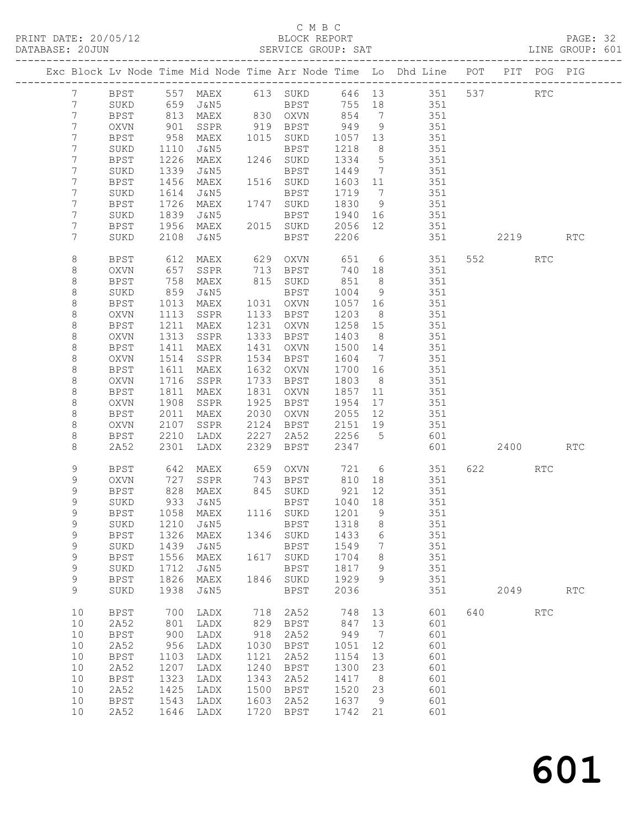PRINT DATE: 20/05/12 BLOCK REPORT BATABASE: 20JUN

#### C M B C<br>BLOCK REPORT

PAGE: 32<br>LINE GROUP: 601

|                 |                     |              |                            |              |                          |                 |                      | Exc Block Lv Node Time Mid Node Time Arr Node Time Lo Dhd Line POT |     |                        | PIT POG PIG |                             |
|-----------------|---------------------|--------------|----------------------------|--------------|--------------------------|-----------------|----------------------|--------------------------------------------------------------------|-----|------------------------|-------------|-----------------------------|
| $7\phantom{.0}$ | BPST                |              |                            |              |                          |                 |                      |                                                                    |     |                        | RTC         |                             |
| $7\overline{ }$ | SUKD                |              |                            |              |                          |                 |                      |                                                                    |     |                        |             |                             |
| $7\phantom{.0}$ | <b>BPST</b>         |              | 813 MAEX                   |              | 830 OXVN 854             |                 | $\overline{7}$       | 351                                                                |     |                        |             |                             |
| 7               | OXVN                | 901          | SSPR                       |              | 919 BPST                 | 949             | 9                    | 351                                                                |     |                        |             |                             |
| $7\phantom{.0}$ | BPST                | 958          | MAEX                       |              | 1015 SUKD                | 1057 13         |                      | 351                                                                |     |                        |             |                             |
| $7\phantom{.0}$ | SUKD                | 1110         | J&N5                       |              | BPST                     | 1218            | 8 <sup>8</sup>       | 351                                                                |     |                        |             |                             |
| $7\phantom{.0}$ | BPST                | 1226         | MAEX                       |              | 1246 SUKD                | 1334            | $5\overline{)}$      | 351                                                                |     |                        |             |                             |
| 7               | SUKD                | 1339         | J&N5                       |              | BPST                     | 1449            | $\overline{7}$       | 351                                                                |     |                        |             |                             |
| $7\phantom{.0}$ | BPST                | 1456         | MAEX                       |              | 1516 SUKD                | 1603            | 11                   | 351                                                                |     |                        |             |                             |
| $7\phantom{.0}$ | SUKD                | 1614         | J&N5                       |              | BPST                     | 1719            | $\overline{7}$       | 351                                                                |     |                        |             |                             |
| $7\phantom{.0}$ | BPST                | 1726         | MAEX                       |              | 1747 SUKD                | 1830            | 9                    | 351                                                                |     |                        |             |                             |
| 7               | SUKD                | 1839         | J&N5                       |              | BPST                     | 1940 16         |                      | 351                                                                |     |                        |             |                             |
| 7               | BPST                | 1956         | MAEX                       |              | 2015 SUKD                | 2056            | 12                   | 351                                                                |     |                        |             |                             |
| 7               | SUKD                | 2108         | J&N5                       |              | BPST                     | 2206            |                      | 351                                                                |     | 2219                   |             | <b>RTC</b>                  |
| 8               | BPST                | 612          | MAEX                       |              | 629 OXVN                 | 651             |                      | 6 351                                                              |     | 552 31                 | <b>RTC</b>  |                             |
| 8               | <b>OXVN</b>         | 657          | SSPR                       | 713          | BPST                     | 740             | 18                   | 351                                                                |     |                        |             |                             |
| $\,8\,$         | BPST                | 758          | MAEX                       |              | 815 SUKD                 | 851             | 8 <sup>8</sup>       | 351                                                                |     |                        |             |                             |
| 8               | SUKD                | 859          | J&N5                       |              | BPST                     | 1004            | 9                    | 351                                                                |     |                        |             |                             |
| 8               | BPST                | 1013         | MAEX                       |              | 1031 OXVN                | 1057 16         |                      | 351                                                                |     |                        |             |                             |
| 8               | OXVN                | 1113         | SSPR                       |              | 1133 BPST                | 1203            | 8 <sup>8</sup>       | 351                                                                |     |                        |             |                             |
| 8               | BPST                | 1211         | MAEX                       | 1231         | OXVN                     | 1258            | 15                   | 351                                                                |     |                        |             |                             |
| 8               | OXVN                | 1313         | SSPR                       | 1333         | BPST                     | 1403            | 8 <sup>8</sup>       | 351                                                                |     |                        |             |                             |
| 8               | BPST                | 1411         | MAEX                       | 1431         | OXVN                     | 1500            | 14                   | 351                                                                |     |                        |             |                             |
| 8               | OXVN                | 1514         | SSPR                       | 1534         | BPST                     | 1604            | $\overline{7}$       | 351                                                                |     |                        |             |                             |
| 8               | BPST                | 1611         | MAEX                       | 1632         | OXVN                     | 1700            | 16                   | 351                                                                |     |                        |             |                             |
| 8               | OXVN                | 1716         | SSPR                       | 1733         | BPST                     | 1803            | 8 <sup>8</sup>       | 351                                                                |     |                        |             |                             |
| 8               | BPST                | 1811         | MAEX                       | 1831         | OXVN                     | 1857            | 11                   | 351                                                                |     |                        |             |                             |
| 8               | OXVN                | 1908         | SSPR                       | 1925         | BPST                     | 1954            | 17                   | 351                                                                |     |                        |             |                             |
| 8               | BPST                | 2011         | MAEX                       | 2030         | OXVN                     | 2055            | 12                   | 351                                                                |     |                        |             |                             |
| 8               | OXVN                | 2107         | SSPR                       | 2124<br>2227 | BPST                     | 2151 19<br>2256 | $5^{\circ}$          | 351<br>601                                                         |     |                        |             |                             |
| 8<br>8          | BPST<br>2A52        | 2210<br>2301 | LADX<br>LADX               | 2329         | 2A52<br>BPST             | 2347            |                      | 601                                                                |     | 2400                   |             | $\mathop{\rm RTC}\nolimits$ |
|                 |                     |              |                            |              |                          |                 |                      |                                                                    |     |                        |             |                             |
| 9               | BPST                | 642          | MAEX                       | 659          | OXVN                     |                 |                      | 721 6<br>351                                                       |     | 622 and $\overline{a}$ | RTC         |                             |
| 9               | OXVN                | 727          | SSPR                       |              | 743 BPST                 | 810             | 18                   | 351                                                                |     |                        |             |                             |
| 9               | BPST                | 828          | MAEX                       |              | 845 SUKD                 | 921             | 12                   | 351                                                                |     |                        |             |                             |
| 9               | SUKD                | 933          | J&N5                       |              | BPST                     | 1040            | 18                   | 351                                                                |     |                        |             |                             |
| 9               | <b>BPST</b>         | 1058         | MAEX                       |              | 1116 SUKD                | 1201 9          |                      | 351                                                                |     |                        |             |                             |
| 9               |                     |              | SUKD 1210 J&N5 BPST 1318 8 |              |                          |                 |                      | 351                                                                |     |                        |             |                             |
| 9               | BPST                | 1326         | MAEX                       |              | 1346 SUKD                | 1433            | 6                    | 351                                                                |     |                        |             |                             |
| 9               | SUKD                | 1439         | J&N5                       |              | BPST                     | 1549            | $7\phantom{.0}$      | 351                                                                |     |                        |             |                             |
| $\mathsf 9$     | BPST                | 1556         | MAEX                       |              | 1617 SUKD                | 1704            | 8                    | 351                                                                |     |                        |             |                             |
| 9<br>9          | SUKD                | 1712<br>1826 | J&N5<br>MAEX               |              | <b>BPST</b><br>1846 SUKD | 1817<br>1929    | 9<br>9               | 351<br>351                                                         |     |                        |             |                             |
| 9               | BPST<br>SUKD        | 1938         | J&N5                       |              | <b>BPST</b>              | 2036            |                      | 351                                                                |     | 2049                   |             | $\operatorname{RTC}$        |
|                 |                     |              |                            |              |                          |                 |                      |                                                                    |     |                        |             |                             |
| 10              | BPST                | 700          | LADX                       | 718          | 2A52                     | 748             | 13                   | 601                                                                | 640 |                        | <b>RTC</b>  |                             |
| 10              | 2A52                | 801          | LADX                       | 829          | BPST                     | 847             | 13                   | 601                                                                |     |                        |             |                             |
| 10              | <b>BPST</b>         | 900          | LADX                       | 918          | 2A52                     | 949             | $\overline{7}$       | 601                                                                |     |                        |             |                             |
| 10              | 2A52                | 956          | LADX                       | 1030         | BPST                     | 1051            | 12                   | 601                                                                |     |                        |             |                             |
| 10              | <b>BPST</b>         | 1103         | LADX                       | 1121         | 2A52                     | 1154            | 13                   | 601                                                                |     |                        |             |                             |
| 10              | 2A52                | 1207         | LADX                       | 1240         | BPST                     | 1300            | 23                   | 601                                                                |     |                        |             |                             |
| 10<br>10        | <b>BPST</b><br>2A52 | 1323<br>1425 | LADX                       | 1343<br>1500 | 2A52                     | 1417<br>1520    | 8 <sup>8</sup><br>23 | 601<br>601                                                         |     |                        |             |                             |
| 10              | <b>BPST</b>         | 1543         | LADX<br>LADX               | 1603         | BPST<br>2A52             | 1637            | $\overline{9}$       | 601                                                                |     |                        |             |                             |
| 10              | 2A52                |              | 1646 LADX                  | 1720         | BPST                     | 1742 21         |                      | 601                                                                |     |                        |             |                             |
|                 |                     |              |                            |              |                          |                 |                      |                                                                    |     |                        |             |                             |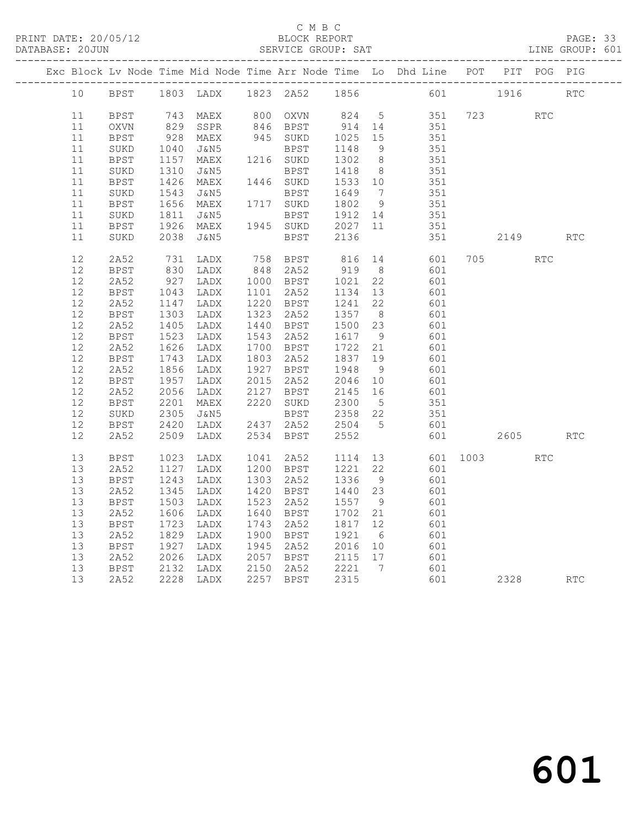PRINT DATE: 20/05/12 BLOCK REPORT<br>DATABASE: 20JUN SERVICE GROUP: SAT

#### C M B C<br>BLOCK REPORT

#### PAGE: 33<br>LINE GROUP: 601

|  |    |             |                  |                      |      |                              |                   |                 | Exc Block Lv Node Time Mid Node Time Arr Node Time Lo Dhd Line POT PIT POG PIG |          |      |                             |                             |
|--|----|-------------|------------------|----------------------|------|------------------------------|-------------------|-----------------|--------------------------------------------------------------------------------|----------|------|-----------------------------|-----------------------------|
|  | 10 | BPST        |                  |                      |      | 1803 LADX 1823 2A52 1856     |                   |                 |                                                                                | 601 1916 |      |                             | RTC                         |
|  | 11 | <b>BPST</b> |                  | 743 MAEX<br>829 SSPR |      | 800 OXVN<br>846 BPST         | 824 5             |                 | 351                                                                            | 723      |      | $\mathop{\rm RTC}\nolimits$ |                             |
|  | 11 | OXVN        |                  | SSPR                 |      |                              | 914 14            |                 | 351                                                                            |          |      |                             |                             |
|  | 11 | <b>BPST</b> | 928              | MAEX                 |      | 945 SUKD                     | 1025 15           |                 | 351                                                                            |          |      |                             |                             |
|  | 11 | $\rm SUKD$  | 1040             | J&N5                 |      | BPST                         | 1148              | $\overline{9}$  | 351                                                                            |          |      |                             |                             |
|  | 11 | BPST        | 1157             | MAEX                 |      | 1216 SUKD                    | 1302              | 8 <sup>8</sup>  | 351                                                                            |          |      |                             |                             |
|  | 11 | SUKD        |                  | J&N5                 |      | BPST                         | 1418 8<br>1533 10 |                 | 351                                                                            |          |      |                             |                             |
|  | 11 | BPST        | 1310<br>1426     | MAEX                 |      | 1446 SUKD                    |                   |                 | 351                                                                            |          |      |                             |                             |
|  | 11 | SUKD        |                  | J&N5                 |      | BPST                         | 1649              | $7\phantom{0}$  | 351                                                                            |          |      |                             |                             |
|  | 11 | BPST        | 1543<br>1656     | MAEX                 |      | 1717 SUKD                    | 1802 9            |                 | $351$                                                                          |          |      |                             |                             |
|  | 11 | $\rm SUKD$  | 1811<br>1926     | J&N5                 |      | BPST 1912 14<br>SUKD 2027 11 |                   |                 | 351                                                                            |          |      |                             |                             |
|  | 11 | BPST        | 1926             | MAEX                 |      | 1945 SUKD                    | 2027 11           |                 | 351                                                                            |          |      |                             |                             |
|  | 11 | SUKD        | 2038             | J&N5                 |      | BPST                         | 2136              |                 | 351                                                                            |          | 2149 |                             | RTC                         |
|  | 12 | 2A52        | 731              | LADX                 |      | 758 BPST                     | 816               | 14              | 601                                                                            | 705      |      | <b>RTC</b>                  |                             |
|  | 12 | <b>BPST</b> | 830<br>927       | LADX                 |      | 848 2A52                     | 919 8             |                 | 601                                                                            |          |      |                             |                             |
|  | 12 | 2A52        |                  | LADX                 |      | 1000 BPST                    | 1021              | 22              | 601                                                                            |          |      |                             |                             |
|  | 12 | <b>BPST</b> | 1043             | LADX                 |      | 1101 2A52                    | 1134              | 13              | 601                                                                            |          |      |                             |                             |
|  | 12 | 2A52        | 1147             | LADX                 |      | 1220 BPST                    | 1241              | 22              | 601                                                                            |          |      |                             |                             |
|  | 12 | <b>BPST</b> | $130J$<br>$1405$ | LADX                 |      | 1323 2A52                    | 1357 8            |                 | 601                                                                            |          |      |                             |                             |
|  | 12 | 2A52        |                  | LADX                 |      | 1440 BPST                    | 1500 23           |                 | 601                                                                            |          |      |                             |                             |
|  | 12 | <b>BPST</b> | 1523<br>1626     | LADX                 |      | 1543 2A52                    | 1617              | 9               | 601                                                                            |          |      |                             |                             |
|  | 12 | 2A52        | 1626             | LADX                 |      | 1700 BPST                    | 1722 21           |                 | 601                                                                            |          |      |                             |                             |
|  | 12 | BPST        | 1743             | LADX                 |      | 1803 2A52                    | 1837 19           |                 | 601                                                                            |          |      |                             |                             |
|  | 12 | 2A52        | $1856$<br>$1957$ | LADX                 |      | 1927 BPST                    | 1948 9<br>2046 10 | 9               | 601                                                                            |          |      |                             |                             |
|  | 12 | BPST        |                  | LADX                 |      | 2015 2A52                    |                   |                 | 601                                                                            |          |      |                             |                             |
|  | 12 | 2A52        | 2056             | LADX                 | 2127 | BPST                         | 2145              | 16              | 601<br>351                                                                     |          |      |                             |                             |
|  | 12 | BPST        | 2201             | MAEX                 |      | 2220 SUKD                    | 2300              | $5\overline{)}$ |                                                                                |          |      |                             |                             |
|  | 12 | SUKD        | 2305             | J&N5                 |      | BPST                         | 2358 22           |                 | 351                                                                            |          |      |                             |                             |
|  | 12 | BPST        | 2420             | LADX                 |      | 2437 2A52                    | 2504 5            |                 | 601                                                                            |          |      |                             |                             |
|  | 12 | 2A52        | 2509             | LADX                 |      | 2534 BPST                    | 2552              |                 | 601                                                                            |          | 2605 |                             | $\mathop{\rm RTC}\nolimits$ |
|  | 13 | BPST        | 1023             | LADX                 |      | 1041 2A52                    | 1114              | 13              | 601                                                                            | 1003     |      | <b>RTC</b>                  |                             |
|  | 13 | 2A52        | 1127             | LADX                 |      | 1200 BPST                    | 1221              | 22              | 601                                                                            |          |      |                             |                             |
|  | 13 | BPST        | 1243             | LADX                 |      | 1303 2A52                    | 1336              | 9               | 601                                                                            |          |      |                             |                             |
|  | 13 | 2A52        | 1345             | LADX                 |      | 1420 BPST                    | 1440 23           |                 | 601                                                                            |          |      |                             |                             |
|  | 13 | <b>BPST</b> | 1503             | LADX                 |      | 1523 2A52                    | 1557              | 9               | 601                                                                            |          |      |                             |                             |
|  | 13 | 2A52        | 1606             | LADX                 |      | 1640 BPST                    | 1702              | 21              | 601                                                                            |          |      |                             |                             |
|  | 13 | <b>BPST</b> | 1723             | LADX                 |      | 1743 2A52                    | 1817              | 12              | 601                                                                            |          |      |                             |                             |
|  | 13 | 2A52        | 1829             | LADX                 |      | 1900 BPST                    | 1921              | $6\overline{6}$ | 601                                                                            |          |      |                             |                             |
|  | 13 | <b>BPST</b> | 1927             | LADX                 |      | 1945 2A52                    | 2016 10           |                 | 601                                                                            |          |      |                             |                             |
|  | 13 | 2A52        | 2026             | LADX                 |      | 2057 BPST 2115 17            |                   |                 | 601                                                                            |          |      |                             |                             |
|  | 13 | BPST        | 2132             | LADX                 |      | 2150 2A52                    | 2221 7            |                 | 601                                                                            |          |      |                             |                             |
|  | 13 | 2A52        |                  | 2228 LADX            |      | 2257 BPST                    | 2315              |                 | 601                                                                            |          | 2328 |                             | <b>RTC</b>                  |
|  |    |             |                  |                      |      |                              |                   |                 |                                                                                |          |      |                             |                             |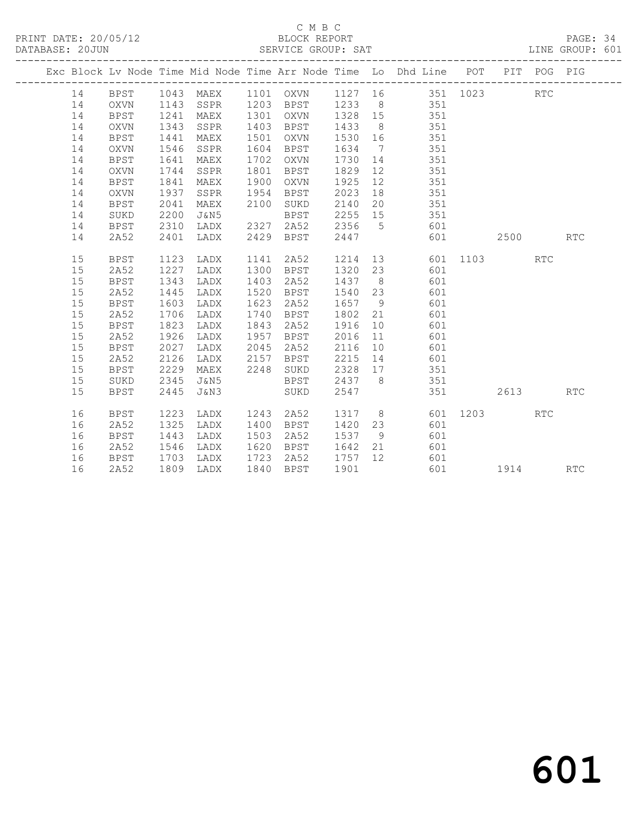PRINT DATE: 20/05/12 BLOCK REPORT BATABASE: 20JUN

#### C M B C<br>BLOCK REPORT

PAGE: 34<br>LINE GROUP: 601

|  |          |                     |              |              |              |              |              |                              | Exc Block Lv Node Time Mid Node Time Arr Node Time Lo Dhd Line POT |      |      | PIT POG PIG |            |
|--|----------|---------------------|--------------|--------------|--------------|--------------|--------------|------------------------------|--------------------------------------------------------------------|------|------|-------------|------------|
|  | 14       | <b>BPST</b>         | 1043         | MAEX         |              | 1101 OXVN    |              |                              | 1127 16 351 1023                                                   |      |      | RTC         |            |
|  | 14       | OXVN                | 1143         | SSPR         | 1203         | <b>BPST</b>  | 1233         | 8 <sup>8</sup>               | 351                                                                |      |      |             |            |
|  | 14       | <b>BPST</b>         | 1241         | MAEX         | 1301         | OXVN         | 1328         | 15                           | 351                                                                |      |      |             |            |
|  | 14       | <b>OXVN</b>         | 1343         | SSPR         | 1403         | BPST         | 1433         | 8 <sup>8</sup>               | 351                                                                |      |      |             |            |
|  | 14       | <b>BPST</b>         | 1441         | MAEX         | 1501         | OXVN         | 1530         | 16                           | 351                                                                |      |      |             |            |
|  | 14       | <b>OXVN</b>         | 1546         | SSPR         | 1604         | BPST         | 1634         | $7\phantom{.0}\phantom{.0}7$ | 351                                                                |      |      |             |            |
|  | 14       | BPST                | 1641         | MAEX         | 1702         | OXVN         | 1730         | 14                           | 351                                                                |      |      |             |            |
|  | 14       | OXVN                | 1744         | SSPR         | 1801         | BPST         | 1829         | 12                           | 351                                                                |      |      |             |            |
|  | 14       | <b>BPST</b>         | 1841         | MAEX         | 1900         | OXVN         | 1925         | 12                           | 351                                                                |      |      |             |            |
|  | 14       | <b>OXVN</b>         | 1937         | SSPR         | 1954         | <b>BPST</b>  | 2023         | 18                           | 351                                                                |      |      |             |            |
|  | 14       | BPST                | 2041         | MAEX         | 2100         | SUKD         | 2140         | 20                           | 351                                                                |      |      |             |            |
|  | 14       | SUKD                | 2200         | J&N5         |              | BPST         | 2255         | 15                           | 351                                                                |      |      |             |            |
|  | 14       | <b>BPST</b>         | 2310         | LADX         | 2327         | 2A52         | 2356         | $5^{\circ}$                  | 601                                                                |      |      |             |            |
|  | 14       | 2A52                | 2401         | LADX         | 2429         | BPST         | 2447         |                              | 601                                                                |      | 2500 |             | RTC        |
|  |          |                     |              |              |              |              |              |                              |                                                                    |      |      |             |            |
|  | 15       | BPST                | 1123<br>1227 | LADX         | 1141<br>1300 | 2A52         | 1214         | 13                           | 601<br>601                                                         | 1103 |      | <b>RTC</b>  |            |
|  | 15<br>15 | 2A52<br><b>BPST</b> | 1343         | LADX<br>LADX | 1403         | BPST         | 1320<br>1437 | 23<br>8 <sup>8</sup>         | 601                                                                |      |      |             |            |
|  | 15       | 2A52                | 1445         | LADX         | 1520         | 2A52<br>BPST | 1540         | 23                           | 601                                                                |      |      |             |            |
|  | 15       | <b>BPST</b>         | 1603         | LADX         | 1623         | 2A52         | 1657         | - 9                          | 601                                                                |      |      |             |            |
|  | 15       | 2A52                | 1706         | LADX         | 1740         | BPST         | 1802         | 21                           | 601                                                                |      |      |             |            |
|  | 15       | <b>BPST</b>         | 1823         | LADX         | 1843         | 2A52         | 1916         | 10                           | 601                                                                |      |      |             |            |
|  | 15       | 2A52                | 1926         | LADX         | 1957         | BPST         | 2016         | 11                           | 601                                                                |      |      |             |            |
|  | 15       | <b>BPST</b>         | 2027         | LADX         | 2045         | 2A52         | 2116         | 10                           | 601                                                                |      |      |             |            |
|  | 15       | 2A52                | 2126         | LADX         | 2157         | <b>BPST</b>  | 2215         | 14                           | 601                                                                |      |      |             |            |
|  | 15       | <b>BPST</b>         | 2229         | MAEX         | 2248         | $\rm SUKD$   | 2328         | 17                           | 351                                                                |      |      |             |            |
|  | 15       | SUKD                | 2345         | J&N5         |              | BPST         | 2437         | 8 <sup>8</sup>               | 351                                                                |      |      |             |            |
|  | 15       | <b>BPST</b>         | 2445         | J&N3         |              | SUKD         | 2547         |                              | 351                                                                |      | 2613 |             | <b>RTC</b> |
|  |          |                     |              |              |              |              |              |                              |                                                                    |      |      |             |            |
|  | 16       | BPST                | 1223         | LADX         | 1243         | 2A52         | 1317 8       |                              | 601                                                                | 1203 |      | <b>RTC</b>  |            |
|  | 16       | 2A52                | 1325         | LADX         | 1400         | <b>BPST</b>  | 1420         | 23                           | 601                                                                |      |      |             |            |
|  | 16       | <b>BPST</b>         | 1443         | LADX         | 1503         | 2A52         | 1537         | 9                            | 601                                                                |      |      |             |            |
|  | 16       | 2A52                | 1546         | LADX         | 1620         | BPST         | 1642         | 21                           | 601                                                                |      |      |             |            |
|  | 16       | <b>BPST</b>         | 1703         | LADX         | 1723         | 2A52         | 1757         | 12                           | 601                                                                |      |      |             |            |
|  | 16       | 2A52                | 1809         | LADX         | 1840         | <b>BPST</b>  | 1901         |                              | 601                                                                |      | 1914 |             | <b>RTC</b> |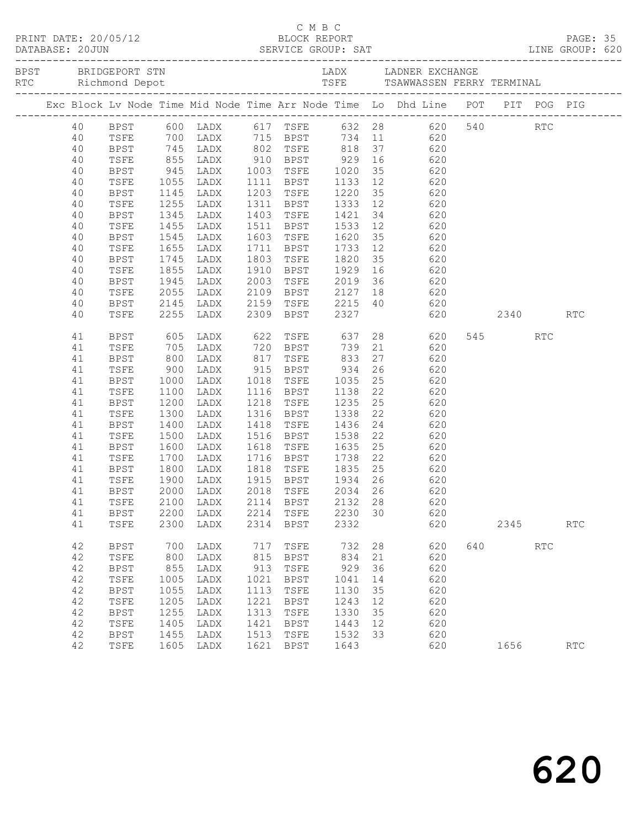|  |          |              |                      |                        |      |             |         |    | Exc Block Lv Node Time Mid Node Time Arr Node Time Lo Dhd Line POT PIT POG PIG                    |     |      |            |            |  |
|--|----------|--------------|----------------------|------------------------|------|-------------|---------|----|---------------------------------------------------------------------------------------------------|-----|------|------------|------------|--|
|  |          |              |                      |                        |      |             |         |    | 40 BPST 600 LADX 617 TSFE 632 28 620 540 RTC<br>40 TSFE 700 LADX 715 BPST 734 11 620              |     |      |            |            |  |
|  |          |              |                      |                        |      |             |         |    |                                                                                                   |     |      |            |            |  |
|  | 40       |              |                      |                        |      |             |         |    | BPST 745 LADX 802 TSFE 818 37 620                                                                 |     |      |            |            |  |
|  | 40       | TSFE         |                      |                        |      |             |         |    | 855 LADX 910 BPST 929 16 620<br>945 LADX 1003 TSFE 1020 35 620<br>1055 LADX 1111 BPST 1133 12 620 |     |      |            |            |  |
|  | 40       | BPST         |                      |                        |      |             |         |    |                                                                                                   |     |      |            |            |  |
|  | 40       | TSFE         |                      |                        |      |             |         |    |                                                                                                   |     |      |            |            |  |
|  | 40       | BPST         |                      | 1145 LADX              |      |             |         |    | 1203 TSFE 1220 35 620                                                                             |     |      |            |            |  |
|  | 40       | TSFE         | 1255                 | LADX                   |      |             |         |    | 1311 BPST 1333 12 620                                                                             |     |      |            |            |  |
|  | 40<br>40 | BPST<br>TSFE | 1345<br>1455         | LADX<br>LADX           |      |             |         |    | 1403 TSFE 1421 34 620<br>1511 BPST 1533 12 620                                                    |     |      |            |            |  |
|  | 40       | BPST         | 1545                 | LADX                   |      |             |         |    | 1603 TSFE 1620 35 620                                                                             |     |      |            |            |  |
|  | 40       | TSFE         | 1655                 | LADX                   |      |             |         |    | 1711 BPST 1733 12 620                                                                             |     |      |            |            |  |
|  | 40       | BPST         |                      |                        |      |             |         |    |                                                                                                   |     |      |            |            |  |
|  | 40       | TSFE         |                      | 1745 LADX<br>1855 LADX |      |             |         |    | 1803 TSFE 1820 35 620<br>1910 BPST 1929 16 620                                                    |     |      |            |            |  |
|  | 40       | BPST         |                      | 1945 LADX              |      |             |         |    | 2003 TSFE 2019 36 620                                                                             |     |      |            |            |  |
|  | 40       | TSFE         | 2055                 | LADX                   |      |             |         |    | 2109 BPST 2127 18 620                                                                             |     |      |            |            |  |
|  | 40       | BPST         |                      |                        |      |             |         |    |                                                                                                   |     |      |            |            |  |
|  | 40       | TSFE         |                      | 2145 LADX<br>2255 LADX |      |             |         |    | 2159 TSFE 2215 40 620<br>2309 BPST 2327 620<br>620 2340                                           |     |      |            | <b>RTC</b> |  |
|  | 41       | BPST         |                      | 605 LADX               |      |             |         |    | 622 TSFE 637 28 620                                                                               |     | 545  | <b>RTC</b> |            |  |
|  | 41       | TSFE         |                      |                        |      |             |         |    |                                                                                                   |     |      |            |            |  |
|  | 41       | BPST         |                      |                        |      |             |         |    |                                                                                                   |     |      |            |            |  |
|  | 41       | TSFE         |                      |                        |      |             |         |    |                                                                                                   |     |      |            |            |  |
|  | 41       | BPST         | 1000                 |                        |      |             |         |    | LADX 1018 TSFE 1035 25 620                                                                        |     |      |            |            |  |
|  | 41       | TSFE         | 1100<br>1200<br>1300 | LADX                   |      |             |         |    | 1116 BPST 1138 22 620<br>1218 TSFE 1235 25 620<br>1316 BPST 1338 22 620                           |     |      |            |            |  |
|  | 41       | BPST         |                      | LADX                   |      |             |         |    |                                                                                                   |     |      |            |            |  |
|  | 41       | TSFE         | 1400                 | LADX                   |      |             |         |    | 1418 TSFE 1436 24 620                                                                             |     |      |            |            |  |
|  | 41<br>41 | BPST<br>TSFE | 1500                 | LADX<br>LADX           |      |             |         |    |                                                                                                   |     |      |            |            |  |
|  | 41       | <b>BPST</b>  |                      | LADX                   |      |             |         |    |                                                                                                   |     |      |            |            |  |
|  | 41       | TSFE         | 1600<br>1700         | LADX                   |      |             |         |    | 1516 BPST 1538 22 620<br>1618 TSFE 1635 25 620<br>1716 BPST 1738 22 620                           |     |      |            |            |  |
|  | 41       | BPST         | 1800                 |                        |      |             |         |    | LADX 1818 TSFE 1835 25 620                                                                        |     |      |            |            |  |
|  | 41       | TSFE         | 1900                 | LADX                   |      |             |         |    |                                                                                                   |     |      |            |            |  |
|  | 41       | BPST         |                      | 2000 LADX              |      |             |         |    |                                                                                                   |     |      |            |            |  |
|  |          |              |                      |                        |      |             |         |    | 41 TSFE 2100 LADX 2114 BPST 2132 28 620                                                           |     |      |            |            |  |
|  | 41       | BPST         | 2200                 | LADX                   | 2214 | TSFE        | 2230 30 |    | 620                                                                                               |     |      |            |            |  |
|  | 41       | TSFE         | 2300                 | LADX                   | 2314 | BPST        | 2332    |    | 620                                                                                               |     | 2345 |            | RTC        |  |
|  | 42       | <b>BPST</b>  | 700                  | LADX                   | 717  | TSFE        | 732     | 28 | 620                                                                                               | 640 |      | RTC        |            |  |
|  | 42       | TSFE         | 800                  | LADX                   | 815  | BPST        | 834     | 21 | 620                                                                                               |     |      |            |            |  |
|  | 42       | <b>BPST</b>  | 855                  | LADX                   | 913  | TSFE        | 929     | 36 | 620                                                                                               |     |      |            |            |  |
|  | 42       | TSFE         | 1005                 | LADX                   | 1021 | <b>BPST</b> | 1041    | 14 | 620                                                                                               |     |      |            |            |  |
|  | 42       | <b>BPST</b>  | 1055                 | LADX                   | 1113 | TSFE        | 1130    | 35 | 620                                                                                               |     |      |            |            |  |
|  | 42       | TSFE         | 1205                 | LADX                   | 1221 | BPST        | 1243    | 12 | 620                                                                                               |     |      |            |            |  |
|  | 42       | BPST         | 1255                 | LADX                   | 1313 | TSFE        | 1330    | 35 | 620                                                                                               |     |      |            |            |  |
|  | 42       | TSFE         | 1405                 | LADX                   | 1421 | <b>BPST</b> | 1443    | 12 | 620                                                                                               |     |      |            |            |  |
|  | 42       | <b>BPST</b>  | 1455                 | LADX                   | 1513 | TSFE        | 1532    | 33 | 620                                                                                               |     |      |            |            |  |
|  | 42       | TSFE         | 1605                 | LADX                   | 1621 | <b>BPST</b> | 1643    |    | 620                                                                                               |     | 1656 |            | RTC        |  |

C M B C